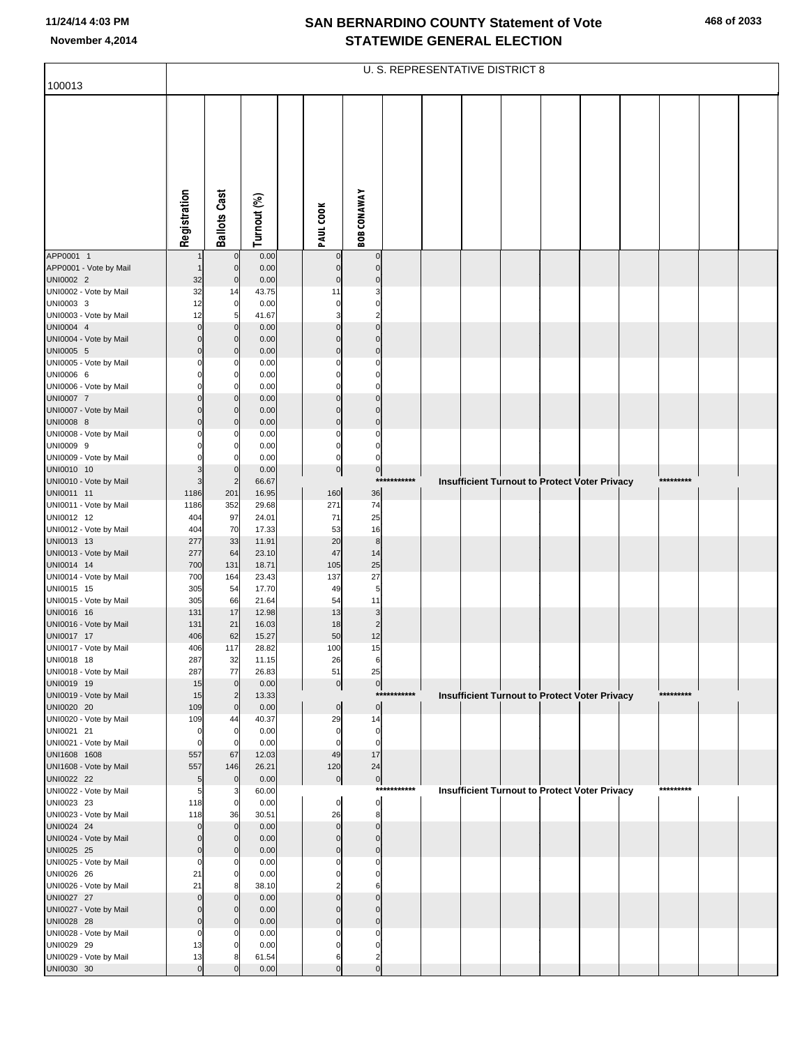|                                        |                 |                                        |                |                                |                    |             | <b>U. S. REPRESENTATIVE DISTRICT 8</b> |  |                                                      |           |  |
|----------------------------------------|-----------------|----------------------------------------|----------------|--------------------------------|--------------------|-------------|----------------------------------------|--|------------------------------------------------------|-----------|--|
| 100013                                 |                 |                                        |                |                                |                    |             |                                        |  |                                                      |           |  |
|                                        | Registration    | <b>Ballots Cast</b>                    | Turnout (%)    | PAUL COOK                      | <b>BOB CONAWAY</b> |             |                                        |  |                                                      |           |  |
| APP0001 1                              |                 | $\mathbf 0$                            | 0.00           | 0                              | $\mathbf 0$        |             |                                        |  |                                                      |           |  |
| APP0001 - Vote by Mail<br>UNI0002 2    | 32              | $\pmb{0}$<br>$\pmb{0}$                 | 0.00<br>0.00   | 0<br>$\mathbf 0$               | 0<br>0             |             |                                        |  |                                                      |           |  |
| UNI0002 - Vote by Mail                 | 32              | 14                                     | 43.75          | 11                             | 3                  |             |                                        |  |                                                      |           |  |
| UNI0003 3                              | 12              | $\mathbf 0$                            | 0.00           | 0                              | 0                  |             |                                        |  |                                                      |           |  |
| UNI0003 - Vote by Mail                 | 12              | 5                                      | 41.67          | 3                              | $\overline{2}$     |             |                                        |  |                                                      |           |  |
| UNI0004 4<br>UNI0004 - Vote by Mail    | $\Omega$<br>0   | $\mathbf 0$<br>$\mathbf 0$             | 0.00<br>0.00   | $\Omega$<br>0                  | $\Omega$<br>0      |             |                                        |  |                                                      |           |  |
| UNI0005 5                              | $\Omega$        | $\mathbf 0$                            | 0.00           | $\overline{0}$                 | $\mathbf 0$        |             |                                        |  |                                                      |           |  |
| UNI0005 - Vote by Mail                 |                 | 0                                      | 0.00           | 0                              | 0                  |             |                                        |  |                                                      |           |  |
| UNI0006 6                              |                 | $\mathbf 0$                            | 0.00           | $\mathbf{0}$                   | 0                  |             |                                        |  |                                                      |           |  |
| UNI0006 - Vote by Mail                 |                 | $\Omega$                               | 0.00           | 0                              | 0                  |             |                                        |  |                                                      |           |  |
| UNI0007 7<br>UNI0007 - Vote by Mail    |                 | $\mathbf 0$<br>$\mathbf 0$             | 0.00<br>0.00   | $\mathbf 0$<br>0               | $\Omega$<br>0      |             |                                        |  |                                                      |           |  |
| UNI0008 8                              | Ω               | $\mathbf 0$                            | 0.00           | $\overline{0}$                 | $\mathbf 0$        |             |                                        |  |                                                      |           |  |
| UNI0008 - Vote by Mail                 |                 | 0                                      | 0.00           | 0                              | 0                  |             |                                        |  |                                                      |           |  |
| UNI0009 9                              |                 | $\mathbf 0$                            | 0.00           | 0                              | 0                  |             |                                        |  |                                                      |           |  |
| UNI0009 - Vote by Mail<br>UNI0010 10   | 3               | $\Omega$<br>$\mathbf 0$                | 0.00<br>0.00   | $\mathbf{0}$<br>$\overline{0}$ | 0<br>$\mathbf 0$   |             |                                        |  |                                                      |           |  |
| UNI0010 - Vote by Mail                 | 3               | $\overline{2}$                         | 66.67          |                                | ****               | *******     |                                        |  | <b>Insufficient Turnout to Protect Voter Privacy</b> | ********* |  |
| UNI0011 11                             | 1186            | 201                                    | 16.95          | 160                            | 36                 |             |                                        |  |                                                      |           |  |
| UNI0011 - Vote by Mail                 | 1186            | 352                                    | 29.68          | 271                            | 74                 |             |                                        |  |                                                      |           |  |
| UNI0012 12<br>UNI0012 - Vote by Mail   | 404<br>404      | 97<br>70                               | 24.01<br>17.33 | 71<br>53                       | 25<br>16           |             |                                        |  |                                                      |           |  |
| UNI0013 13                             | 277             | 33                                     | 11.91          | 20                             | $\bf 8$            |             |                                        |  |                                                      |           |  |
| UNI0013 - Vote by Mail                 | 277             | 64                                     | 23.10          | 47                             | 14                 |             |                                        |  |                                                      |           |  |
| UNI0014 14                             | 700             | 131                                    | 18.71          | 105                            | 25                 |             |                                        |  |                                                      |           |  |
| UNI0014 - Vote by Mail<br>UNI0015 15   | 700<br>305      | 164<br>54                              | 23.43<br>17.70 | 137<br>49                      | 27<br>5            |             |                                        |  |                                                      |           |  |
| UNI0015 - Vote by Mail                 | 305             | 66                                     | 21.64          | 54                             | 11                 |             |                                        |  |                                                      |           |  |
| UNI0016 16                             | 131             | 17                                     | 12.98          | 13                             | 3                  |             |                                        |  |                                                      |           |  |
| UNI0016 - Vote by Mail                 | 131             | 21                                     | 16.03          | 18                             | $\overline{c}$     |             |                                        |  |                                                      |           |  |
| UNI0017 17<br>UNI0017 - Vote by Mail   | 406<br>406      | 62<br>117                              | 15.27<br>28.82 | 50<br>100                      | 12<br>15           |             |                                        |  |                                                      |           |  |
| UNI0018 18                             | 287             | 32                                     | 11.15          | 26                             | 6                  |             |                                        |  |                                                      |           |  |
| UNI0018 - Vote by Mail                 | 287             | 77                                     | 26.83          | 51                             | 25                 |             |                                        |  |                                                      |           |  |
| UNI0019 19                             | 15              | $\mathbf 0$                            | 0.00           | $\overline{0}$                 | $\pmb{0}$          |             |                                        |  |                                                      |           |  |
| UNI0019 - Vote by Mail<br>UNI0020 20   | 15<br>109       | $\overline{\mathbf{c}}$<br>$\mathbf 0$ | 13.33<br>0.00  | $\overline{0}$                 | $\mathbf 0$        | *********** |                                        |  | <b>Insufficient Turnout to Protect Voter Privacy</b> | ********* |  |
| UNI0020 - Vote by Mail                 | 109             | 44                                     | 40.37          | 29                             | 14                 |             |                                        |  |                                                      |           |  |
| UNI0021 21                             | 0               | $\mathbf 0$                            | 0.00           | 0                              | 0                  |             |                                        |  |                                                      |           |  |
| UNI0021 - Vote by Mail                 | 0               | $\mathbf 0$                            | 0.00           | $\Omega$                       | 0                  |             |                                        |  |                                                      |           |  |
| UNI1608 1608<br>UNI1608 - Vote by Mail | 557<br>557      | 67<br>146                              | 12.03<br>26.21 | 49<br>120                      | 17<br>24           |             |                                        |  |                                                      |           |  |
| UNI0022 22                             | 5               | $\mathbf 0$                            | 0.00           | 0                              | $\mathbf{0}$       |             |                                        |  |                                                      |           |  |
| UNI0022 - Vote by Mail                 | 5               | 3                                      | 60.00          |                                |                    | *********** |                                        |  | <b>Insufficient Turnout to Protect Voter Privacy</b> | ********* |  |
| UNI0023 23                             | 118             | $\mathbf 0$                            | 0.00           | 0                              | 0                  |             |                                        |  |                                                      |           |  |
| UNI0023 - Vote by Mail<br>UNI0024 24   | 118<br>$\Omega$ | 36<br>$\mathbf 0$                      | 30.51<br>0.00  | 26<br>$\mathbf 0$              | 8<br>$\Omega$      |             |                                        |  |                                                      |           |  |
| UNI0024 - Vote by Mail                 |                 | $\Omega$                               | 0.00           | 0                              | 0                  |             |                                        |  |                                                      |           |  |
| UNI0025 25                             | 0               | $\mathbf 0$                            | 0.00           | $\overline{0}$                 | $\mathbf 0$        |             |                                        |  |                                                      |           |  |
| UNI0025 - Vote by Mail                 | 0               | 0                                      | 0.00           | 0                              | 0                  |             |                                        |  |                                                      |           |  |
| UNI0026 26<br>UNI0026 - Vote by Mail   | 21<br>21        | $\mathbf 0$<br>8                       | 0.00<br>38.10  | $\Omega$<br>$\overline{c}$     | 0<br>6             |             |                                        |  |                                                      |           |  |
| UNI0027 27                             | $\Omega$        | $\mathbf 0$                            | 0.00           | $\Omega$                       | ŋ                  |             |                                        |  |                                                      |           |  |
| UNI0027 - Vote by Mail                 | $\Omega$        | $\mathbf 0$                            | 0.00           | 0                              | 0                  |             |                                        |  |                                                      |           |  |
| UNI0028 28                             | $\Omega$        | $\mathbf 0$                            | 0.00           | 0                              | 0                  |             |                                        |  |                                                      |           |  |
| UNI0028 - Vote by Mail                 | 0               | 0                                      | 0.00           | 0                              | 0                  |             |                                        |  |                                                      |           |  |
| UNI0029 29<br>UNI0029 - Vote by Mail   | 13<br>13        | $\mathbf 0$<br>8                       | 0.00<br>61.54  | 0<br>6                         | 0<br>2             |             |                                        |  |                                                      |           |  |
| UNI0030 30                             | $\Omega$        | $\Omega$                               | 0.00           | $\Omega$                       | $\Omega$           |             |                                        |  |                                                      |           |  |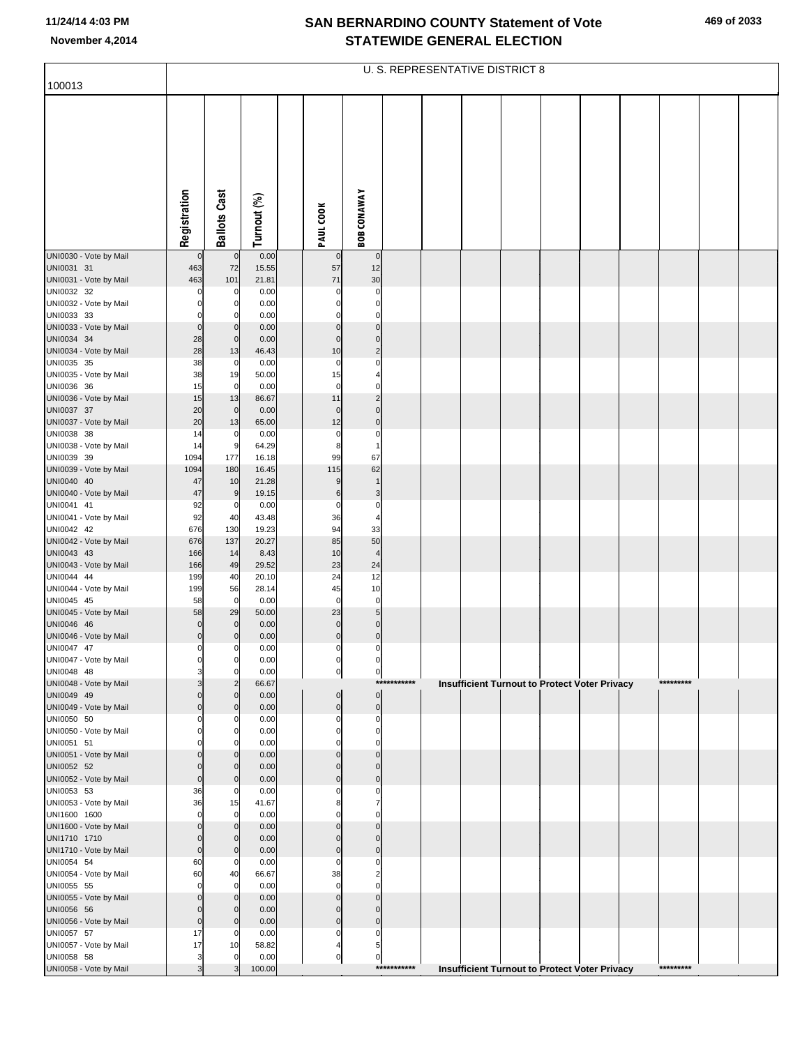|                                        |                         |                               |                |                             |                                  |             | U. S. REPRESENTATIVE DISTRICT 8 |  |                                                      |           |  |
|----------------------------------------|-------------------------|-------------------------------|----------------|-----------------------------|----------------------------------|-------------|---------------------------------|--|------------------------------------------------------|-----------|--|
| 100013                                 |                         |                               |                |                             |                                  |             |                                 |  |                                                      |           |  |
|                                        | Registration            | <b>Ballots Cast</b>           | Turnout (%)    | PAUL COOK                   | <b>BOB CONAWAY</b>               |             |                                 |  |                                                      |           |  |
| UNI0030 - Vote by Mail                 | $\mathbf 0$             | $\mathbf 0$                   | 0.00           | $\mathbf 0$                 | $\overline{0}$                   |             |                                 |  |                                                      |           |  |
| UNI0031 31                             | 463                     | 72                            | 15.55          | 57<br>71                    | 12                               |             |                                 |  |                                                      |           |  |
| UNI0031 - Vote by Mail<br>UNI0032 32   | 463<br>0                | 101<br>0                      | 21.81<br>0.00  | $\Omega$                    | 30<br>0                          |             |                                 |  |                                                      |           |  |
| UNI0032 - Vote by Mail                 | O                       | 0                             | 0.00           | 0                           | $\mathbf 0$                      |             |                                 |  |                                                      |           |  |
| UNI0033 33<br>UNI0033 - Vote by Mail   | 0                       | O<br>$\mathbf 0$              | 0.00<br>0.00   | 0<br>$\mathbf 0$            | 0<br>$\pmb{0}$                   |             |                                 |  |                                                      |           |  |
| UNI0034 34                             | 28                      | $\mathbf 0$                   | 0.00           | $\mathbf 0$                 | $\pmb{0}$                        |             |                                 |  |                                                      |           |  |
| UNI0034 - Vote by Mail<br>UNI0035 35   | 28<br>38                | 13<br>0                       | 46.43<br>0.00  | 10<br>0                     | $\overline{c}$<br>0              |             |                                 |  |                                                      |           |  |
| UNI0035 - Vote by Mail                 | 38                      | 19                            | 50.00          | 15                          | 4                                |             |                                 |  |                                                      |           |  |
| UNI0036 36                             | 15                      | 0                             | 0.00           | $\mathbf 0$                 | $\Omega$                         |             |                                 |  |                                                      |           |  |
| UNI0036 - Vote by Mail<br>UNI0037 37   | 15<br>20                | 13<br>$\mathbf 0$             | 86.67<br>0.00  | 11<br>$\mathbf 0$           | $\overline{c}$<br>$\pmb{0}$      |             |                                 |  |                                                      |           |  |
| UNI0037 - Vote by Mail                 | 20                      | 13                            | 65.00          | 12                          | $\pmb{0}$                        |             |                                 |  |                                                      |           |  |
| UNI0038 38<br>UNI0038 - Vote by Mail   | 14<br>14                | 0<br>9                        | 0.00<br>64.29  | 0<br>8                      | 0<br>1                           |             |                                 |  |                                                      |           |  |
| UNI0039 39                             | 1094                    | 177                           | 16.18          | 99                          | 67                               |             |                                 |  |                                                      |           |  |
| UNI0039 - Vote by Mail                 | 1094                    | 180                           | 16.45          | 115                         | 62                               |             |                                 |  |                                                      |           |  |
| UNI0040 40<br>UNI0040 - Vote by Mail   | 47<br>47                | 10<br>9                       | 21.28<br>19.15 | 9<br>6                      | 3                                |             |                                 |  |                                                      |           |  |
| UNI0041 41                             | 92                      | 0                             | 0.00           | 0                           | 0                                |             |                                 |  |                                                      |           |  |
| UNI0041 - Vote by Mail<br>UNI0042 42   | 92<br>676               | 40<br>130                     | 43.48<br>19.23 | 36<br>94                    | 4<br>33                          |             |                                 |  |                                                      |           |  |
| UNI0042 - Vote by Mail                 | 676                     | 137                           | 20.27          | 85                          | 50                               |             |                                 |  |                                                      |           |  |
| UNI0043 43                             | 166                     | 14                            | 8.43           | 10<br>23                    | 4                                |             |                                 |  |                                                      |           |  |
| UNI0043 - Vote by Mail<br>UNI0044 44   | 166<br>199              | 49<br>40                      | 29.52<br>20.10 | 24                          | 24<br>12                         |             |                                 |  |                                                      |           |  |
| UNI0044 - Vote by Mail                 | 199                     | 56                            | 28.14          | 45                          | 10                               |             |                                 |  |                                                      |           |  |
| UNI0045 45<br>UNI0045 - Vote by Mail   | 58<br>58                | $\mathbf 0$<br>29             | 0.00<br>50.00  | 0<br>23                     | $\pmb{0}$<br>5 <sub>5</sub>      |             |                                 |  |                                                      |           |  |
| UNI0046 46                             | $\mathbf 0$             | $\mathbf 0$                   | 0.00           | $\mathbf 0$                 | $\pmb{0}$                        |             |                                 |  |                                                      |           |  |
| UNI0046 - Vote by Mail<br>UNI0047 47   | $\mathbf 0$<br>0        | $\mathbf{0}$<br>0             | 0.00<br>0.00   | $\pmb{0}$<br>0              | $\overline{0}$<br>$\overline{0}$ |             |                                 |  |                                                      |           |  |
| UNI0047 - Vote by Mail                 | $\Omega$                | 0                             | 0.00           | 0                           | 0                                |             |                                 |  |                                                      |           |  |
| UNI0048 48                             | 3                       | 0                             | 0.00           | $\overline{0}$              | $\mathbf{0}$                     | *********** |                                 |  |                                                      | ********* |  |
| UNI0048 - Vote by Mail<br>UNI0049 49   | O                       | $\overline{c}$<br>$\mathbf 0$ | 66.67<br>0.00  | $\pmb{0}$                   | $\overline{0}$                   |             |                                 |  | Insufficient Turnout to Protect Voter Privacy        |           |  |
| UNI0049 - Vote by Mail                 | $\mathbf 0$             | $\mathbf 0$                   | 0.00           | $\overline{0}$              | $\overline{0}$                   |             |                                 |  |                                                      |           |  |
| UNI0050 50<br>UNI0050 - Vote by Mail   | ŋ<br>$\Omega$           | $\Omega$<br>$\Omega$          | 0.00<br>0.00   | $\mathbf 0$<br>$\Omega$     | 0<br>$\overline{0}$              |             |                                 |  |                                                      |           |  |
| UNI0051 51                             |                         | O                             | 0.00           | O                           | $\Omega$                         |             |                                 |  |                                                      |           |  |
| UNI0051 - Vote by Mail                 | O                       | $\mathbf 0$                   | 0.00           | $\Omega$                    | $\mathbf 0$                      |             |                                 |  |                                                      |           |  |
| UNI0052 52<br>UNI0052 - Vote by Mail   | $\Omega$<br>$\mathbf 0$ | $\mathbf 0$<br>$\mathbf 0$    | 0.00<br>0.00   | $\Omega$<br>$\mathbf{0}$    | $\mathbf{0}$<br>$\pmb{0}$        |             |                                 |  |                                                      |           |  |
| UNI0053 53                             | 36                      | $\Omega$                      | 0.00           | $\Omega$                    | 0                                |             |                                 |  |                                                      |           |  |
| UNI0053 - Vote by Mail<br>UNI1600 1600 | 36<br>$\Omega$          | 15<br>$\mathbf 0$             | 41.67<br>0.00  | 8<br>O                      | $\overline{7}$<br>$\mathbf 0$    |             |                                 |  |                                                      |           |  |
| UNI1600 - Vote by Mail                 | $\Omega$                | $\mathbf 0$                   | 0.00           | $\Omega$                    | $\mathbf 0$                      |             |                                 |  |                                                      |           |  |
| UNI1710 1710                           | $\mathbf 0$             | $\mathbf 0$                   | 0.00           | $\Omega$                    | $\mathbf{0}$                     |             |                                 |  |                                                      |           |  |
| UNI1710 - Vote by Mail<br>UNI0054 54   | $\mathbf 0$<br>60       | $\mathbf 0$<br>$\mathbf 0$    | 0.00<br>0.00   | $\mathbf 0$<br>$\Omega$     | $\mathbf 0$<br>0                 |             |                                 |  |                                                      |           |  |
| UNI0054 - Vote by Mail                 | 60                      | 40                            | 66.67          | 38                          | $\overline{2}$                   |             |                                 |  |                                                      |           |  |
| UNI0055 55<br>UNI0055 - Vote by Mail   | $\Omega$<br>$\Omega$    | 0<br>$\mathbf 0$              | 0.00<br>0.00   | $\mathbf 0$<br>$\mathbf{0}$ | $\Omega$<br>$\mathbf 0$          |             |                                 |  |                                                      |           |  |
| UNI0056 56                             | $\Omega$                | $\mathbf 0$                   | 0.00           | $\mathbf{0}$                | $\mathbf 0$                      |             |                                 |  |                                                      |           |  |
| UNI0056 - Vote by Mail                 | 0                       | $\mathbf 0$                   | 0.00           | $\mathbf 0$                 | $\overline{0}$                   |             |                                 |  |                                                      |           |  |
| UNI0057 57<br>UNI0057 - Vote by Mail   | 17<br>17                | $\mathbf 0$<br>10             | 0.00<br>58.82  | 0<br>4                      | 0<br>$5 \mid$                    |             |                                 |  |                                                      |           |  |
| UNI0058 58                             | 3                       | $\Omega$                      | 0.00           | $\overline{0}$              | $\overline{0}$                   |             |                                 |  |                                                      |           |  |
| UNI0058 - Vote by Mail                 | 3                       | 3                             | 100.00         |                             |                                  | *********** |                                 |  | <b>Insufficient Turnout to Protect Voter Privacy</b> | ********* |  |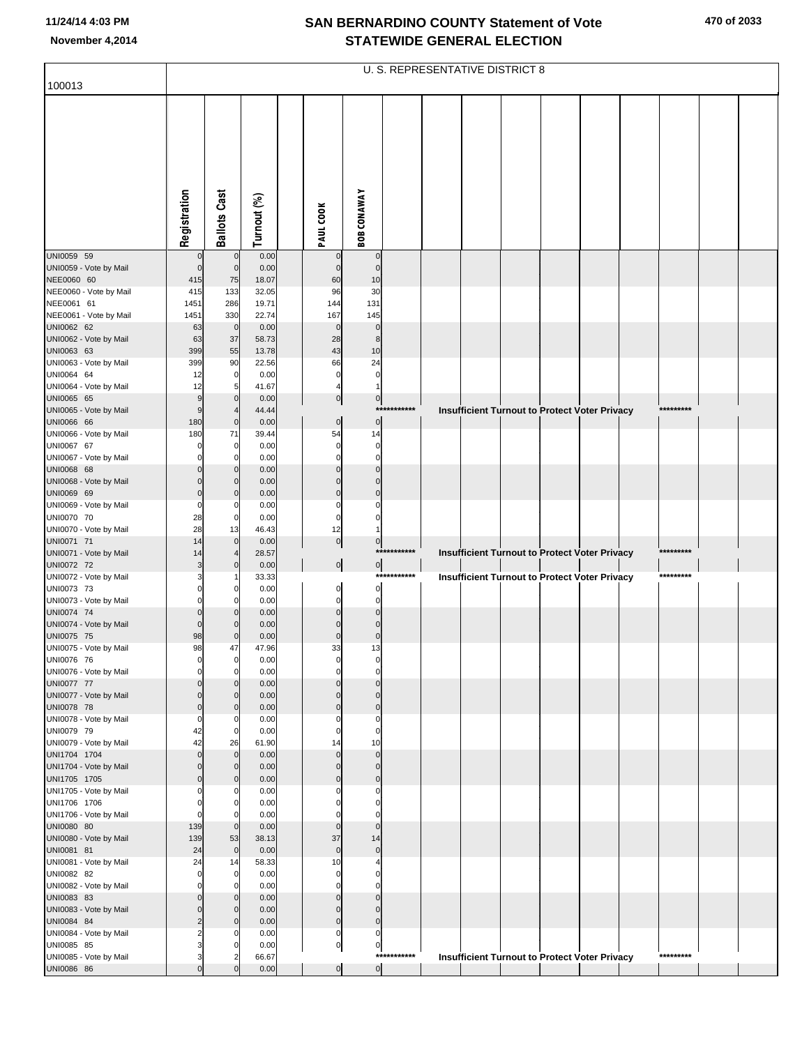|                                        |                            |                         |               |                             |                         |             | U. S. REPRESENTATIVE DISTRICT 8 |  |                                                      |           |  |
|----------------------------------------|----------------------------|-------------------------|---------------|-----------------------------|-------------------------|-------------|---------------------------------|--|------------------------------------------------------|-----------|--|
| 100013                                 |                            |                         |               |                             |                         |             |                                 |  |                                                      |           |  |
|                                        |                            |                         |               |                             |                         |             |                                 |  |                                                      |           |  |
|                                        |                            |                         |               |                             |                         |             |                                 |  |                                                      |           |  |
|                                        |                            |                         |               |                             |                         |             |                                 |  |                                                      |           |  |
|                                        |                            |                         |               |                             |                         |             |                                 |  |                                                      |           |  |
|                                        |                            |                         |               |                             |                         |             |                                 |  |                                                      |           |  |
|                                        | Registration               | <b>Ballots Cast</b>     | Turnout (%)   | PAUL COOK                   | <b>BOB CONAWAY</b>      |             |                                 |  |                                                      |           |  |
|                                        |                            |                         |               |                             |                         |             |                                 |  |                                                      |           |  |
| UNI0059 59                             | $\mathbf 0$<br>$\mathbf 0$ | $\mathbf 0$             | 0.00          | $\mathbf 0$<br>$\mathbf{0}$ | $\mathbf 0$             |             |                                 |  |                                                      |           |  |
| UNI0059 - Vote by Mail<br>NEE0060 60   | 415                        | $\mathbf 0$<br>75       | 0.00<br>18.07 | 60                          | $\mathbf 0$<br>10       |             |                                 |  |                                                      |           |  |
| NEE0060 - Vote by Mail                 | 415                        | 133                     | 32.05         | 96                          | 30                      |             |                                 |  |                                                      |           |  |
| NEE0061 61                             | 1451                       | 286                     | 19.71         | 144                         | 131                     |             |                                 |  |                                                      |           |  |
| NEE0061 - Vote by Mail<br>UNI0062 62   | 1451<br>63                 | 330<br>$\mathbf 0$      | 22.74<br>0.00 | 167<br>$\mathbf{0}$         | 145<br>$\mathbf 0$      |             |                                 |  |                                                      |           |  |
| UNI0062 - Vote by Mail                 | 63                         | 37                      | 58.73         | 28                          | 8                       |             |                                 |  |                                                      |           |  |
| UNI0063 63                             | 399                        | 55                      | 13.78         | 43                          | 10                      |             |                                 |  |                                                      |           |  |
| UNI0063 - Vote by Mail                 | 399                        | 90                      | 22.56         | 66                          | 24                      |             |                                 |  |                                                      |           |  |
| UNI0064 64<br>UNI0064 - Vote by Mail   | 12<br>12                   | 0<br>5                  | 0.00<br>41.67 | 0                           | 0<br>1                  |             |                                 |  |                                                      |           |  |
| UNI0065 65                             | 9                          | $\mathbf 0$             | 0.00          | $\overline{0}$              | $\overline{0}$          |             |                                 |  |                                                      |           |  |
| UNI0065 - Vote by Mail                 | 9                          | $\overline{4}$          | 44.44         |                             |                         | *********** |                                 |  | <b>Insufficient Turnout to Protect Voter Privacy</b> | ********* |  |
| UNI0066 66                             | 180                        | $\mathbf 0$             | 0.00          | $\overline{0}$              | $\pmb{0}$               |             |                                 |  |                                                      |           |  |
| UNI0066 - Vote by Mail                 | 180                        | 71                      | 39.44         | 54                          | 14                      |             |                                 |  |                                                      |           |  |
| UNI0067 67<br>UNI0067 - Vote by Mail   | ŋ                          | 0<br>0                  | 0.00<br>0.00  | 0<br>$\Omega$               | 0<br>0                  |             |                                 |  |                                                      |           |  |
| UNI0068 68                             |                            | $\Omega$                | 0.00          | $\Omega$                    | $\Omega$                |             |                                 |  |                                                      |           |  |
| UNI0068 - Vote by Mail                 | O                          | 0                       | 0.00          | $\Omega$                    | 0                       |             |                                 |  |                                                      |           |  |
| UNI0069 69                             | $\Omega$                   | $\Omega$                | 0.00          | $\Omega$                    | $\Omega$                |             |                                 |  |                                                      |           |  |
| UNI0069 - Vote by Mail<br>UNI0070 70   | $\Omega$<br>28             | 0<br>0                  | 0.00<br>0.00  | 0<br>0                      |                         |             |                                 |  |                                                      |           |  |
| UNI0070 - Vote by Mail                 | 28                         | 13                      | 46.43         | 12                          |                         |             |                                 |  |                                                      |           |  |
| UNI0071 71                             | 14                         | $\mathbf 0$             | 0.00          | $\overline{0}$              | $\overline{0}$          |             |                                 |  |                                                      |           |  |
| UNI0071 - Vote by Mail                 | 14                         | 4                       | 28.57         |                             |                         | *********** |                                 |  | Insufficient Turnout to Protect Voter Privacy        | ********* |  |
| UNI0072 72<br>UNI0072 - Vote by Mail   | 3<br>3                     | $\mathbf 0$             | 0.00<br>33.33 | $\overline{0}$              | $\overline{0}$          | *********** |                                 |  | Insufficient Turnout to Protect Voter Privacy        | ********* |  |
| UNI0073 73                             |                            | 0                       | 0.00          | $\overline{0}$              | 0                       |             |                                 |  |                                                      |           |  |
| UNI0073 - Vote by Mail                 | ŋ                          | 0                       | 0.00          | $\overline{0}$              | $\pmb{0}$               |             |                                 |  |                                                      |           |  |
| UNI0074 74                             | O                          | 0                       | 0.00          | $\Omega$                    | $\mathbf 0$             |             |                                 |  |                                                      |           |  |
| UNI0074 - Vote by Mail<br>UNI0075 75   | $\Omega$<br>98             | 0<br>$\Omega$           | 0.00<br>0.00  | $\Omega$<br>$\mathbf 0$     | 0<br>$\mathbf 0$        |             |                                 |  |                                                      |           |  |
| UNI0075 - Vote by Mail                 | 98                         | 47                      | 47.96         | 33                          | 13                      |             |                                 |  |                                                      |           |  |
| UNI0076 76                             | 0                          | $\mathbf 0$             | 0.00          | 0                           | 0                       |             |                                 |  |                                                      |           |  |
| UNI0076 - Vote by Mail                 | $\Omega$                   | $\mathbf 0$             | 0.00          | $\Omega$                    | $\Omega$                |             |                                 |  |                                                      |           |  |
| UNI0077 77<br>UNI0077 - Vote by Mail   | O<br>$\Omega$              | $\Omega$<br>0           | 0.00<br>0.00  | $\Omega$<br>$\Omega$        | $\Omega$<br>$\mathbf 0$ |             |                                 |  |                                                      |           |  |
| UNI0078 78                             | $\mathbf 0$                | $\mathbf 0$             | 0.00          | $\mathbf 0$                 | $\mathbf 0$             |             |                                 |  |                                                      |           |  |
| UNI0078 - Vote by Mail                 | 0                          | 0                       | 0.00          | $\Omega$                    | 0                       |             |                                 |  |                                                      |           |  |
| UNI0079 79                             | 42                         | 0                       | 0.00          | $\Omega$                    | $\Omega$                |             |                                 |  |                                                      |           |  |
| UNI0079 - Vote by Mail<br>UNI1704 1704 | 42<br>$\Omega$             | 26<br>$\mathbf 0$       | 61.90<br>0.00 | 14<br>$\Omega$              | 10<br>$\mathbf 0$       |             |                                 |  |                                                      |           |  |
| UNI1704 - Vote by Mail                 | $\mathbf 0$                | $\mathbf 0$             | 0.00          | $\Omega$                    | $\mathbf 0$             |             |                                 |  |                                                      |           |  |
| UNI1705 1705                           | $\mathbf 0$                | $\mathbf 0$             | 0.00          | $\Omega$                    | $\mathbf 0$             |             |                                 |  |                                                      |           |  |
| UNI1705 - Vote by Mail                 | ŋ                          | 0                       | 0.00          | O                           | 0                       |             |                                 |  |                                                      |           |  |
| UNI1706 1706<br>UNI1706 - Vote by Mail | ŋ<br>0                     | $\Omega$<br>0           | 0.00<br>0.00  | O<br>$\Omega$               | $\Omega$<br>0           |             |                                 |  |                                                      |           |  |
| UNI0080 80                             | 139                        | $\mathbf 0$             | 0.00          | $\Omega$                    | $\Omega$                |             |                                 |  |                                                      |           |  |
| UNI0080 - Vote by Mail                 | 139                        | 53                      | 38.13         | 37                          | 14                      |             |                                 |  |                                                      |           |  |
| UNI0081 81                             | 24                         | $\mathbf 0$             | 0.00          | $\Omega$                    | $\mathbf 0$             |             |                                 |  |                                                      |           |  |
| UNI0081 - Vote by Mail                 | 24<br>$\Omega$             | 14                      | 58.33         | 10                          | $\Omega$                |             |                                 |  |                                                      |           |  |
| UNI0082 82<br>UNI0082 - Vote by Mail   | $\Omega$                   | $\mathbf 0$<br>0        | 0.00<br>0.00  | 0<br>$\Omega$               | 0                       |             |                                 |  |                                                      |           |  |
| UNI0083 83                             | $\Omega$                   | $\Omega$                | 0.00          | $\Omega$                    | $\Omega$                |             |                                 |  |                                                      |           |  |
| UNI0083 - Vote by Mail                 | $\mathbf 0$                | $\mathbf 0$             | 0.00          | $\overline{0}$              | $\Omega$                |             |                                 |  |                                                      |           |  |
| UNI0084 84                             | 2                          | $\mathbf 0$             | 0.00          | $\overline{0}$              | $\mathbf 0$             |             |                                 |  |                                                      |           |  |
| UNI0084 - Vote by Mail<br>UNI0085 85   | 2<br>3                     | 0<br>0                  | 0.00<br>0.00  | 0<br>$\overline{0}$         | 0<br>0                  |             |                                 |  |                                                      |           |  |
| UNI0085 - Vote by Mail                 | 3                          | $\overline{\mathbf{c}}$ | 66.67         |                             |                         | *********** |                                 |  | <b>Insufficient Turnout to Protect Voter Privacy</b> | ********* |  |
| UNI0086 86                             | $\Omega$                   | $\Omega$                | 0.00          | $\overline{0}$              | $\overline{0}$          |             |                                 |  |                                                      |           |  |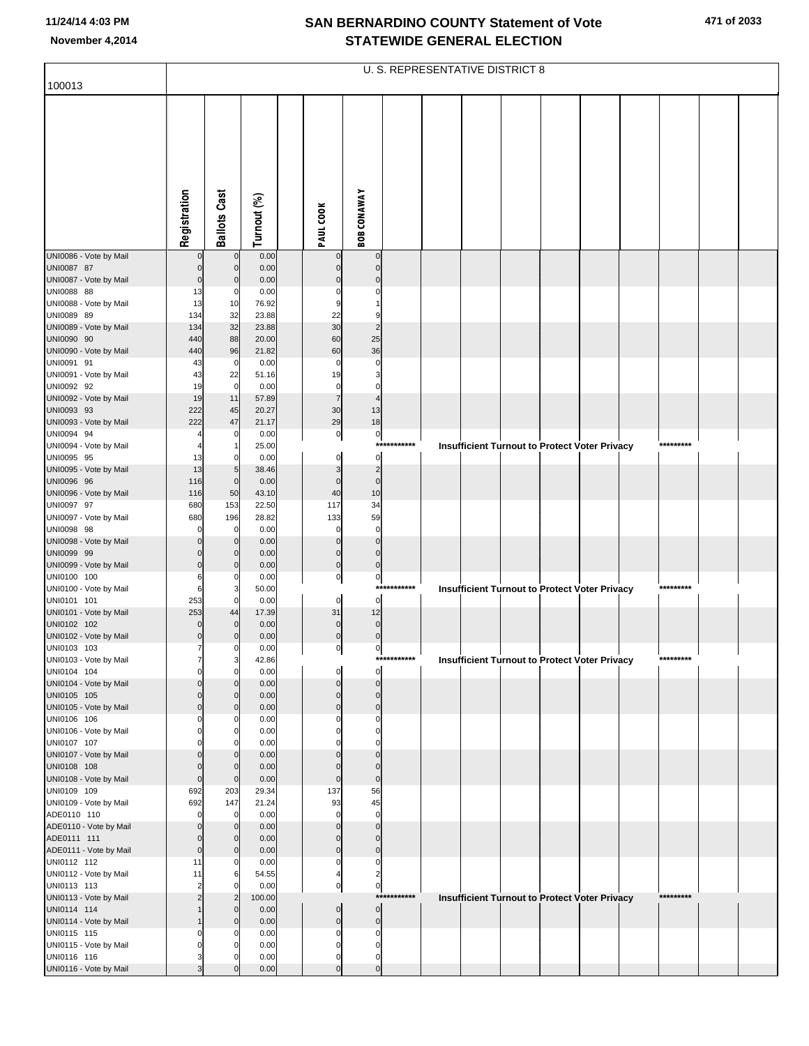|                                       |                  |                               |                |                                |                                  |             | <b>U. S. REPRESENTATIVE DISTRICT 8</b>               |  |  |           |  |
|---------------------------------------|------------------|-------------------------------|----------------|--------------------------------|----------------------------------|-------------|------------------------------------------------------|--|--|-----------|--|
| 100013                                |                  |                               |                |                                |                                  |             |                                                      |  |  |           |  |
|                                       | Registration     | <b>Ballots Cast</b>           | Turnout (%)    | PAUL COOK                      | <b>BOB CONAWAY</b>               |             |                                                      |  |  |           |  |
| UNI0086 - Vote by Mail                |                  | $\mathbf 0$                   | 0.00           | $\mathbf 0$                    | $\mathbf 0$                      |             |                                                      |  |  |           |  |
| UNI0087 87                            |                  | $\mathbf 0$                   | 0.00           | $\Omega$                       | $\mathbf 0$                      |             |                                                      |  |  |           |  |
| UNI0087 - Vote by Mail<br>UNI0088 88  | 0<br>13          | $\mathbf 0$<br>0              | 0.00           | $\Omega$<br>0                  | $\Omega$<br>0                    |             |                                                      |  |  |           |  |
| UNI0088 - Vote by Mail                | 13               | 10                            | 0.00<br>76.92  | 9                              |                                  |             |                                                      |  |  |           |  |
| UNI0089 89                            | 134              | 32                            | 23.88          | 22                             | 9                                |             |                                                      |  |  |           |  |
| UNI0089 - Vote by Mail                | 134              | 32                            | 23.88          | 30                             | $\overline{2}$                   |             |                                                      |  |  |           |  |
| UNI0090 90<br>UNI0090 - Vote by Mail  | 440<br>440       | 88<br>96                      | 20.00<br>21.82 | 60<br>60                       | 25<br>36                         |             |                                                      |  |  |           |  |
| UNI0091 91                            | 43               | $\mathbf 0$                   | 0.00           | 0                              | 0                                |             |                                                      |  |  |           |  |
| UNI0091 - Vote by Mail                | 43               | 22                            | 51.16          | 19                             | 3                                |             |                                                      |  |  |           |  |
| UNI0092 92                            | 19               | $\overline{0}$                | 0.00           | 0                              | 0                                |             |                                                      |  |  |           |  |
| UNI0092 - Vote by Mail<br>UNI0093 93  | 19<br>222        | 11<br>45                      | 57.89<br>20.27 | $\overline{7}$<br>30           | 4<br>13                          |             |                                                      |  |  |           |  |
| UNI0093 - Vote by Mail                | 222              | 47                            | 21.17          | 29                             | 18                               |             |                                                      |  |  |           |  |
| UNI0094 94                            |                  | 0                             | 0.00           | $\overline{0}$                 | $\overline{0}$                   |             |                                                      |  |  |           |  |
| UNI0094 - Vote by Mail                |                  | -1                            | 25.00          |                                |                                  | *********** | <b>Insufficient Turnout to Protect Voter Privacy</b> |  |  | ********* |  |
| UNI0095 95<br>UNI0095 - Vote by Mail  | 13<br>13         | 0<br>$\overline{5}$           | 0.00<br>38.46  | 0<br>3                         | $\mathbf{0}$<br>$\overline{2}$   |             |                                                      |  |  |           |  |
| UNI0096 96                            | 116              | $\mathbf 0$                   | 0.00           | $\mathbf 0$                    | $\overline{0}$                   |             |                                                      |  |  |           |  |
| UNI0096 - Vote by Mail                | 116              | 50                            | 43.10          | 40                             | 10                               |             |                                                      |  |  |           |  |
| UNI0097 97                            | 680              | 153                           | 22.50          | 117                            | 34<br>59                         |             |                                                      |  |  |           |  |
| UNI0097 - Vote by Mail<br>UNI0098 98  | 680              | 196<br>$\mathbf 0$            | 28.82<br>0.00  | 133<br>0                       | 0                                |             |                                                      |  |  |           |  |
| UNI0098 - Vote by Mail                |                  | $\mathbf 0$                   | 0.00           | $\mathbf 0$                    | $\mathbf 0$                      |             |                                                      |  |  |           |  |
| UNI0099 99                            |                  | $\mathbf 0$                   | 0.00           | $\pmb{0}$                      | $\overline{0}$                   |             |                                                      |  |  |           |  |
| UNI0099 - Vote by Mail<br>UNI0100 100 | 0<br>6           | $\mathbf 0$<br>0              | 0.00<br>0.00   | $\overline{0}$<br>$\mathbf{0}$ | $\overline{0}$<br>$\overline{0}$ |             |                                                      |  |  |           |  |
| UNI0100 - Vote by Mail                | 6                | 3                             | 50.00          |                                |                                  | *********** | <b>Insufficient Turnout to Protect Voter Privacy</b> |  |  | ********* |  |
| UNI0101 101                           | 253              | 0                             | 0.00           | $\overline{0}$                 | $\mathbf{0}$                     |             |                                                      |  |  |           |  |
| UNI0101 - Vote by Mail                | 253              | 44                            | 17.39          | 31                             | 12                               |             |                                                      |  |  |           |  |
| UNI0102 102<br>UNI0102 - Vote by Mail | 0                | $\mathbf 0$<br>0              | 0.00<br>0.00   | $\mathbf 0$<br>$\overline{0}$  | $\overline{0}$<br>$\overline{0}$ |             |                                                      |  |  |           |  |
| UNI0103 103                           | 7                | 0                             | 0.00           | $\mathbf{0}$                   | $\mathbf{0}$                     |             |                                                      |  |  |           |  |
| UNI0103 - Vote by Mail                |                  | 3                             | 42.86          |                                |                                  | *********** | <b>Insufficient Turnout to Protect Voter Privacy</b> |  |  | ********* |  |
| UNI0104 104<br>UNI0104 - Vote by Mail | 0                | $\overline{0}$<br>$\mathbf 0$ | 0.00<br>0.00   | 0<br>$\mathbf{0}$              | $\overline{0}$<br>$\overline{0}$ |             |                                                      |  |  |           |  |
| UNI0105 105                           |                  | $\mathbf 0$                   | 0.00           | $\mathbf 0$                    | $\overline{0}$                   |             |                                                      |  |  |           |  |
| UNI0105 - Vote by Mail                | $\Omega$         | $\mathbf 0$                   | 0.00           | $\overline{0}$                 | $\overline{0}$                   |             |                                                      |  |  |           |  |
| UNI0106 106                           | 0                | 0                             | 0.00           | 0<br>$\Omega$                  | 0<br>0                           |             |                                                      |  |  |           |  |
| UNI0106 - Vote by Mail<br>UNI0107 107 |                  | 0<br>$\Omega$                 | 0.00<br>0.00   |                                | $\Omega$                         |             |                                                      |  |  |           |  |
| UNI0107 - Vote by Mail                |                  | $\mathbf 0$                   | 0.00           | $\Omega$                       | $\overline{0}$                   |             |                                                      |  |  |           |  |
| UNI0108 108                           | 0                | $\mathbf 0$                   | 0.00           | $\Omega$                       | $\overline{0}$                   |             |                                                      |  |  |           |  |
| UNI0108 - Vote by Mail<br>UNI0109 109 | $\Omega$<br>692  | $\mathbf 0$<br>203            | 0.00<br>29.34  | $\pmb{0}$<br>137               | $\overline{0}$<br>56             |             |                                                      |  |  |           |  |
| UNI0109 - Vote by Mail                | 692              | 147                           | 21.24          | 93                             | 45                               |             |                                                      |  |  |           |  |
| ADE0110 110                           | 0                | $\overline{0}$                | 0.00           | $\mathbf 0$                    | 0                                |             |                                                      |  |  |           |  |
| ADE0110 - Vote by Mail                | 0                | $\mathbf 0$                   | 0.00           | $\Omega$                       | $\mathbf 0$                      |             |                                                      |  |  |           |  |
| ADE0111 111<br>ADE0111 - Vote by Mail | 0<br>$\mathbf 0$ | $\mathbf 0$<br>$\mathbf 0$    | 0.00<br>0.00   | $\mathbf 0$<br>$\overline{0}$  | $\mathbf 0$<br>$\overline{0}$    |             |                                                      |  |  |           |  |
| UNI0112 112                           | 11               | 0                             | 0.00           | 0                              | 0                                |             |                                                      |  |  |           |  |
| UNI0112 - Vote by Mail                | 11               | 6                             | 54.55          | 4                              | $\overline{2}$                   |             |                                                      |  |  |           |  |
| UNI0113 113<br>UNI0113 - Vote by Mail | $\overline{2}$   | $\Omega$<br>$\overline{2}$    | 0.00<br>100.00 | $\mathbf{0}$                   | $\overline{0}$                   | *********** |                                                      |  |  | ********* |  |
| UNI0114 114                           |                  | $\mathbf 0$                   | 0.00           | $\overline{0}$                 | $\overline{0}$                   |             | Insufficient Turnout to Protect Voter Privacy        |  |  |           |  |
| UNI0114 - Vote by Mail                |                  | $\mathbf 0$                   | 0.00           | $\overline{0}$                 | $\overline{0}$                   |             |                                                      |  |  |           |  |
| UNI0115 115                           |                  | 0                             | 0.00           | $\Omega$                       | 0                                |             |                                                      |  |  |           |  |
| UNI0115 - Vote by Mail<br>UNI0116 116 |                  | 0<br>0                        | 0.00<br>0.00   | $\Omega$<br>0                  | 0<br>0                           |             |                                                      |  |  |           |  |
| UNI0116 - Vote by Mail                | 3                | $\Omega$                      | 0.00           | $\Omega$                       | $\overline{0}$                   |             |                                                      |  |  |           |  |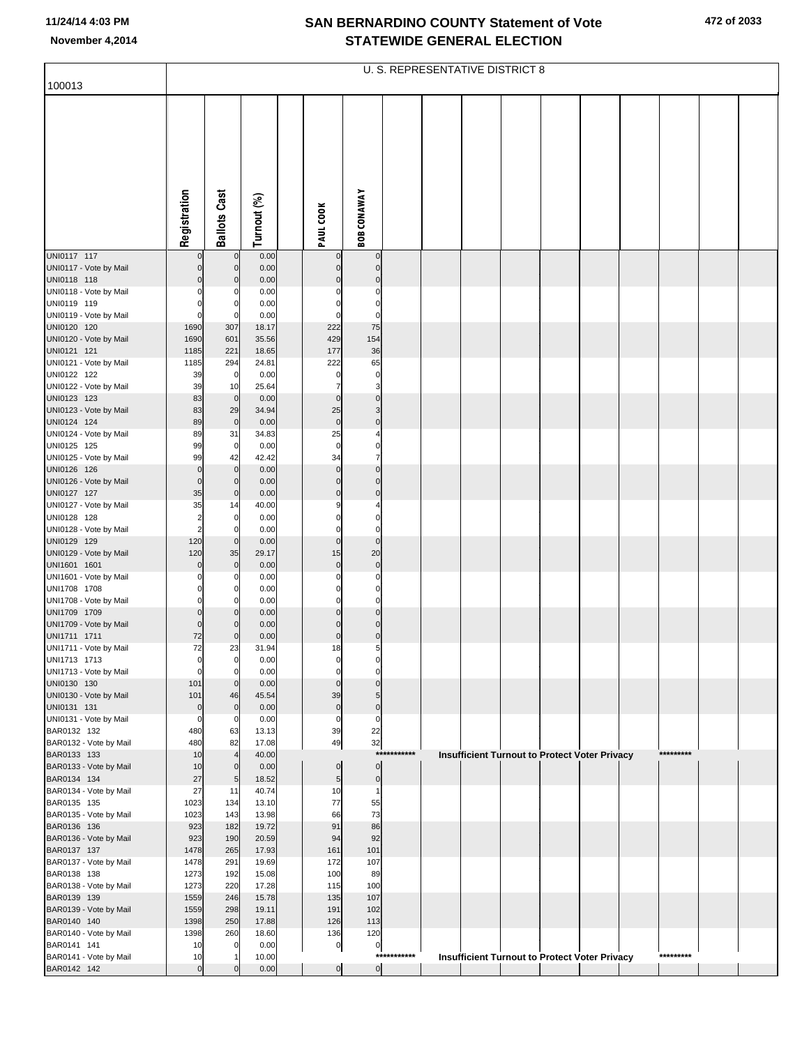| 100013                                 |                               |                            |                |                         |                             |             | U. S. REPRESENTATIVE DISTRICT 8 |  |                                               |           |  |
|----------------------------------------|-------------------------------|----------------------------|----------------|-------------------------|-----------------------------|-------------|---------------------------------|--|-----------------------------------------------|-----------|--|
|                                        |                               |                            |                |                         |                             |             |                                 |  |                                               |           |  |
|                                        |                               |                            |                |                         |                             |             |                                 |  |                                               |           |  |
|                                        | Registration                  | <b>Ballots Cast</b>        | Turnout (%)    | PAUL COOK               | <b>BOB CONAWAY</b>          |             |                                 |  |                                               |           |  |
| UNI0117 117                            |                               | $\overline{0}$             | 0.00           | 0                       | 0                           |             |                                 |  |                                               |           |  |
| UNI0117 - Vote by Mail<br>UNI0118 118  | $\Omega$<br>$\Omega$          | $\mathbf 0$<br>$\mathbf 0$ | 0.00<br>0.00   | $\mathbf 0$<br>$\Omega$ | $\pmb{0}$<br>$\overline{0}$ |             |                                 |  |                                               |           |  |
| UNI0118 - Vote by Mail                 | 0                             | 0                          | 0.00           |                         | $\Omega$                    |             |                                 |  |                                               |           |  |
| UNI0119 119                            | $\Omega$                      | 0                          | 0.00           | $\Omega$                | 0                           |             |                                 |  |                                               |           |  |
| UNI0119 - Vote by Mail                 | $\Omega$                      | $\mathbf 0$                | 0.00           | 0                       | 0                           |             |                                 |  |                                               |           |  |
| UNI0120 120<br>UNI0120 - Vote by Mail  | 1690<br>1690                  | 307<br>601                 | 18.17<br>35.56 | 222<br>429              | 75<br>154                   |             |                                 |  |                                               |           |  |
| UNI0121 121                            | 1185                          | 221                        | 18.65          | 177                     | 36                          |             |                                 |  |                                               |           |  |
| UNI0121 - Vote by Mail                 | 1185                          | 294                        | 24.81          | 222                     | 65                          |             |                                 |  |                                               |           |  |
| UNI0122 122                            | 39                            | $\mathbf 0$                | 0.00           | 0                       | $\pmb{0}$                   |             |                                 |  |                                               |           |  |
| UNI0122 - Vote by Mail                 | 39                            | 10                         | 25.64          | 7                       | 3                           |             |                                 |  |                                               |           |  |
| UNI0123 123<br>UNI0123 - Vote by Mail  | 83<br>83                      | $\mathbf 0$<br>29          | 0.00<br>34.94  | $\mathbf 0$<br>25       | $\mathbf 0$<br>3            |             |                                 |  |                                               |           |  |
| UNI0124 124                            | 89                            | $\mathbf 0$                | 0.00           | $\overline{0}$          | $\mathbf 0$                 |             |                                 |  |                                               |           |  |
| UNI0124 - Vote by Mail                 | 89                            | 31                         | 34.83          | 25                      | 4                           |             |                                 |  |                                               |           |  |
| UNI0125 125<br>UNI0125 - Vote by Mail  | 99<br>99                      | $\overline{0}$<br>42       | 0.00<br>42.42  | $\mathbf 0$<br>34       | 0<br>$\overline{7}$         |             |                                 |  |                                               |           |  |
| UNI0126 126                            | $\mathbf 0$                   | $\mathbf 0$                | 0.00           | $\mathbf 0$             | $\overline{0}$              |             |                                 |  |                                               |           |  |
| UNI0126 - Vote by Mail                 | $\mathbf 0$                   | $\mathbf 0$                | 0.00           | $\overline{0}$          | $\mathbf 0$                 |             |                                 |  |                                               |           |  |
| UNI0127 127                            | 35                            | $\overline{0}$             | 0.00           | $\mathbf{0}$            | $\mathbf 0$                 |             |                                 |  |                                               |           |  |
| UNI0127 - Vote by Mail<br>UNI0128 128  | 35<br>$\overline{\mathbf{c}}$ | 14<br>$\mathbf 0$          | 40.00<br>0.00  | 9<br>$\Omega$           | 0                           |             |                                 |  |                                               |           |  |
| UNI0128 - Vote by Mail                 | $\overline{2}$                | 0                          | 0.00           | $\Omega$                | $\Omega$                    |             |                                 |  |                                               |           |  |
| UNI0129 129                            | 120                           | $\mathbf 0$                | 0.00           | $\overline{0}$          | $\mathbf 0$                 |             |                                 |  |                                               |           |  |
| UNI0129 - Vote by Mail<br>UNI1601 1601 | 120<br>$\Omega$               | 35<br>$\mathbf 0$          | 29.17<br>0.00  | 15<br>$\mathbf 0$       | 20<br>$\mathbf 0$           |             |                                 |  |                                               |           |  |
| UNI1601 - Vote by Mail                 | $\Omega$                      | 0                          | 0.00           | $\Omega$                | 0                           |             |                                 |  |                                               |           |  |
| UNI1708 1708                           | 0                             | 0                          | 0.00           | $\Omega$                | 0                           |             |                                 |  |                                               |           |  |
| UNI1708 - Vote by Mail                 | 0                             | 0                          | 0.00           | $\Omega$                | 0                           |             |                                 |  |                                               |           |  |
| UNI1709 1709<br>UNI1709 - Vote by Mail | $\mathbf 0$<br>$\Omega$       | $\mathbf 0$<br>$\mathbf 0$ | 0.00<br>0.00   | $\Omega$<br>$\Omega$    | $\mathbf 0$<br>$\mathbf 0$  |             |                                 |  |                                               |           |  |
| UNI1711 1711                           | 72                            | $\mathbf 0$                | 0.00           | $\overline{0}$          | $\pmb{0}$                   |             |                                 |  |                                               |           |  |
| UNI1711 - Vote by Mail                 | 72                            | 23                         | 31.94          | 18                      | 5                           |             |                                 |  |                                               |           |  |
| UNI1713 1713                           | 0                             | 0                          | 0.00           | 0<br>$\Omega$           |                             |             |                                 |  |                                               |           |  |
| UNI1713 - Vote by Mail<br>UNI0130 130  | 0<br>101                      | $\mathbf 0$<br>$\mathbf 0$ | 0.00<br>0.00   | $\Omega$                | 0<br>$\Omega$               |             |                                 |  |                                               |           |  |
| UNI0130 - Vote by Mail                 | 101                           | 46                         | 45.54          | 39                      | 5                           |             |                                 |  |                                               |           |  |
| UNI0131 131                            | 0                             | $\mathbf 0$                | 0.00           | $\pmb{0}$               | $\pmb{0}$                   |             |                                 |  |                                               |           |  |
| UNI0131 - Vote by Mail<br>BAR0132 132  | 0<br>480                      | 0<br>63                    | 0.00<br>13.13  | 0<br>39                 | $\Omega$<br>22              |             |                                 |  |                                               |           |  |
| BAR0132 - Vote by Mail                 | 480                           | 82                         | 17.08          | 49                      | 32                          |             |                                 |  |                                               |           |  |
| BAR0133 133                            | 10                            | $\overline{4}$             | 40.00          |                         |                             | *********** |                                 |  | Insufficient Turnout to Protect Voter Privacy | ********* |  |
| BAR0133 - Vote by Mail                 | 10                            | $\mathbf 0$                | 0.00           | $\mathbf 0$             | $\pmb{0}$                   |             |                                 |  |                                               |           |  |
| BAR0134 134<br>BAR0134 - Vote by Mail  | 27<br>27                      | $\overline{5}$<br>11       | 18.52<br>40.74 | 5 <sub>5</sub><br>10    | $\pmb{0}$<br>$\mathbf{1}$   |             |                                 |  |                                               |           |  |
| BAR0135 135                            | 1023                          | 134                        | 13.10          | 77                      | 55                          |             |                                 |  |                                               |           |  |
| BAR0135 - Vote by Mail                 | 1023                          | 143                        | 13.98          | 66                      | 73                          |             |                                 |  |                                               |           |  |
| BAR0136 136                            | 923                           | 182                        | 19.72          | 91                      | 86                          |             |                                 |  |                                               |           |  |
| BAR0136 - Vote by Mail<br>BAR0137 137  | 923<br>1478                   | 190<br>265                 | 20.59<br>17.93 | 94<br>161               | 92<br>101                   |             |                                 |  |                                               |           |  |
| BAR0137 - Vote by Mail                 | 1478                          | 291                        | 19.69          | 172                     | 107                         |             |                                 |  |                                               |           |  |
| BAR0138 138                            | 1273                          | 192                        | 15.08          | 100                     | 89                          |             |                                 |  |                                               |           |  |
| BAR0138 - Vote by Mail<br>BAR0139 139  | 1273<br>1559                  | 220<br>246                 | 17.28<br>15.78 | 115<br>135              | 100<br>107                  |             |                                 |  |                                               |           |  |
| BAR0139 - Vote by Mail                 | 1559                          | 298                        | 19.11          | 191                     | 102                         |             |                                 |  |                                               |           |  |
| BAR0140 140                            | 1398                          | 250                        | 17.88          | 126                     | 113                         |             |                                 |  |                                               |           |  |
| BAR0140 - Vote by Mail                 | 1398                          | 260                        | 18.60          | 136                     | 120                         |             |                                 |  |                                               |           |  |
| BAR0141 141<br>BAR0141 - Vote by Mail  | 10<br>10                      | $\mathbf 0$<br>-1          | 0.00<br>10.00  | $\overline{0}$          | $\boldsymbol{0}$            | *********** |                                 |  | Insufficient Turnout to Protect Voter Privacy | ********* |  |
| BAR0142 142                            | $\mathbf 0$                   | $\Omega$                   | 0.00           | $\overline{0}$          | 0                           |             |                                 |  |                                               |           |  |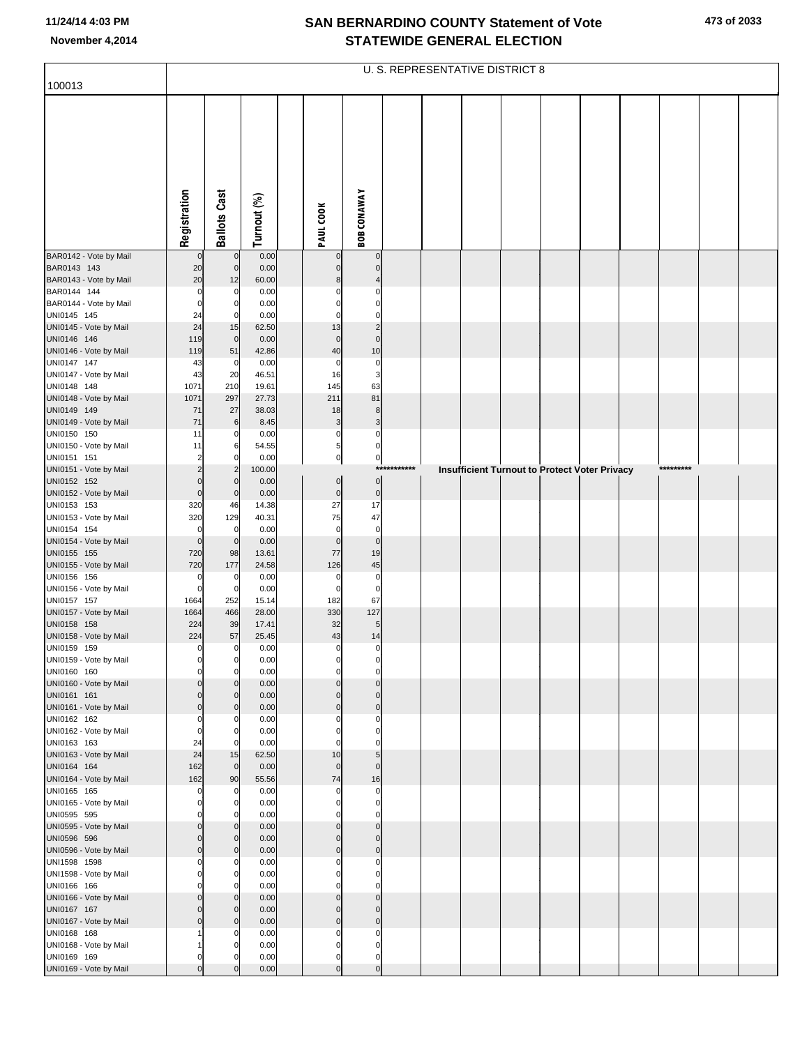| 100013                                 |                         |                                  |                |                                  |                                  |             | U. S. REPRESENTATIVE DISTRICT 8 |  |                                               |           |  |
|----------------------------------------|-------------------------|----------------------------------|----------------|----------------------------------|----------------------------------|-------------|---------------------------------|--|-----------------------------------------------|-----------|--|
|                                        |                         |                                  |                |                                  |                                  |             |                                 |  |                                               |           |  |
|                                        |                         |                                  |                |                                  |                                  |             |                                 |  |                                               |           |  |
|                                        | Registration            | <b>Ballots Cast</b>              | Turnout (%)    | PAUL COOK                        | <b>BOB CONAWAY</b>               |             |                                 |  |                                               |           |  |
|                                        |                         |                                  |                |                                  |                                  |             |                                 |  |                                               |           |  |
| BAR0142 - Vote by Mail<br>BAR0143 143  | $\mathbf{0}$<br>20      | $\overline{0}$<br>$\overline{0}$ | 0.00<br>0.00   | $\overline{0}$<br>$\Omega$       | $\overline{0}$<br>$\overline{0}$ |             |                                 |  |                                               |           |  |
| BAR0143 - Vote by Mail                 | 20                      | 12                               | 60.00          | 8                                |                                  |             |                                 |  |                                               |           |  |
| BAR0144 144                            | $\mathbf 0$<br>$\Omega$ | 0<br>0                           | 0.00<br>0.00   |                                  | $\mathbf 0$<br>$\mathbf 0$       |             |                                 |  |                                               |           |  |
| BAR0144 - Vote by Mail<br>UNI0145 145  | 24                      | 0                                | 0.00           |                                  | $\mathbf 0$                      |             |                                 |  |                                               |           |  |
| UNI0145 - Vote by Mail                 | 24                      | 15                               | 62.50          | 13                               | $\overline{c}$                   |             |                                 |  |                                               |           |  |
| UNI0146 146<br>UNI0146 - Vote by Mail  | 119<br>119              | $\mathbf 0$<br>51                | 0.00<br>42.86  | $\mathbf 0$<br>40                | $\mathbf 0$<br>10                |             |                                 |  |                                               |           |  |
| UNI0147 147                            | 43                      | 0                                | 0.00           | $\mathbf 0$                      | $\mathbf 0$                      |             |                                 |  |                                               |           |  |
| UNI0147 - Vote by Mail                 | 43                      | 20                               | 46.51          | 16                               | 3                                |             |                                 |  |                                               |           |  |
| UNI0148 148<br>UNI0148 - Vote by Mail  | 1071<br>1071            | 210<br>297                       | 19.61<br>27.73 | 145<br>211                       | 63<br>81                         |             |                                 |  |                                               |           |  |
| UNI0149 149                            | 71                      | 27                               | 38.03          | 18                               | 8                                |             |                                 |  |                                               |           |  |
| UNI0149 - Vote by Mail                 | 71                      | 6                                | 8.45           | 3                                | 3                                |             |                                 |  |                                               |           |  |
| UNI0150 150<br>UNI0150 - Vote by Mail  | 11<br>11                | 0<br>6                           | 0.00<br>54.55  | 0<br>5                           | 0<br>$\overline{0}$              |             |                                 |  |                                               |           |  |
| UNI0151 151                            | 2                       | O                                | 0.00           | $\mathbf{0}$                     | $\mathbf{0}$                     |             |                                 |  |                                               |           |  |
| UNI0151 - Vote by Mail                 |                         | $\overline{c}$                   | 100.00         |                                  | $\circ$                          | *********** |                                 |  | Insufficient Turnout to Protect Voter Privacy | ********* |  |
| UNI0152 152<br>UNI0152 - Vote by Mail  | $\Omega$                | $\Omega$<br>$\mathbf 0$          | 0.00<br>0.00   | $\overline{0}$<br>$\overline{0}$ | $\circ$                          |             |                                 |  |                                               |           |  |
| UNI0153 153                            | 320                     | 46                               | 14.38          | 27                               | 17                               |             |                                 |  |                                               |           |  |
| UNI0153 - Vote by Mail<br>UNI0154 154  | 320<br>$\Omega$         | 129<br>0                         | 40.31<br>0.00  | 75<br>$\mathbf 0$                | 47<br>$\mathbf 0$                |             |                                 |  |                                               |           |  |
| UNI0154 - Vote by Mail                 | $\Omega$                | $\mathbf 0$                      | 0.00           | $\mathbf 0$                      | $\overline{0}$                   |             |                                 |  |                                               |           |  |
| UNI0155 155                            | 720                     | 98                               | 13.61          | 77                               | 19                               |             |                                 |  |                                               |           |  |
| UNI0155 - Vote by Mail<br>UNI0156 156  | 720<br>$\Omega$         | 177<br>0                         | 24.58<br>0.00  | 126<br>$\mathbf 0$               | $\bf 45$<br>$\mathbf 0$          |             |                                 |  |                                               |           |  |
| UNI0156 - Vote by Mail                 | $\Omega$                | $\mathbf 0$                      | 0.00           | $\Omega$                         | $\mathbf 0$                      |             |                                 |  |                                               |           |  |
| UNI0157 157                            | 1664<br>1664            | 252<br>466                       | 15.14<br>28.00 | 182<br>330                       | 67<br>127                        |             |                                 |  |                                               |           |  |
| UNI0157 - Vote by Mail<br>UNI0158 158  | 224                     | 39                               | 17.41          | 32                               | 5                                |             |                                 |  |                                               |           |  |
| UNI0158 - Vote by Mail                 | 224                     | 57                               | 25.45          | 43                               | 14                               |             |                                 |  |                                               |           |  |
| UNI0159 159<br>UNI0159 - Vote by Mail  | $\mathbf 0$<br>$\Omega$ | 0<br>$\mathbf 0$                 | 0.00<br>0.00   | $\mathbf 0$<br>0                 | $\overline{0}$<br>$\mathbf{0}$   |             |                                 |  |                                               |           |  |
| UNI0160 160                            | $\Omega$                | $\mathbf 0$                      | 0.00           | $\mathbf 0$                      | $\mathbf 0$                      |             |                                 |  |                                               |           |  |
| UNI0160 - Vote by Mail                 |                         | $\Omega$<br>$\mathbf{0}$         | 0.00           | $\Omega$<br>$\Omega$             | $\overline{0}$<br>$\mathbf 0$    |             |                                 |  |                                               |           |  |
| UNI0161 161<br>UNI0161 - Vote by Mail  | $\Omega$                | $\mathbf 0$                      | 0.00<br>0.00   | $\mathbf 0$                      | $\overline{0}$                   |             |                                 |  |                                               |           |  |
| UNI0162 162                            | C                       | $\Omega$                         | 0.00           | $\Omega$                         | $\mathbf 0$                      |             |                                 |  |                                               |           |  |
| UNI0162 - Vote by Mail<br>UNI0163 163  | $\Omega$<br>24          | $\Omega$<br>$\Omega$             | 0.00<br>0.00   | $\Omega$                         | $\Omega$<br>$\Omega$             |             |                                 |  |                                               |           |  |
| UNI0163 - Vote by Mail                 | 24                      | 15                               | 62.50          | 10                               | 5 <sub>5</sub>                   |             |                                 |  |                                               |           |  |
| UNI0164 164                            | 162                     | $\mathbf 0$                      | 0.00           | $\mathbf 0$                      | $\Omega$                         |             |                                 |  |                                               |           |  |
| UNI0164 - Vote by Mail<br>UNI0165 165  | 162<br>$\Omega$         | 90<br>0                          | 55.56<br>0.00  | 74<br>$\mathbf 0$                | 16<br>$\mathbf 0$                |             |                                 |  |                                               |           |  |
| UNI0165 - Vote by Mail                 | C                       | $\mathbf 0$                      | 0.00           | $\Omega$                         | $\mathbf 0$                      |             |                                 |  |                                               |           |  |
| UNI0595 595<br>UNI0595 - Vote by Mail  | $\Omega$                | U<br>$\Omega$                    | 0.00<br>0.00   | $\Omega$<br>$\Omega$             | $\mathbf 0$<br>$\overline{0}$    |             |                                 |  |                                               |           |  |
| UNI0596 596                            | $\Omega$                | $\mathbf 0$                      | 0.00           | $\Omega$                         | $\Omega$                         |             |                                 |  |                                               |           |  |
| UNI0596 - Vote by Mail                 | $\Omega$                | $\mathbf 0$                      | 0.00           | $\mathbf 0$                      | $\overline{0}$                   |             |                                 |  |                                               |           |  |
| UNI1598 1598<br>UNI1598 - Vote by Mail |                         | 0<br>$\Omega$                    | 0.00<br>0.00   | $\Omega$<br>$\Omega$             | $\mathbf 0$<br>$\mathbf 0$       |             |                                 |  |                                               |           |  |
| UNI0166 166                            |                         | U                                | 0.00           |                                  | $\Omega$                         |             |                                 |  |                                               |           |  |
| UNI0166 - Vote by Mail                 | $\Omega$                | $\Omega$                         | 0.00           | $\mathbf{0}$                     | $\overline{0}$                   |             |                                 |  |                                               |           |  |
| UNI0167 167<br>UNI0167 - Vote by Mail  | $\Omega$                | $\Omega$<br>$\mathbf 0$          | 0.00<br>0.00   | $\Omega$<br>$\Omega$             | $\Omega$<br>$\mathbf 0$          |             |                                 |  |                                               |           |  |
| UNI0168 168                            |                         | 0                                | 0.00           | $\Omega$                         | $\mathbf 0$                      |             |                                 |  |                                               |           |  |
| UNI0168 - Vote by Mail<br>UNI0169 169  |                         | O<br>Ω                           | 0.00<br>0.00   | $\Omega$<br>$\Omega$             | $\mathbf 0$<br>0                 |             |                                 |  |                                               |           |  |
| UNI0169 - Vote by Mail                 | $\Omega$                |                                  | 0.00           | $\Omega$                         | $\mathbf 0$                      |             |                                 |  |                                               |           |  |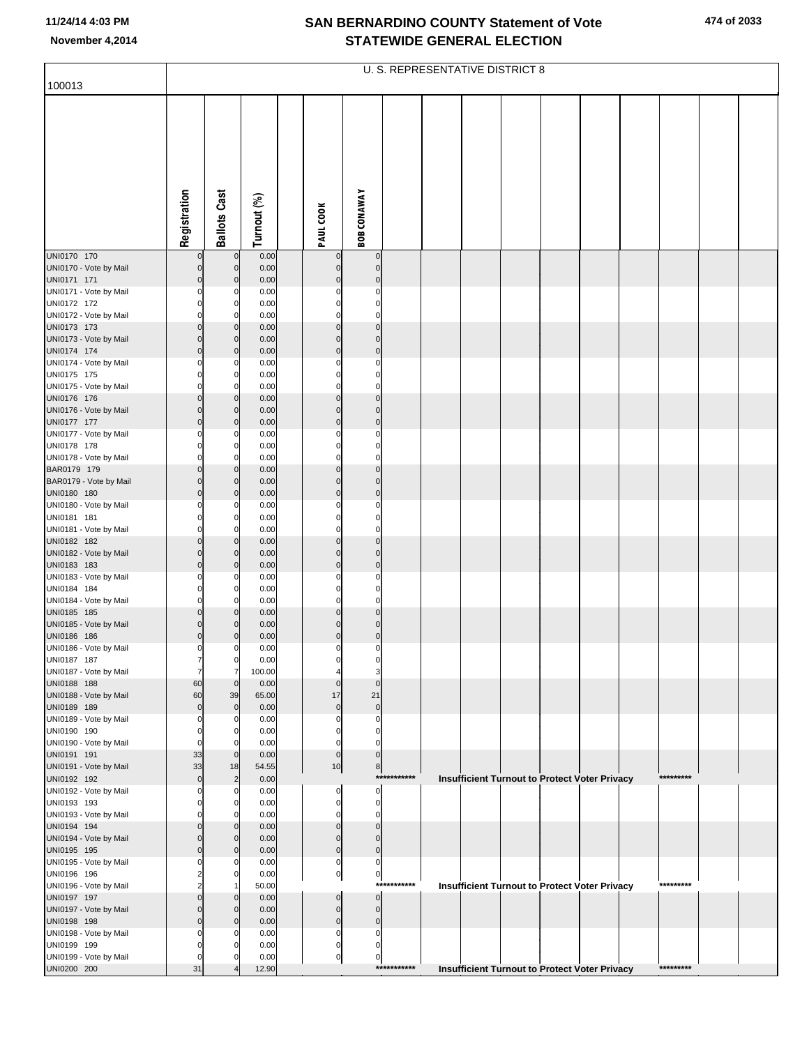| 100013                                |                                  |                            |                |                               |                                  |             | U. S. REPRESENTATIVE DISTRICT 8                      |  |  |           |  |
|---------------------------------------|----------------------------------|----------------------------|----------------|-------------------------------|----------------------------------|-------------|------------------------------------------------------|--|--|-----------|--|
|                                       |                                  |                            |                |                               |                                  |             |                                                      |  |  |           |  |
|                                       |                                  |                            |                |                               |                                  |             |                                                      |  |  |           |  |
|                                       | Registration                     | <b>Ballots Cast</b>        | Turnout (%)    | PAUL COOK                     | <b>BOB CONAWAY</b>               |             |                                                      |  |  |           |  |
|                                       |                                  |                            |                |                               |                                  |             |                                                      |  |  |           |  |
| UNI0170 170                           | $\overline{0}$                   | $\mathbf 0$                | 0.00           | $\mathbf 0$                   | $\overline{0}$                   |             |                                                      |  |  |           |  |
| UNI0170 - Vote by Mail<br>UNI0171 171 | $\overline{0}$<br>$\overline{0}$ | $\mathbf 0$<br>$\mathbf 0$ | 0.00<br>0.00   | $\mathbf{0}$<br>$\Omega$      | $\overline{0}$<br>$\overline{0}$ |             |                                                      |  |  |           |  |
| UNI0171 - Vote by Mail                | $\mathbf{0}$                     | C                          | 0.00           | $\Omega$                      | 0                                |             |                                                      |  |  |           |  |
| UNI0172 172                           | 0                                | 0                          | 0.00           | $\Omega$                      | $\overline{0}$                   |             |                                                      |  |  |           |  |
| UNI0172 - Vote by Mail<br>UNI0173 173 | $\Omega$<br>$\overline{0}$       | $\Omega$<br>$\mathbf 0$    | 0.00<br>0.00   | $\Omega$<br>$\Omega$          | $\mathbf 0$<br>$\overline{0}$    |             |                                                      |  |  |           |  |
| UNI0173 - Vote by Mail                | $\overline{0}$                   | $\mathbf 0$                | 0.00           | $\Omega$                      | $\overline{0}$                   |             |                                                      |  |  |           |  |
| UNI0174 174                           | $\overline{0}$                   | $\mathbf 0$                | 0.00           | $\overline{0}$                | $\overline{0}$                   |             |                                                      |  |  |           |  |
| UNI0174 - Vote by Mail<br>UNI0175 175 | $\mathbf{0}$<br>$\mathbf{0}$     | 0<br>0                     | 0.00<br>0.00   | $\Omega$<br>$\Omega$          | $\mathbf 0$<br>$\overline{0}$    |             |                                                      |  |  |           |  |
| UNI0175 - Vote by Mail                | $\Omega$                         | $\Omega$                   | 0.00           | $\Omega$                      | $\mathbf 0$                      |             |                                                      |  |  |           |  |
| UNI0176 176<br>UNI0176 - Vote by Mail | $\overline{0}$<br>$\overline{0}$ | $\mathbf 0$<br>$\mathbf 0$ | 0.00           | $\Omega$<br>$\Omega$          | $\overline{0}$<br>$\overline{0}$ |             |                                                      |  |  |           |  |
| UNI0177 177                           | $\overline{0}$                   | $\mathbf 0$                | 0.00<br>0.00   | $\Omega$                      | $\overline{0}$                   |             |                                                      |  |  |           |  |
| UNI0177 - Vote by Mail                | $\mathbf{0}$                     | C                          | 0.00           | $\Omega$                      | $\mathbf 0$                      |             |                                                      |  |  |           |  |
| UNI0178 178<br>UNI0178 - Vote by Mail | 0<br>$\mathbf{0}$                | 0<br>$\Omega$              | 0.00<br>0.00   | $\Omega$<br>$\Omega$          | $\mathbf{0}$<br>$\Omega$         |             |                                                      |  |  |           |  |
| BAR0179 179                           | $\overline{0}$                   | $\mathbf 0$                | 0.00           | $\mathbf 0$                   | $\overline{0}$                   |             |                                                      |  |  |           |  |
| BAR0179 - Vote by Mail                | $\overline{0}$                   | $\mathbf 0$                | 0.00           | $\Omega$                      | $\overline{0}$                   |             |                                                      |  |  |           |  |
| UNI0180 180<br>UNI0180 - Vote by Mail | $\overline{0}$<br>$\mathbf{0}$   | $\mathbf 0$<br>0           | 0.00<br>0.00   | $\overline{0}$<br>$\Omega$    | $\overline{0}$<br>$\mathbf 0$    |             |                                                      |  |  |           |  |
| UNI0181 181                           | $\mathbf{0}$                     | 0                          | 0.00           | $\Omega$                      | $\overline{0}$                   |             |                                                      |  |  |           |  |
| UNI0181 - Vote by Mail                | $\Omega$                         | $\Omega$                   | 0.00           | $\Omega$                      | $\mathbf 0$                      |             |                                                      |  |  |           |  |
| UNI0182 182<br>UNI0182 - Vote by Mail | $\overline{0}$<br>$\overline{0}$ | $\mathbf 0$<br>$\mathbf 0$ | 0.00<br>0.00   | $\Omega$<br>$\Omega$          | $\overline{0}$<br>$\overline{0}$ |             |                                                      |  |  |           |  |
| UNI0183 183                           | $\overline{0}$                   | $\mathbf 0$                | 0.00           | $\Omega$                      | $\overline{0}$                   |             |                                                      |  |  |           |  |
| UNI0183 - Vote by Mail<br>UNI0184 184 | $\mathbf{0}$<br>$\mathbf{0}$     | C<br>0                     | 0.00<br>0.00   | $\Omega$<br>$\Omega$          | 0<br>$\overline{0}$              |             |                                                      |  |  |           |  |
| UNI0184 - Vote by Mail                | $\mathbf{0}$                     | $\Omega$                   | 0.00           | $\Omega$                      | $\Omega$                         |             |                                                      |  |  |           |  |
| UNI0185 185                           | $\overline{0}$                   | $\mathbf 0$                | 0.00           | $\mathbf 0$                   | $\overline{0}$                   |             |                                                      |  |  |           |  |
| UNI0185 - Vote by Mail<br>UNI0186 186 | $\overline{0}$<br>$\overline{0}$ | $\Omega$<br>$\Omega$       | 0.00<br>0.00   | $\mathbf 0$<br>$\overline{0}$ | $\overline{0}$<br>$\overline{0}$ |             |                                                      |  |  |           |  |
| UNI0186 - Vote by Mail                | $\mathbf{0}$                     | C                          | 0.00           | 0                             | $\mathbf{0}$                     |             |                                                      |  |  |           |  |
| UNI0187 187                           | 7<br>7                           | 0                          | 0.00           | 0                             | 0                                |             |                                                      |  |  |           |  |
| UNI0187 - Vote by Mail<br>UNI0188 188 | 60                               | 7<br>$\mathbf 0$           | 100.00<br>0.00 | $\Omega$                      | 3<br>$\mathbf 0$                 |             |                                                      |  |  |           |  |
| UNI0188 - Vote by Mail                | 60                               | 39                         | 65.00          | 17                            | 21                               |             |                                                      |  |  |           |  |
| UNI0189 189<br>UNI0189 - Vote by Mail | $\overline{0}$<br>$\Omega$       | $\mathbf 0$<br>$\Omega$    | 0.00<br>0.00   | $\mathbf 0$<br>$\Omega$       | $\mathbf 0$<br>0                 |             |                                                      |  |  |           |  |
| UNI0190 190                           | $\mathbf{0}$                     | 0                          | 0.00           | $\Omega$                      | $\mathbf{0}$                     |             |                                                      |  |  |           |  |
| UNI0190 - Vote by Mail                | $\Omega$                         | 0                          | 0.00           | $\Omega$                      | 0                                |             |                                                      |  |  |           |  |
| UNI0191 191<br>UNI0191 - Vote by Mail | 33<br>33                         | $\mathbf 0$<br>18          | 0.00<br>54.55  | $\overline{0}$<br>$10$        | $\overline{0}$<br>8 <sup>1</sup> |             |                                                      |  |  |           |  |
| UNI0192 192                           | $\overline{0}$                   | $\overline{c}$             | 0.00           |                               |                                  | *********** | Insufficient Turnout to Protect Voter Privacy        |  |  | ********* |  |
| UNI0192 - Vote by Mail                | $\Omega$<br>$\Omega$             | $\Omega$<br>0              | 0.00<br>0.00   | 0<br>0                        | $\mathbf{0}$<br>$\mathbf{0}$     |             |                                                      |  |  |           |  |
| UNI0193 193<br>UNI0193 - Vote by Mail |                                  | $\Omega$                   | 0.00           | $\Omega$                      | 0                                |             |                                                      |  |  |           |  |
| UNI0194 194                           | $\Omega$                         | $\Omega$                   | 0.00           | $\Omega$                      | $\Omega$                         |             |                                                      |  |  |           |  |
| UNI0194 - Vote by Mail<br>UNI0195 195 | 0<br>$\overline{0}$              | $\Omega$<br>$\Omega$       | 0.00<br>0.00   | $\Omega$<br>$\overline{0}$    | $\Omega$<br>$\overline{0}$       |             |                                                      |  |  |           |  |
| UNI0195 - Vote by Mail                | 0                                | C                          | 0.00           | 0                             | $\overline{0}$                   |             |                                                      |  |  |           |  |
| UNI0196 196                           | 2                                | $\mathbf 0$                | 0.00           | $\overline{0}$                | 이                                |             |                                                      |  |  | ********* |  |
| UNI0196 - Vote by Mail<br>UNI0197 197 | $\Omega$                         | $\mathbf 0$                | 50.00<br>0.00  | $\mathbf 0$                   | $\Omega$                         | *********** | <b>Insufficient Turnout to Protect Voter Privacy</b> |  |  |           |  |
| UNI0197 - Vote by Mail                | $\Omega$                         | $\Omega$                   | 0.00           | $\overline{0}$                | $\overline{0}$                   |             |                                                      |  |  |           |  |
| UNI0198 198                           | $\overline{0}$                   | $\Omega$                   | 0.00           | $\overline{0}$                | $\overline{0}$                   |             |                                                      |  |  |           |  |
| UNI0198 - Vote by Mail<br>UNI0199 199 | 0<br>ŋ                           | C<br>0                     | 0.00<br>0.00   | 0<br>$\overline{0}$           | $\mathbf{0}$<br>0                |             |                                                      |  |  |           |  |
| UNI0199 - Vote by Mail                | $\Omega$                         | C                          | 0.00           | $\mathbf{0}$                  | $\overline{0}$                   |             |                                                      |  |  |           |  |
| UNI0200 200                           | 31                               |                            | 12.90          |                               |                                  | *********** | Insufficient Turnout to Protect Voter Privacy        |  |  | ********* |  |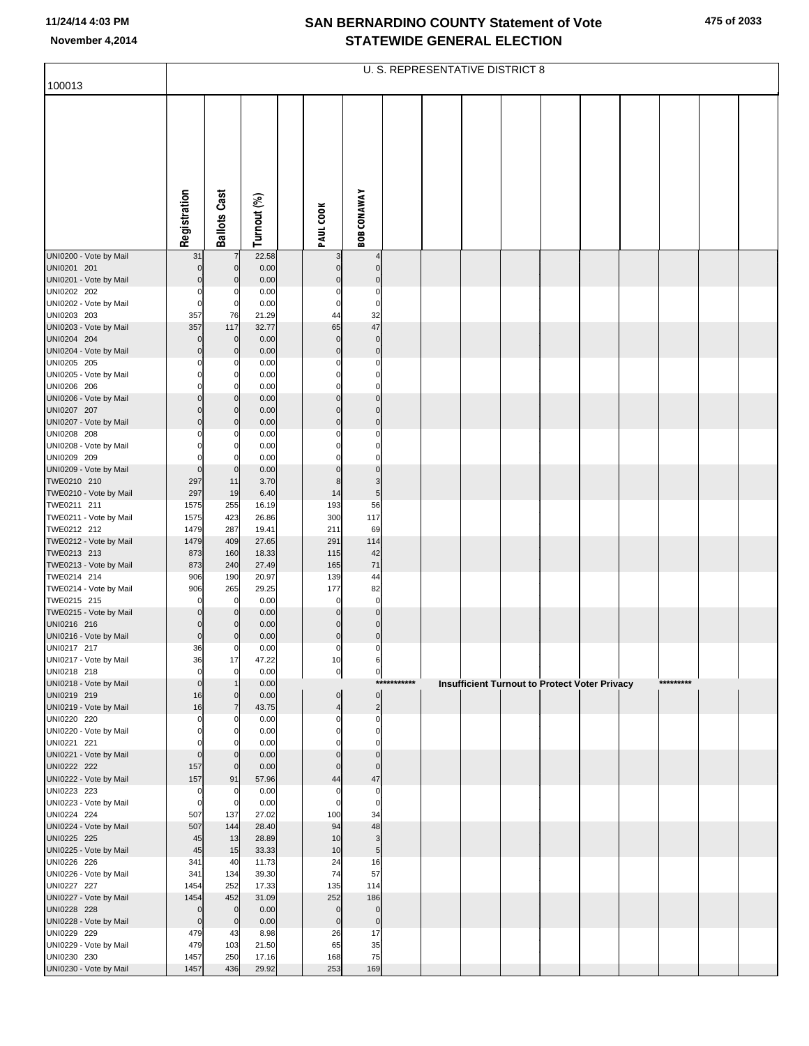| 100013                                |                  |                     |                |                             |                               |             |  | U. S. REPRESENTATIVE DISTRICT 8 |                                               |           |  |
|---------------------------------------|------------------|---------------------|----------------|-----------------------------|-------------------------------|-------------|--|---------------------------------|-----------------------------------------------|-----------|--|
|                                       | Registration     | <b>Ballots Cast</b> | Turnout (%)    | PAUL COOK                   | <b>BOB CONAWAY</b>            |             |  |                                 |                                               |           |  |
|                                       |                  |                     |                |                             |                               |             |  |                                 |                                               |           |  |
| UNI0200 - Vote by Mail                | 31               | $\overline{7}$      | 22.58          | 3                           | 4                             |             |  |                                 |                                               |           |  |
| UNI0201 201                           | $\mathbf 0$      | $\mathbf 0$         | 0.00           | $\mathbf 0$                 | $\mathbf 0$                   |             |  |                                 |                                               |           |  |
| UNI0201 - Vote by Mail                | $\Omega$         | $\mathbf 0$         | 0.00           | $\Omega$                    | $\pmb{0}$                     |             |  |                                 |                                               |           |  |
| UNI0202 202<br>UNI0202 - Vote by Mail | 0<br>0           | 0<br>$\pmb{0}$      | 0.00<br>0.00   | $\Omega$<br>$\mathbf 0$     | $\mathbf 0$<br>$\mathbf 0$    |             |  |                                 |                                               |           |  |
| UNI0203 203                           | 357              | 76                  | 21.29          | 44                          | 32                            |             |  |                                 |                                               |           |  |
| UNI0203 - Vote by Mail                | 357              | 117                 | 32.77          | 65                          | 47                            |             |  |                                 |                                               |           |  |
| UNI0204 204                           | 0                | $\overline{0}$      | 0.00           | $\mathbf 0$                 | $\pmb{0}$                     |             |  |                                 |                                               |           |  |
| UNI0204 - Vote by Mail                | $\mathbf 0$      | $\overline{0}$      | 0.00           | $\pmb{0}$                   | $\mathbf 0$                   |             |  |                                 |                                               |           |  |
| UNI0205 205<br>UNI0205 - Vote by Mail | 0<br>0           | 0<br>0              | 0.00<br>0.00   | $\Omega$<br>$\Omega$        | $\mathbf 0$<br>$\mathbf 0$    |             |  |                                 |                                               |           |  |
| UNI0206 206                           | $\Omega$         | $\Omega$            | 0.00           | $\Omega$                    | $\mathbf 0$                   |             |  |                                 |                                               |           |  |
| UNI0206 - Vote by Mail                | $\mathbf 0$      | 0                   | 0.00           | $\mathbf{0}$                | $\pmb{0}$                     |             |  |                                 |                                               |           |  |
| UNI0207 207                           | $\mathbf 0$      | $\mathbf 0$         | 0.00           | $\Omega$                    | $\pmb{0}$                     |             |  |                                 |                                               |           |  |
| UNI0207 - Vote by Mail<br>UNI0208 208 | $\Omega$<br>0    | $\mathbf 0$<br>0    | 0.00<br>0.00   | $\Omega$<br>0               | $\mathbf 0$<br>0              |             |  |                                 |                                               |           |  |
| UNI0208 - Vote by Mail                | ŋ                | 0                   | 0.00           | 0                           | $\mathbf 0$                   |             |  |                                 |                                               |           |  |
| UNI0209 209                           | $\Omega$         | 0                   | 0.00           | $\Omega$                    | $\mathbf 0$                   |             |  |                                 |                                               |           |  |
| UNI0209 - Vote by Mail                | $\mathbf 0$      | $\mathbf 0$         | 0.00           | $\mathbf 0$                 | $\pmb{0}$                     |             |  |                                 |                                               |           |  |
| TWE0210 210                           | 297<br>297       | 11                  | 3.70           | 8                           | 3<br>5 <sub>l</sub>           |             |  |                                 |                                               |           |  |
| TWE0210 - Vote by Mail<br>TWE0211 211 | 1575             | 19<br>255           | 6.40<br>16.19  | 14<br>193                   | 56                            |             |  |                                 |                                               |           |  |
| TWE0211 - Vote by Mail                | 1575             | 423                 | 26.86          | 300                         | 117                           |             |  |                                 |                                               |           |  |
| TWE0212 212                           | 1479             | 287                 | 19.41          | 211                         | 69                            |             |  |                                 |                                               |           |  |
| TWE0212 - Vote by Mail                | 1479             | 409                 | 27.65          | 291                         | 114                           |             |  |                                 |                                               |           |  |
| TWE0213 213<br>TWE0213 - Vote by Mail | 873<br>873       | 160<br>240          | 18.33<br>27.49 | 115<br>165                  | 42<br>71                      |             |  |                                 |                                               |           |  |
| TWE0214 214                           | 906              | 190                 | 20.97          | 139                         | 44                            |             |  |                                 |                                               |           |  |
| TWE0214 - Vote by Mail                | 906              | 265                 | 29.25          | 177                         | 82                            |             |  |                                 |                                               |           |  |
| TWE0215 215                           | 0                | $\mathbf 0$         | 0.00           | $\mathbf 0$                 | $\mathbf 0$                   |             |  |                                 |                                               |           |  |
| TWE0215 - Vote by Mail<br>UNI0216 216 | 0<br>$\mathbf 0$ | $\mathbf 0$<br>0    | 0.00<br>0.00   | $\mathbf 0$<br>$\mathbf{0}$ | $\pmb{0}$<br>$\pmb{0}$        |             |  |                                 |                                               |           |  |
| UNI0216 - Vote by Mail                | $\mathbf 0$      | 0                   | 0.00           | $\pmb{0}$                   | $\overline{0}$                |             |  |                                 |                                               |           |  |
| UNI0217 217                           | 36               | 0                   | 0.00           | $\Omega$                    | $\mathbf 0$                   |             |  |                                 |                                               |           |  |
| UNI0217 - Vote by Mail                | 36               | 17                  | 47.22          | 10                          | 6                             |             |  |                                 |                                               |           |  |
| UNI0218 218<br>UNI0218 - Vote by Mail | 0<br>$\mathbf 0$ | 0                   | 0.00<br>0.00   | $\overline{0}$              | $\overline{0}$                | *********** |  |                                 |                                               | ********* |  |
| UNI0219 219                           | 16               | $\mathbf 0$         | 0.00           | $\mathbf 0$                 | $\overline{0}$                |             |  |                                 | Insufficient Turnout to Protect Voter Privacy |           |  |
| UNI0219 - Vote by Mail                | 16               | $\overline{7}$      | 43.75          | 4                           | $\overline{2}$                |             |  |                                 |                                               |           |  |
| UNI0220 220                           | 0                | 0                   | 0.00           | 0                           | 0                             |             |  |                                 |                                               |           |  |
| UNI0220 - Vote by Mail<br>UNI0221 221 | 0<br>0           | 0<br>0              | 0.00<br>0.00   | 0<br>$\Omega$               | $\overline{0}$<br>$\mathbf 0$ |             |  |                                 |                                               |           |  |
| UNI0221 - Vote by Mail                | $\mathbf 0$      | $\mathbf 0$         | 0.00           | $\mathbf 0$                 | $\pmb{0}$                     |             |  |                                 |                                               |           |  |
| UNI0222 222                           | 157              | $\mathbf 0$         | 0.00           | $\mathbf 0$                 | $\pmb{0}$                     |             |  |                                 |                                               |           |  |
| UNI0222 - Vote by Mail                | 157              | 91                  | 57.96          | 44                          | 47                            |             |  |                                 |                                               |           |  |
| UNI0223 223<br>UNI0223 - Vote by Mail | 0<br>0           | 0<br>$\mathbf 0$    | 0.00<br>0.00   | 0<br>0                      | 0<br>$\mathbf 0$              |             |  |                                 |                                               |           |  |
| UNI0224 224                           | 507              | 137                 | 27.02          | 100                         | 34                            |             |  |                                 |                                               |           |  |
| UNI0224 - Vote by Mail                | 507              | 144                 | 28.40          | 94                          | 48                            |             |  |                                 |                                               |           |  |
| UNI0225 225                           | 45               | 13                  | 28.89          | 10                          | 3                             |             |  |                                 |                                               |           |  |
| UNI0225 - Vote by Mail                | 45               | 15                  | 33.33          | 10                          | 5 <sub>5</sub>                |             |  |                                 |                                               |           |  |
| UNI0226 226<br>UNI0226 - Vote by Mail | 341<br>341       | 40<br>134           | 11.73<br>39.30 | 24<br>74                    | 16<br>57                      |             |  |                                 |                                               |           |  |
| UNI0227 227                           | 1454             | 252                 | 17.33          | 135                         | 114                           |             |  |                                 |                                               |           |  |
| UNI0227 - Vote by Mail                | 1454             | 452                 | 31.09          | 252                         | 186                           |             |  |                                 |                                               |           |  |
| UNI0228 228                           | 0                | $\mathbf 0$         | 0.00           | $\mathbf 0$                 | $\pmb{0}$                     |             |  |                                 |                                               |           |  |
| UNI0228 - Vote by Mail<br>UNI0229 229 | $\mathbf 0$      | $\mathbf 0$         | 0.00           | $\mathbf 0$<br>26           | $\mathbf 0$<br>17             |             |  |                                 |                                               |           |  |
| UNI0229 - Vote by Mail                | 479<br>479       | 43<br>103           | 8.98<br>21.50  | 65                          | 35                            |             |  |                                 |                                               |           |  |
| UNI0230 230                           | 1457             | 250                 | 17.16          | 168                         | 75                            |             |  |                                 |                                               |           |  |
| UNI0230 - Vote by Mail                | 1457             | 436                 | 29.92          | 253                         | 169                           |             |  |                                 |                                               |           |  |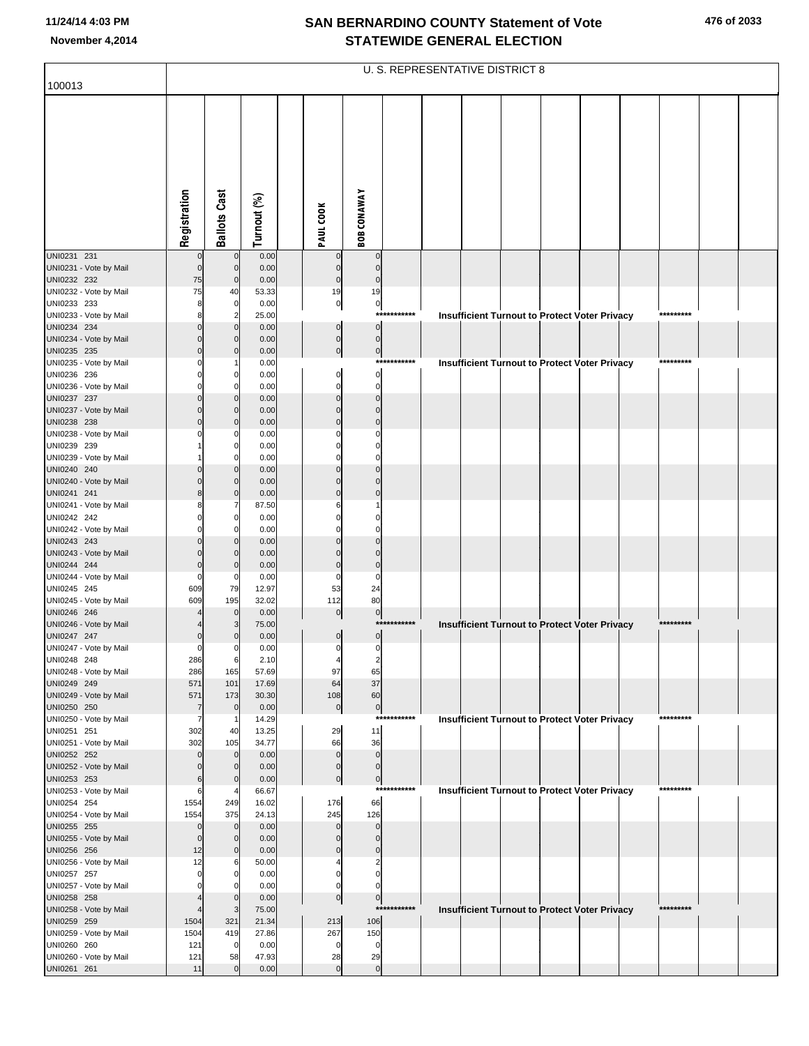|                                       |                       |                            |                |                               |                               |             | U. S. REPRESENTATIVE DISTRICT 8 |  |                                                      |           |  |
|---------------------------------------|-----------------------|----------------------------|----------------|-------------------------------|-------------------------------|-------------|---------------------------------|--|------------------------------------------------------|-----------|--|
| 100013                                |                       |                            |                |                               |                               |             |                                 |  |                                                      |           |  |
|                                       | Registration          | <b>Ballots Cast</b>        | Turnout (%)    | PAUL COOK                     | <b>BOB CONAWAY</b>            |             |                                 |  |                                                      |           |  |
|                                       |                       |                            |                |                               |                               |             |                                 |  |                                                      |           |  |
| UNI0231 231                           | $\overline{0}$        | $\mathbf 0$                | 0.00           | $\mathbf 0$                   | $\mathbf 0$                   |             |                                 |  |                                                      |           |  |
| UNI0231 - Vote by Mail<br>UNI0232 232 | $\Omega$<br>75        | $\Omega$<br>$\mathbf 0$    | 0.00<br>0.00   | $\mathbf 0$<br>$\mathbf 0$    | $\mathbf 0$<br>$\mathbf 0$    |             |                                 |  |                                                      |           |  |
| UNI0232 - Vote by Mail                | 75                    | 40                         | 53.33          | 19                            | 19                            |             |                                 |  |                                                      |           |  |
| UNI0233 233                           | 8                     | 0                          | 0.00           | $\overline{0}$                | $\circ$<br>$***$              | *******     |                                 |  |                                                      | ********* |  |
| UNI0233 - Vote by Mail<br>UNI0234 234 |                       | $\overline{2}$<br>$\Omega$ | 25.00<br>0.00  | 0                             | $\overline{0}$                |             |                                 |  | <b>Insufficient Turnout to Protect Voter Privacy</b> |           |  |
| UNI0234 - Vote by Mail                |                       | $\Omega$                   | 0.00           | $\overline{0}$                | $\overline{0}$                |             |                                 |  |                                                      |           |  |
| UNI0235 235<br>UNI0235 - Vote by Mail | $\Omega$              | $\Omega$                   | 0.00<br>0.00   | $\overline{0}$                | $\overline{0}$                | *********** |                                 |  |                                                      |           |  |
| UNI0236 236                           |                       | $\Omega$                   | 0.00           | $\Omega$                      | $\overline{0}$                |             |                                 |  | <b>Insufficient Turnout to Protect Voter Privacy</b> |           |  |
| UNI0236 - Vote by Mail                |                       | n                          | 0.00           | $\Omega$                      | $\mathbf 0$                   |             |                                 |  |                                                      |           |  |
| UNI0237 237<br>UNI0237 - Vote by Mail |                       | $\Omega$<br>$\Omega$       | 0.00<br>0.00   | $\Omega$<br>$\Omega$          | $\mathbf 0$<br>$\Omega$       |             |                                 |  |                                                      |           |  |
| UNI0238 238                           |                       | $\Omega$                   | 0.00           | $\Omega$                      | $\Omega$                      |             |                                 |  |                                                      |           |  |
| UNI0238 - Vote by Mail                |                       | -0<br>$\Omega$             | 0.00           |                               | $\Omega$<br>$\Omega$          |             |                                 |  |                                                      |           |  |
| UNI0239 239<br>UNI0239 - Vote by Mail |                       | n                          | 0.00<br>0.00   |                               | $\Omega$                      |             |                                 |  |                                                      |           |  |
| UNI0240 240                           |                       | $\Omega$                   | 0.00           |                               | $\Omega$                      |             |                                 |  |                                                      |           |  |
| UNI0240 - Vote by Mail<br>UNI0241 241 |                       | $\Omega$<br>$\Omega$       | 0.00<br>0.00   | $\Omega$                      | $\Omega$<br>$\Omega$          |             |                                 |  |                                                      |           |  |
| UNI0241 - Vote by Mail                |                       |                            | 87.50          |                               |                               |             |                                 |  |                                                      |           |  |
| UNI0242 242                           |                       | $\Omega$<br>n              | 0.00           |                               | $\Omega$<br>C                 |             |                                 |  |                                                      |           |  |
| UNI0242 - Vote by Mail<br>UNI0243 243 |                       |                            | 0.00<br>0.00   |                               | $\Omega$                      |             |                                 |  |                                                      |           |  |
| UNI0243 - Vote by Mail                |                       | $\Omega$                   | 0.00           |                               | $\Omega$                      |             |                                 |  |                                                      |           |  |
| UNI0244 244<br>UNI0244 - Vote by Mail | $\Omega$<br>$\Omega$  | $\Omega$<br>0              | 0.00<br>0.00   | $\Omega$<br>C                 | $\bf 0$<br>$\mathbf 0$        |             |                                 |  |                                                      |           |  |
| UNI0245 245                           | 609                   | 79                         | 12.97          | 53                            | 24                            |             |                                 |  |                                                      |           |  |
| UNI0245 - Vote by Mail                | 609                   | 195                        | 32.02          | 112                           | 80                            |             |                                 |  |                                                      |           |  |
| UNI0246 246<br>UNI0246 - Vote by Mail |                       | $\mathbf 0$                | 0.00<br>75.00  | 0                             | $\overline{0}$<br>***         | ********    |                                 |  | <b>Insufficient Turnout to Protect Voter Privacy</b> | ********* |  |
| UNI0247 247                           |                       |                            | 0.00           | $\mathbf{0}$                  | $\overline{0}$                |             |                                 |  |                                                      |           |  |
| UNI0247 - Vote by Mail<br>UNI0248 248 | $\Omega$<br>286       | -0<br>6                    | 0.00<br>2.10   | $\mathbf 0$<br>$\overline{4}$ | $\pmb{0}$<br>2                |             |                                 |  |                                                      |           |  |
| UNI0248 - Vote by Mail                | 286                   | 165                        | 57.69          | 97                            | 65                            |             |                                 |  |                                                      |           |  |
| UNI0249 249                           | 571                   | 101                        | 17.69          | 64                            | 37                            |             |                                 |  |                                                      |           |  |
| UNI0249 - Vote by Mail<br>UNI0250 250 | 571<br>$\overline{7}$ | 173<br>$\mathbf 0$         | 30.30<br>0.00  | 108<br>$\pmb{0}$              | 60<br>$\overline{0}$          |             |                                 |  |                                                      |           |  |
| UNI0250 - Vote by Mail                | 7                     |                            | 14.29          |                               | $***$                         | *******     |                                 |  | <b>Insufficient Turnout to Protect Voter Privacy</b> | ********* |  |
| UNI0251 251<br>UNI0251 - Vote by Mail | 302<br>302            | 40<br>105                  | 13.25<br>34.77 | 29<br>66                      | 11<br>36                      |             |                                 |  |                                                      |           |  |
| UNI0252 252                           | $\Omega$              | $\Omega$                   | 0.00           | $\mathbf 0$                   | $\mathbf 0$                   |             |                                 |  |                                                      |           |  |
| UNI0252 - Vote by Mail                |                       | $\Omega$                   | 0.00           | $\mathbf 0$                   | $\mathbf 0$                   |             |                                 |  |                                                      |           |  |
| UNI0253 253<br>UNI0253 - Vote by Mail | 6<br>6                | $\Omega$                   | 0.00<br>66.67  | $\mathbf 0$                   | $\overline{0}$<br>$***$       | ********    |                                 |  | <b>Insufficient Turnout to Protect Voter Privacy</b> | ********* |  |
| UNI0254 254                           | 1554                  | 249                        | 16.02          | 176                           | 66                            |             |                                 |  |                                                      |           |  |
| UNI0254 - Vote by Mail<br>UNI0255 255 | 1554<br>$\Omega$      | 375<br>$\Omega$            | 24.13<br>0.00  | 245<br>$\Omega$               | 126<br>$\mathbf 0$            |             |                                 |  |                                                      |           |  |
| UNI0255 - Vote by Mail                | $\Omega$              | $\Omega$                   | 0.00           | O                             | $\Omega$                      |             |                                 |  |                                                      |           |  |
| UNI0256 256                           | 12                    | $\mathbf 0$                | 0.00           | $\Omega$                      | $\mathbf 0$                   |             |                                 |  |                                                      |           |  |
| UNI0256 - Vote by Mail<br>UNI0257 257 | 12<br>$\Omega$        | 6                          | 50.00<br>0.00  | C                             | $\overline{2}$<br>$\mathbf 0$ |             |                                 |  |                                                      |           |  |
| UNI0257 - Vote by Mail                |                       |                            | 0.00           | C                             | $\Omega$                      |             |                                 |  |                                                      |           |  |
| UNI0258 258                           |                       | $\Omega$                   | 0.00           | $\overline{0}$                | $\overline{0}$<br>$***$       | ********    |                                 |  |                                                      | ********* |  |
| UNI0258 - Vote by Mail<br>UNI0259 259 | 1504                  | 321                        | 75.00<br>21.34 | 213                           | 106                           |             |                                 |  | Insufficient Turnout to Protect Voter Privacy        |           |  |
| UNI0259 - Vote by Mail                | 1504                  | 419                        | 27.86          | 267                           | 150                           |             |                                 |  |                                                      |           |  |
| UNI0260 260<br>UNI0260 - Vote by Mail | 121<br>121            | $\Omega$<br>58             | 0.00<br>47.93  | $\Omega$<br>28                | $\mathbf 0$<br>29             |             |                                 |  |                                                      |           |  |
| UNI0261 261                           | 11                    | $\Omega$                   | 0.00           | $\Omega$                      | $\mathbf 0$                   |             |                                 |  |                                                      |           |  |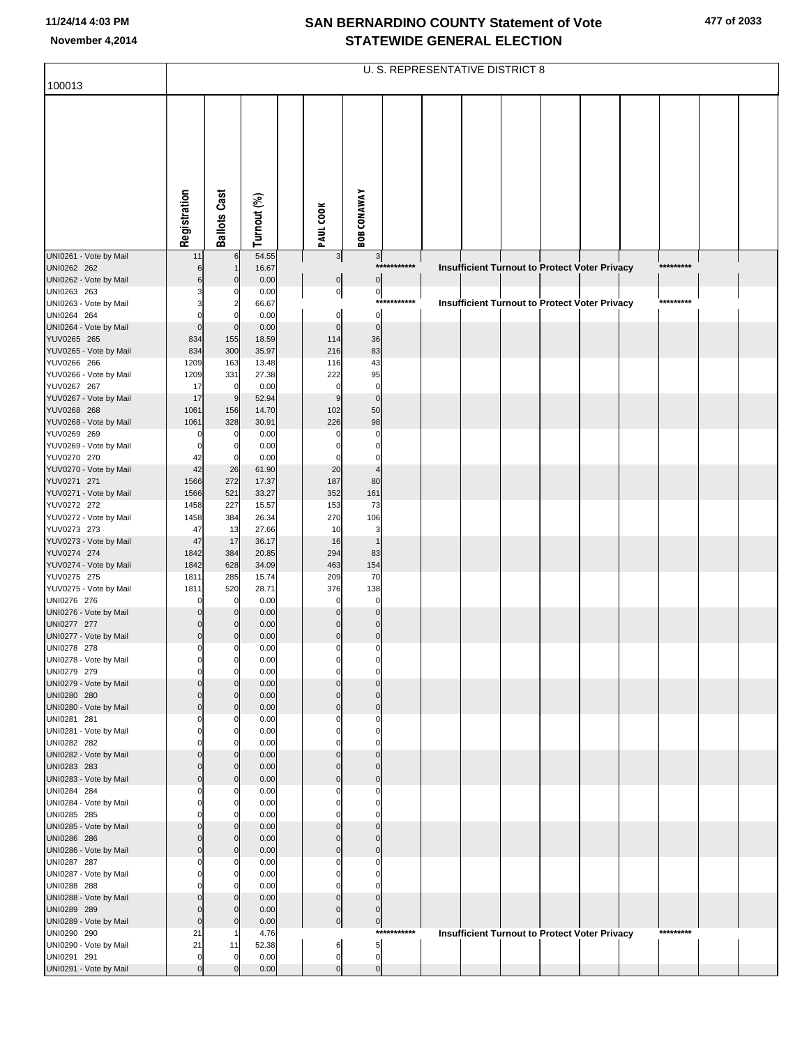|                                       |                         |                      |                |                         |                           |             | <b>U. S. REPRESENTATIVE DISTRICT 8</b> |                                                      |  |           |  |
|---------------------------------------|-------------------------|----------------------|----------------|-------------------------|---------------------------|-------------|----------------------------------------|------------------------------------------------------|--|-----------|--|
| 100013                                |                         |                      |                |                         |                           |             |                                        |                                                      |  |           |  |
|                                       | Registration            | <b>Ballots Cast</b>  | Turnout (%)    | PAUL COOK               | <b>BOB CONAWAY</b>        |             |                                        |                                                      |  |           |  |
| UNI0261 - Vote by Mail                | 11                      | 6                    | 54.55          | 3                       | $\mathbf{3}$              |             |                                        |                                                      |  |           |  |
| UNI0262 262<br>UNI0262 - Vote by Mail | 6<br>6                  | $\Omega$             | 16.67<br>0.00  | $\pmb{0}$               | $\pmb{0}$                 | *********** |                                        | <b>Insufficient Turnout to Protect Voter Privacy</b> |  | ********* |  |
| UNI0263 263                           |                         |                      | 0.00           | $\overline{0}$          | $\pmb{0}$                 |             |                                        |                                                      |  |           |  |
| UNI0263 - Vote by Mail                |                         |                      | 66.67          |                         |                           | *********** |                                        | <b>Insufficient Turnout to Protect Voter Privacy</b> |  | ********* |  |
| UNI0264 264                           |                         |                      | 0.00           | $\pmb{0}$               | $\mathbf 0$               |             |                                        |                                                      |  |           |  |
| UNI0264 - Vote by Mail<br>YUV0265 265 | $\mathbf 0$<br>834      | $\mathbf 0$<br>155   | 0.00<br>18.59  | $\mathbf 0$<br>114      | $\mathbf 0$<br>36         |             |                                        |                                                      |  |           |  |
| YUV0265 - Vote by Mail                | 834                     | 300                  | 35.97          | 216                     | 83                        |             |                                        |                                                      |  |           |  |
| YUV0266 266                           | 1209                    | 163                  | 13.48          | 116                     | 43                        |             |                                        |                                                      |  |           |  |
| YUV0266 - Vote by Mail                | 1209                    | 331                  | 27.38          | 222                     | 95                        |             |                                        |                                                      |  |           |  |
| YUV0267 267                           | 17                      | $\mathbf 0$          | 0.00           | $\mathbf 0$             | $\mathbf 0$               |             |                                        |                                                      |  |           |  |
| YUV0267 - Vote by Mail<br>YUV0268 268 | 17<br>1061              | g<br>156             | 52.94<br>14.70 | 9<br>102                | $\mathbf 0$<br>50         |             |                                        |                                                      |  |           |  |
| YUV0268 - Vote by Mail                | 1061                    | 328                  | 30.91          | 226                     | 98                        |             |                                        |                                                      |  |           |  |
| YUV0269 269                           |                         | 0                    | 0.00           | 0                       | C                         |             |                                        |                                                      |  |           |  |
| YUV0269 - Vote by Mail                |                         | 0                    | 0.00           | $\Omega$                | $\mathsf{C}$              |             |                                        |                                                      |  |           |  |
| YUV0270 270<br>YUV0270 - Vote by Mail | 42<br>42                | 26                   | 0.00<br>61.90  | 0<br>20                 | 0<br>4                    |             |                                        |                                                      |  |           |  |
| YUV0271 271                           | 1566                    | 272                  | 17.37          | 187                     | 80                        |             |                                        |                                                      |  |           |  |
| YUV0271 - Vote by Mail                | 1566                    | 521                  | 33.27          | 352                     | 161                       |             |                                        |                                                      |  |           |  |
| YUV0272 272                           | 1458                    | 227                  | 15.57          | 153                     | 73                        |             |                                        |                                                      |  |           |  |
| YUV0272 - Vote by Mail<br>YUV0273 273 | 1458                    | 384                  | 26.34          | 270                     | 106                       |             |                                        |                                                      |  |           |  |
| YUV0273 - Vote by Mail                | 47<br>47                | 13<br>17             | 27.66<br>36.17 | 10<br>16                | 3<br>$\overline{1}$       |             |                                        |                                                      |  |           |  |
| YUV0274 274                           | 1842                    | 384                  | 20.85          | 294                     | 83                        |             |                                        |                                                      |  |           |  |
| YUV0274 - Vote by Mail                | 1842                    | 628                  | 34.09          | 463                     | 154                       |             |                                        |                                                      |  |           |  |
| YUV0275 275                           | 1811                    | 285                  | 15.74          | 209                     | 70                        |             |                                        |                                                      |  |           |  |
| YUV0275 - Vote by Mail<br>UNI0276 276 | 1811                    | 520<br>0             | 28.71<br>0.00  | 376<br>0                | 138<br>0                  |             |                                        |                                                      |  |           |  |
| UNI0276 - Vote by Mail                |                         |                      | 0.00           | $\Omega$                | $\Omega$                  |             |                                        |                                                      |  |           |  |
| UNI0277 277                           |                         |                      | 0.00           |                         | $\mathcal{C}$             |             |                                        |                                                      |  |           |  |
| UNI0277 - Vote by Mail                | $\mathbf 0$             |                      | 0.00           | $\Omega$                | $\mathbf 0$               |             |                                        |                                                      |  |           |  |
| UNI0278 278<br>UNI0278 - Vote by Mail | $\mathbf 0$<br>0        | 0<br>$\overline{0}$  | 0.00<br>0.00   | $\mathbf 0$<br>0        | $\mathbf 0$<br>0          |             |                                        |                                                      |  |           |  |
| UNI0279 279                           | $\Omega$                | 0                    | 0.00           | 0                       | $\mathbf 0$               |             |                                        |                                                      |  |           |  |
| UNI0279 - Vote by Mail                |                         |                      | 0.00           | $\Omega$                | C                         |             |                                        |                                                      |  |           |  |
| UNI0280 280                           | $\Omega$<br>$\mathbf 0$ | $\Omega$<br>$\Omega$ | 0.00           | $\Omega$<br>$\mathbf 0$ | $\mathcal{C}$<br>$\Omega$ |             |                                        |                                                      |  |           |  |
| UNI0280 - Vote by Mail<br>UNI0281 281 |                         | 0                    | 0.00<br>0.00   | 0                       | C                         |             |                                        |                                                      |  |           |  |
| UNI0281 - Vote by Mail                | $\Omega$                | $\Omega$             | 0.00           | $\Omega$                | $\mathsf{C}$              |             |                                        |                                                      |  |           |  |
| UNI0282 282                           |                         |                      | 0.00           |                         | C                         |             |                                        |                                                      |  |           |  |
| UNI0282 - Vote by Mail<br>UNI0283 283 | $\Omega$                | $\Omega$<br>$\Omega$ | 0.00<br>0.00   | $\Omega$<br>$\Omega$    | C<br>C                    |             |                                        |                                                      |  |           |  |
| UNI0283 - Vote by Mail                | $\mathbf 0$             | $\mathbf 0$          | 0.00           | $\Omega$                | $\mathcal{C}$             |             |                                        |                                                      |  |           |  |
| UNI0284 284                           | $\Omega$                | 0                    | 0.00           | 0                       | C                         |             |                                        |                                                      |  |           |  |
| UNI0284 - Vote by Mail                | $\Omega$                | $\Omega$             | 0.00           | $\Omega$                | $\mathsf{C}$              |             |                                        |                                                      |  |           |  |
| UNI0285 285                           |                         | 0                    | 0.00           | O<br>$\Omega$           | C<br>C                    |             |                                        |                                                      |  |           |  |
| UNI0285 - Vote by Mail<br>UNI0286 286 | $\Omega$                | $\Omega$<br>$\Omega$ | 0.00<br>0.00   | $\Omega$                | C                         |             |                                        |                                                      |  |           |  |
| UNI0286 - Vote by Mail                | $\mathbf 0$             | $\mathbf 0$          | 0.00           | $\mathbf 0$             | $\Omega$                  |             |                                        |                                                      |  |           |  |
| UNI0287 287                           |                         | 0                    | 0.00           | 0                       | C                         |             |                                        |                                                      |  |           |  |
| UNI0287 - Vote by Mail                | $\Omega$                | $\Omega$             | 0.00           | $\Omega$                | $\mathsf{C}$              |             |                                        |                                                      |  |           |  |
| UNI0288 288<br>UNI0288 - Vote by Mail |                         | $\Omega$             | 0.00<br>0.00   | 0<br>$\Omega$           | C<br>$\mathcal{C}$        |             |                                        |                                                      |  |           |  |
| UNI0289 289                           | $\Omega$                | $\Omega$             | 0.00           | $\mathbf 0$             | C                         |             |                                        |                                                      |  |           |  |
| UNI0289 - Vote by Mail                | $\mathbf 0$             |                      | 0.00           | $\mathbf 0$             | $\mathbf 0$               |             |                                        |                                                      |  |           |  |
| UNI0290 290                           | 21                      |                      | 4.76           |                         |                           | *********** |                                        | <b>Insufficient Turnout to Protect Voter Privacy</b> |  | ********* |  |
| UNI0290 - Vote by Mail<br>UNI0291 291 | 21<br>0                 | 11<br>$\Omega$       | 52.38<br>0.00  | 6<br>$\pmb{0}$          | 5<br>$\mathbf 0$          |             |                                        |                                                      |  |           |  |
| UNI0291 - Vote by Mail                | $\mathbf 0$             |                      | 0.00           | $\mathbf 0$             | $\mathbf 0$               |             |                                        |                                                      |  |           |  |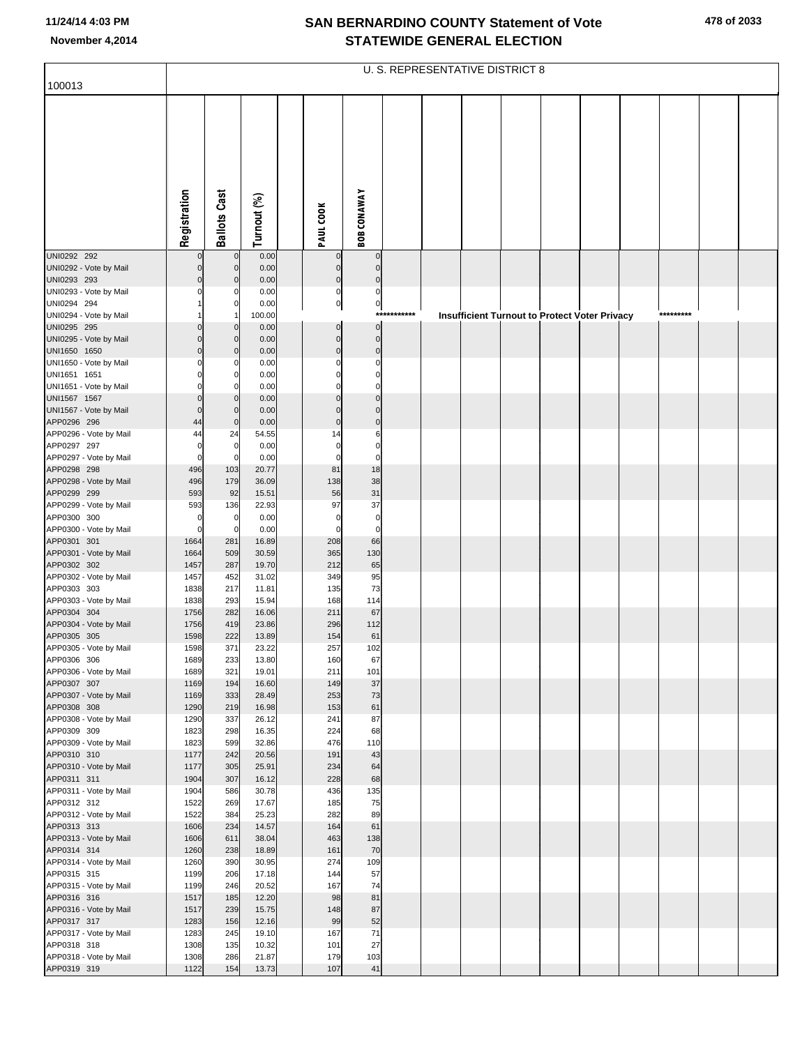|                                        |                         |                            |                |                            |                             |             | U. S. REPRESENTATIVE DISTRICT 8 |  |                                                      |  |           |  |
|----------------------------------------|-------------------------|----------------------------|----------------|----------------------------|-----------------------------|-------------|---------------------------------|--|------------------------------------------------------|--|-----------|--|
| 100013                                 |                         |                            |                |                            |                             |             |                                 |  |                                                      |  |           |  |
|                                        | Registration            | <b>Ballots Cast</b>        | Turnout (%)    | PAUL COOK                  | <b>BOB CONAWAY</b>          |             |                                 |  |                                                      |  |           |  |
| UNI0292 292                            |                         |                            | 0.00           |                            | $\mathbf 0$                 |             |                                 |  |                                                      |  |           |  |
| UNI0292 - Vote by Mail                 | $\Omega$                | $\Omega$                   | 0.00           | 0                          | $\mathbf 0$                 |             |                                 |  |                                                      |  |           |  |
| UNI0293 293                            | $\Omega$                |                            | 0.00           | $\mathbf 0$                | $\mathbf 0$                 |             |                                 |  |                                                      |  |           |  |
| UNI0293 - Vote by Mail<br>UNI0294 294  | 0                       | $\mathsf{C}$               | 0.00<br>0.00   | $\pmb{0}$<br>$\pmb{0}$     | $\pmb{0}$<br>$\overline{0}$ |             |                                 |  |                                                      |  |           |  |
| UNI0294 - Vote by Mail                 |                         |                            | 100.00         |                            |                             | *********** |                                 |  | <b>Insufficient Turnout to Protect Voter Privacy</b> |  | ********* |  |
| UNI0295 295                            | $\Omega$                | $\mathsf{C}$               | 0.00           | $\mathbf 0$                | $\overline{0}$              |             |                                 |  |                                                      |  |           |  |
| UNI0295 - Vote by Mail<br>UNI1650 1650 | $\Omega$<br>$\Omega$    | C<br>C                     | 0.00<br>0.00   | $\mathbf 0$<br>$\mathbf 0$ | $\pmb{0}$<br>$\pmb{0}$      |             |                                 |  |                                                      |  |           |  |
| UNI1650 - Vote by Mail                 | $\Omega$                |                            | 0.00           | 0                          | $\mathbf 0$                 |             |                                 |  |                                                      |  |           |  |
| UNI1651 1651                           | $\Omega$                | C                          | 0.00           | $\Omega$                   | $\mathbf 0$                 |             |                                 |  |                                                      |  |           |  |
| UNI1651 - Vote by Mail<br>UNI1567 1567 | 0<br>$\Omega$           | C<br>C                     | 0.00           | 0<br>$\Omega$              | $\mathbf 0$<br>$\mathbf 0$  |             |                                 |  |                                                      |  |           |  |
| UNI1567 - Vote by Mail                 | $\Omega$                | $\mathcal{C}$              | 0.00<br>0.00   | $\Omega$                   | $\Omega$                    |             |                                 |  |                                                      |  |           |  |
| APP0296 296                            | 44                      | $\mathbf 0$                | 0.00           | $\mathbf 0$                | $\mathbf 0$                 |             |                                 |  |                                                      |  |           |  |
| APP0296 - Vote by Mail                 | 44                      | 24                         | 54.55          | 14                         | 6                           |             |                                 |  |                                                      |  |           |  |
| APP0297 297<br>APP0297 - Vote by Mail  | $\Omega$<br>$\mathbf 0$ | $\mathbf 0$<br>$\mathbf 0$ | 0.00<br>0.00   | $\mathbf 0$<br>$\mathbf 0$ | $\mathbf 0$<br>$\pmb{0}$    |             |                                 |  |                                                      |  |           |  |
| APP0298 298                            | 496                     | 103                        | 20.77          | 81                         | 18                          |             |                                 |  |                                                      |  |           |  |
| APP0298 - Vote by Mail                 | 496                     | 179                        | 36.09          | 138                        | 38                          |             |                                 |  |                                                      |  |           |  |
| APP0299 299<br>APP0299 - Vote by Mail  | 593                     | 92                         | 15.51          | 56<br>97                   | 31<br>37                    |             |                                 |  |                                                      |  |           |  |
| APP0300 300                            | 593<br>0                | 136<br>$\mathbf 0$         | 22.93<br>0.00  | $\mathbf 0$                | $\mathbf 0$                 |             |                                 |  |                                                      |  |           |  |
| APP0300 - Vote by Mail                 | $\mathbf 0$             | $\mathbf 0$                | 0.00           | $\Omega$                   | $\mathbf 0$                 |             |                                 |  |                                                      |  |           |  |
| APP0301 301                            | 1664                    | 281                        | 16.89          | 208                        | 66                          |             |                                 |  |                                                      |  |           |  |
| APP0301 - Vote by Mail<br>APP0302 302  | 1664<br>1457            | 509<br>287                 | 30.59<br>19.70 | 365<br>212                 | 130<br>65                   |             |                                 |  |                                                      |  |           |  |
| APP0302 - Vote by Mail                 | 1457                    | 452                        | 31.02          | 349                        | 95                          |             |                                 |  |                                                      |  |           |  |
| APP0303 303                            | 1838                    | 217                        | 11.81          | 135                        | 73                          |             |                                 |  |                                                      |  |           |  |
| APP0303 - Vote by Mail<br>APP0304 304  | 1838<br>1756            | 293<br>282                 | 15.94<br>16.06 | 168<br>211                 | 114<br>67                   |             |                                 |  |                                                      |  |           |  |
| APP0304 - Vote by Mail                 | 1756                    | 419                        | 23.86          | 296                        | 112                         |             |                                 |  |                                                      |  |           |  |
| APP0305 305                            | 1598                    | 222                        | 13.89          | 154                        | 61                          |             |                                 |  |                                                      |  |           |  |
| APP0305 - Vote by Mail<br>APP0306 306  | 1598<br>1689            | 371<br>233                 | 23.22<br>13.80 | 257<br>160                 | 102<br>67                   |             |                                 |  |                                                      |  |           |  |
| APP0306 - Vote by Mail                 | 1689                    | 321                        | 19.01          | 211                        | 101                         |             |                                 |  |                                                      |  |           |  |
| APP0307 307                            | 1169                    | 194                        | 16.60          | 149                        | 37                          |             |                                 |  |                                                      |  |           |  |
| APP0307 - Vote by Mail                 | 1169<br>1290            | 333                        | 28.49          | 253                        | 73                          |             |                                 |  |                                                      |  |           |  |
| APP0308 308<br>APP0308 - Vote by Mail  | 1290                    | 219<br>337                 | 16.98<br>26.12 | 153<br>241                 | 61<br>87                    |             |                                 |  |                                                      |  |           |  |
| APP0309 309                            | 1823                    | 298                        | 16.35          | 224                        | 68                          |             |                                 |  |                                                      |  |           |  |
| APP0309 - Vote by Mail                 | 1823                    | 599                        | 32.86          | 476                        | 110                         |             |                                 |  |                                                      |  |           |  |
| APP0310 310<br>APP0310 - Vote by Mail  | 1177<br>1177            | 242<br>305                 | 20.56<br>25.91 | 191<br>234                 | 43<br>64                    |             |                                 |  |                                                      |  |           |  |
| APP0311 311                            | 1904                    | 307                        | 16.12          | 228                        | 68                          |             |                                 |  |                                                      |  |           |  |
| APP0311 - Vote by Mail                 | 1904                    | 586                        | 30.78          | 436                        | 135                         |             |                                 |  |                                                      |  |           |  |
| APP0312 312<br>APP0312 - Vote by Mail  | 1522<br>1522            | 269<br>384                 | 17.67<br>25.23 | 185<br>282                 | 75<br>89                    |             |                                 |  |                                                      |  |           |  |
| APP0313 313                            | 1606                    | 234                        | 14.57          | 164                        | 61                          |             |                                 |  |                                                      |  |           |  |
| APP0313 - Vote by Mail                 | 1606                    | 611                        | 38.04          | 463                        | 138                         |             |                                 |  |                                                      |  |           |  |
| APP0314 314                            | 1260                    | 238                        | 18.89          | 161                        | 70                          |             |                                 |  |                                                      |  |           |  |
| APP0314 - Vote by Mail<br>APP0315 315  | 1260<br>1199            | 390<br>206                 | 30.95<br>17.18 | 274<br>144                 | 109<br>57                   |             |                                 |  |                                                      |  |           |  |
| APP0315 - Vote by Mail                 | 1199                    | 246                        | 20.52          | 167                        | 74                          |             |                                 |  |                                                      |  |           |  |
| APP0316 316                            | 1517                    | 185                        | 12.20          | 98                         | 81                          |             |                                 |  |                                                      |  |           |  |
| APP0316 - Vote by Mail<br>APP0317 317  | 1517<br>1283            | 239<br>156                 | 15.75<br>12.16 | 148<br>99                  | 87<br>52                    |             |                                 |  |                                                      |  |           |  |
| APP0317 - Vote by Mail                 | 1283                    | 245                        | 19.10          | 167                        | 71                          |             |                                 |  |                                                      |  |           |  |
| APP0318 318                            | 1308                    | 135                        | 10.32          | 101                        | 27                          |             |                                 |  |                                                      |  |           |  |
| APP0318 - Vote by Mail                 | 1308                    | 286                        | 21.87          | 179                        | 103                         |             |                                 |  |                                                      |  |           |  |
| APP0319 319                            | 1122                    | 154                        | 13.73          | 107                        | 41                          |             |                                 |  |                                                      |  |           |  |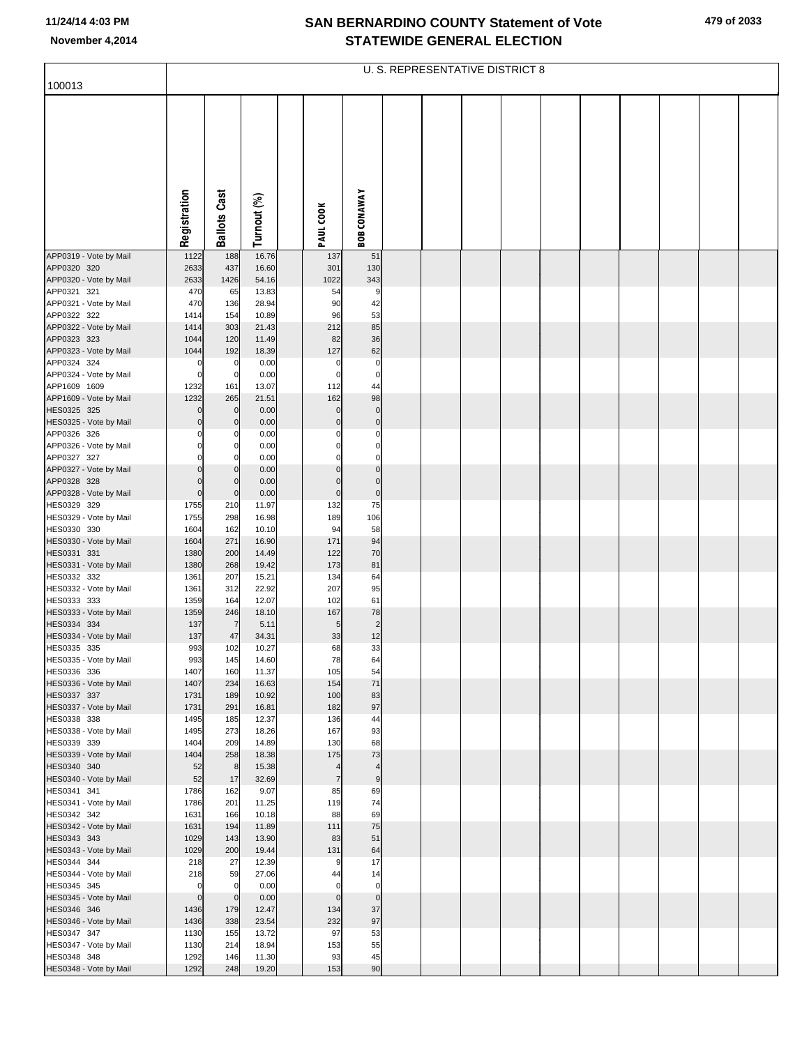| 100013                                |                            |                         |                |                       |                                  | U. S. REPRESENTATIVE DISTRICT 8 |  |  |  |  |
|---------------------------------------|----------------------------|-------------------------|----------------|-----------------------|----------------------------------|---------------------------------|--|--|--|--|
|                                       | Registration               | <b>Ballots Cast</b>     | Turnout (%)    | PAUL COOK             | <b>BOB CONAWAY</b>               |                                 |  |  |  |  |
|                                       |                            |                         |                |                       |                                  |                                 |  |  |  |  |
| APP0319 - Vote by Mail                | 1122                       | 188                     | 16.76          | 137                   | 51                               |                                 |  |  |  |  |
| APP0320 320<br>APP0320 - Vote by Mail | 2633<br>2633               | 437<br>1426             | 16.60<br>54.16 | 301<br>1022           | 130<br>343                       |                                 |  |  |  |  |
| APP0321 321                           | 470                        | 65                      | 13.83          | 54                    | 9                                |                                 |  |  |  |  |
| APP0321 - Vote by Mail                | 470                        | 136                     | 28.94          | 90                    | 42                               |                                 |  |  |  |  |
| APP0322 322                           | 1414                       | 154                     | 10.89          | 96                    | 53                               |                                 |  |  |  |  |
| APP0322 - Vote by Mail<br>APP0323 323 | 1414<br>1044               | 303<br>120              | 21.43<br>11.49 | 212<br>82             | 85<br>36                         |                                 |  |  |  |  |
| APP0323 - Vote by Mail                | 1044                       | 192                     | 18.39          | 127                   | 62                               |                                 |  |  |  |  |
| APP0324 324                           | $\mathbf 0$                | 0                       | 0.00           | $\mathbf 0$           | $\overline{0}$                   |                                 |  |  |  |  |
| APP0324 - Vote by Mail                | $\mathbf 0$                | $\mathbf 0$             | 0.00           | $\mathbf 0$           | $\overline{0}$                   |                                 |  |  |  |  |
| APP1609 1609                          | 1232                       | 161                     | 13.07          | 112                   | 44                               |                                 |  |  |  |  |
| APP1609 - Vote by Mail<br>HES0325 325 | 1232<br>$\Omega$           | 265<br>$\mathbf 0$      | 21.51<br>0.00  | 162<br>$\mathbf 0$    | 98<br>$\overline{0}$             |                                 |  |  |  |  |
| HES0325 - Vote by Mail                | $\Omega$                   | $\mathbf 0$             | 0.00           | $\Omega$              | $\overline{0}$                   |                                 |  |  |  |  |
| APP0326 326                           |                            | 0                       | 0.00           |                       | 0                                |                                 |  |  |  |  |
| APP0326 - Vote by Mail                |                            | $\mathbf 0$             | 0.00           | O                     | $\overline{0}$                   |                                 |  |  |  |  |
| APP0327 327                           |                            | $\Omega$                | 0.00           | C                     | $\overline{0}$                   |                                 |  |  |  |  |
| APP0327 - Vote by Mail<br>APP0328 328 | $\Omega$<br>$\Omega$       | $\mathbf 0$<br>$\Omega$ | 0.00<br>0.00   | $\Omega$<br>$\Omega$  | $\overline{0}$<br>$\overline{0}$ |                                 |  |  |  |  |
| APP0328 - Vote by Mail                | $\mathbf 0$                | $\mathbf 0$             | 0.00           | $\mathbf 0$           | $\overline{0}$                   |                                 |  |  |  |  |
| HES0329 329                           | 1755                       | 210                     | 11.97          | 132                   | 75                               |                                 |  |  |  |  |
| HES0329 - Vote by Mail                | 1755                       | 298                     | 16.98          | 189                   | 106                              |                                 |  |  |  |  |
| HES0330 330                           | 1604                       | 162                     | 10.10          | 94                    | 58                               |                                 |  |  |  |  |
| HES0330 - Vote by Mail<br>HES0331 331 | 1604<br>1380               | 271<br>200              | 16.90<br>14.49 | 171<br>122            | 94<br>70                         |                                 |  |  |  |  |
| HES0331 - Vote by Mail                | 1380                       | 268                     | 19.42          | 173                   | 81                               |                                 |  |  |  |  |
| HES0332 332                           | 1361                       | 207                     | 15.21          | 134                   | 64                               |                                 |  |  |  |  |
| HES0332 - Vote by Mail                | 1361                       | 312                     | 22.92          | 207                   | 95                               |                                 |  |  |  |  |
| HES0333 333                           | 1359                       | 164                     | 12.07          | 102                   | 61                               |                                 |  |  |  |  |
| HES0333 - Vote by Mail<br>HES0334 334 | 1359<br>137                | 246<br>7                | 18.10<br>5.11  | 167<br>5              | 78<br>$\overline{2}$             |                                 |  |  |  |  |
| HES0334 - Vote by Mail                | 137                        | 47                      | 34.31          | 33                    | 12                               |                                 |  |  |  |  |
| HES0335 335                           | 993                        | 102                     | 10.27          | 68                    | 33                               |                                 |  |  |  |  |
| HES0335 - Vote by Mail                | 993                        | 145                     | 14.60          | 78                    | 64                               |                                 |  |  |  |  |
| HES0336 336                           | 1407                       | 160                     | 11.37          | 105                   | 54                               |                                 |  |  |  |  |
| HES0336 - Vote by Mail<br>HES0337 337 | 1407<br>1731               | 234<br>189              | 16.63<br>10.92 | 154<br>100            | 71<br>83                         |                                 |  |  |  |  |
| HES0337 - Vote by Mail                | 1731                       | 291                     | 16.81          | 182                   | 97                               |                                 |  |  |  |  |
| HES0338 338                           | 1495                       | 185                     | 12.37          | 136                   | 44                               |                                 |  |  |  |  |
| HES0338 - Vote by Mail                | 1495                       | 273                     | 18.26          | 167                   | 93                               |                                 |  |  |  |  |
| HES0339 339<br>HES0339 - Vote by Mail | 1404<br>1404               | 209<br>258              | 14.89<br>18.38 | 130<br>175            | 68<br>73                         |                                 |  |  |  |  |
| HES0340 340                           | 52                         | 8                       | 15.38          | 4                     | $\overline{4}$                   |                                 |  |  |  |  |
| HES0340 - Vote by Mail                | 52                         | 17                      | 32.69          | 7                     | 9                                |                                 |  |  |  |  |
| HES0341 341                           | 1786                       | 162                     | 9.07           | 85                    | 69                               |                                 |  |  |  |  |
| HES0341 - Vote by Mail                | 1786                       | 201                     | 11.25          | 119                   | 74                               |                                 |  |  |  |  |
| HES0342 342<br>HES0342 - Vote by Mail | 1631<br>1631               | 166<br>194              | 10.18<br>11.89 | 88<br>111             | 69<br>75                         |                                 |  |  |  |  |
| HES0343 343                           | 1029                       | 143                     | 13.90          | 83                    | 51                               |                                 |  |  |  |  |
| HES0343 - Vote by Mail                | 1029                       | 200                     | 19.44          | 131                   | 64                               |                                 |  |  |  |  |
| HES0344 344                           | 218                        | 27                      | 12.39          | 9                     | 17                               |                                 |  |  |  |  |
| HES0344 - Vote by Mail                | 218                        | 59                      | 27.06          | 44                    | 14                               |                                 |  |  |  |  |
| HES0345 345<br>HES0345 - Vote by Mail | $\mathbf 0$<br>$\mathbf 0$ | $\Omega$<br>$\mathbf 0$ | 0.00<br>0.00   | $\Omega$<br>$\pmb{0}$ | $\overline{0}$<br>$\circ$        |                                 |  |  |  |  |
| HES0346 346                           | 1436                       | 179                     | 12.47          | 134                   | 37                               |                                 |  |  |  |  |
| HES0346 - Vote by Mail                | 1436                       | 338                     | 23.54          | 232                   | 97                               |                                 |  |  |  |  |
| HES0347 347                           | 1130                       | 155                     | 13.72          | 97                    | 53                               |                                 |  |  |  |  |
| HES0347 - Vote by Mail                | 1130                       | 214                     | 18.94          | 153                   | 55                               |                                 |  |  |  |  |
| HES0348 348<br>HES0348 - Vote by Mail | 1292<br>1292               | 146<br>248              | 11.30<br>19.20 | 93<br>153             | 45<br>90                         |                                 |  |  |  |  |
|                                       |                            |                         |                |                       |                                  |                                 |  |  |  |  |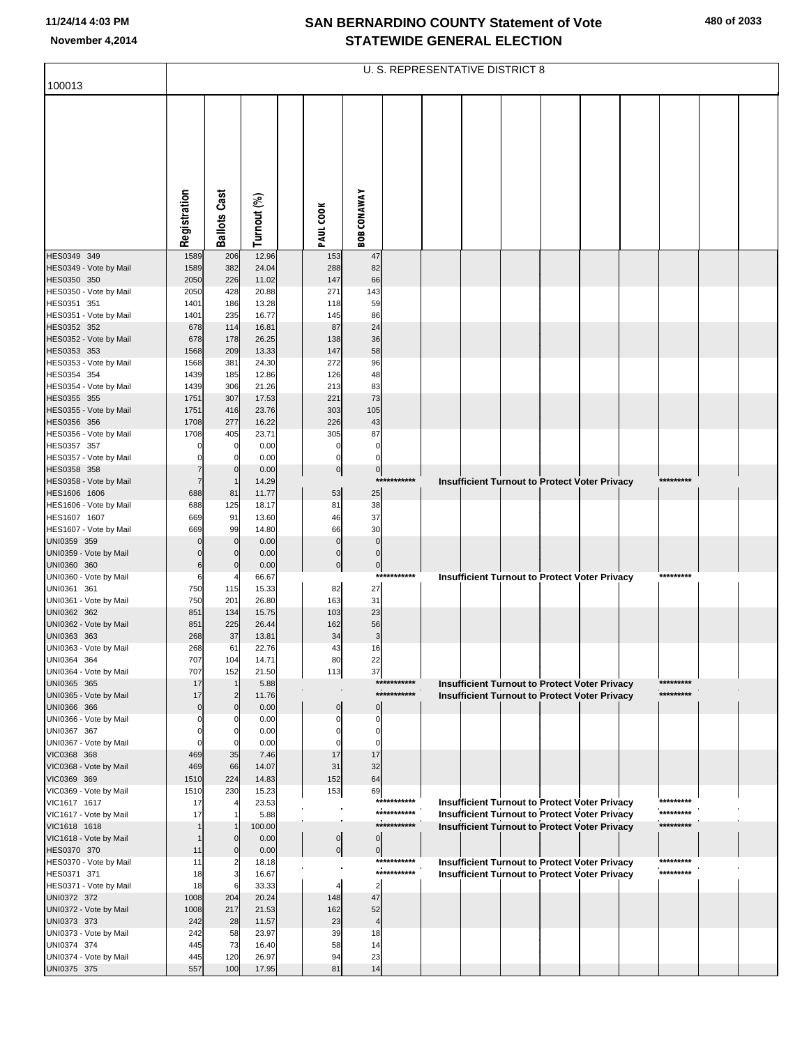|                                        |              |                         |                |                |                      |             | U. S. REPRESENTATIVE DISTRICT 8                                                                       |  |  |            |  |
|----------------------------------------|--------------|-------------------------|----------------|----------------|----------------------|-------------|-------------------------------------------------------------------------------------------------------|--|--|------------|--|
| 100013                                 |              |                         |                |                |                      |             |                                                                                                       |  |  |            |  |
|                                        | Registration | <b>Ballots Cast</b>     | Turnout (%)    | PAUL COOK      | <b>BOB CONAWAY</b>   |             |                                                                                                       |  |  |            |  |
|                                        |              |                         |                |                |                      |             |                                                                                                       |  |  |            |  |
| HES0349 349<br>HES0349 - Vote by Mail  | 1589<br>1589 | 206<br>382              | 12.96<br>24.04 | 153<br>288     | 47<br>82             |             |                                                                                                       |  |  |            |  |
| HES0350 350                            | 2050         | 226                     | 11.02          | 147            | 66                   |             |                                                                                                       |  |  |            |  |
| HES0350 - Vote by Mail                 | 2050         | 428                     | 20.88          | 271            | 143                  |             |                                                                                                       |  |  |            |  |
| HES0351 351<br>HES0351 - Vote by Mail  | 1401<br>1401 | 186<br>235              | 13.28<br>16.77 | 118<br>145     | 59<br>86             |             |                                                                                                       |  |  |            |  |
| HES0352 352                            | 678          | 114                     | 16.81          | 87             | 24                   |             |                                                                                                       |  |  |            |  |
| HES0352 - Vote by Mail                 | 678          | 178                     | 26.25          | 138            | 36                   |             |                                                                                                       |  |  |            |  |
| HES0353 353<br>HES0353 - Vote by Mail  | 1568         | 209<br>381              | 13.33          | 147<br>272     | 58<br>96             |             |                                                                                                       |  |  |            |  |
| HES0354 354                            | 1568<br>1439 | 185                     | 24.30<br>12.86 | 126            | 48                   |             |                                                                                                       |  |  |            |  |
| HES0354 - Vote by Mail                 | 1439         | 306                     | 21.26          | 213            | 83                   |             |                                                                                                       |  |  |            |  |
| HES0355 355                            | 1751         | 307                     | 17.53          | 221            | 73                   |             |                                                                                                       |  |  |            |  |
| HES0355 - Vote by Mail<br>HES0356 356  | 1751<br>1708 | 416<br>277              | 23.76<br>16.22 | 303<br>226     | 105<br>43            |             |                                                                                                       |  |  |            |  |
| HES0356 - Vote by Mail                 | 1708         | 405                     | 23.71          | 305            | 87                   |             |                                                                                                       |  |  |            |  |
| HES0357 357                            |              | 0                       | 0.00           | 0              | $\pmb{0}$            |             |                                                                                                       |  |  |            |  |
| HES0357 - Vote by Mail<br>HES0358 358  |              | $\Omega$<br>$\mathbf 0$ | 0.00           | 0              | 0                    |             |                                                                                                       |  |  |            |  |
| HES0358 - Vote by Mail                 |              | $\overline{1}$          | 0.00<br>14.29  | $\overline{0}$ | $\pmb{0}$            | *********** | Insufficient Turnout to Protect Voter Privacy                                                         |  |  | ********** |  |
| HES1606 1606                           | 688          | 81                      | 11.77          | 53             | 25                   |             |                                                                                                       |  |  |            |  |
| HES1606 - Vote by Mail                 | 688          | 125                     | 18.17          | 81             | 38                   |             |                                                                                                       |  |  |            |  |
| HES1607 1607<br>HES1607 - Vote by Mail | 669<br>669   | 91<br>99                | 13.60<br>14.80 | 46<br>66       | 37<br>30             |             |                                                                                                       |  |  |            |  |
| UNI0359 359                            |              | $\mathbf 0$             | 0.00           | $\mathbf 0$    | $\mathbf 0$          |             |                                                                                                       |  |  |            |  |
| UNI0359 - Vote by Mail                 |              | $\mathbf 0$             | 0.00           | $\mathbf 0$    | $\pmb{0}$            |             |                                                                                                       |  |  |            |  |
| UNI0360 360<br>UNI0360 - Vote by Mail  | 6<br>6       | $\Omega$                | 0.00           | $\mathbf{0}$   | $\mathbf 0$          | *********** |                                                                                                       |  |  | *********  |  |
| UNI0361 361                            | 750          | 115                     | 66.67<br>15.33 | 82             | 27                   |             | Insufficient Turnout to Protect Voter Privacy                                                         |  |  |            |  |
| UNI0361 - Vote by Mail                 | 750          | 201                     | 26.80          | 163            | 31                   |             |                                                                                                       |  |  |            |  |
| UNI0362 362                            | 851          | 134                     | 15.75          | 103            | 23                   |             |                                                                                                       |  |  |            |  |
| UNI0362 - Vote by Mail<br>UNI0363 363  | 851<br>268   | 225<br>37               | 26.44<br>13.81 | 162<br>34      | 56<br>3              |             |                                                                                                       |  |  |            |  |
| UNI0363 - Vote by Mail                 | 268          | 61                      | 22.76          | 43             | 16                   |             |                                                                                                       |  |  |            |  |
| UNI0364 364                            | 707          | 104                     | 14.71          | 80             | 22                   |             |                                                                                                       |  |  |            |  |
| UNI0364 - Vote by Mail                 | 707<br>17    | 152<br>$\overline{1}$   | 21.50          | 113            | 37                   | *********** |                                                                                                       |  |  | *********  |  |
| UNI0365 365<br>UNI0365 - Vote by Mail  | 17           | $\overline{\mathbf{c}}$ | 5.88<br>11.76  |                |                      | *********** | <b>Insufficient Turnout to Protect Voter Privacy</b><br>Insufficient Turnout to Protect Voter Privacy |  |  | *********  |  |
| UNI0366 366                            | 0            | $\mathbf 0$             | 0.00           | $\mathbf 0$    | $\Omega$             |             |                                                                                                       |  |  |            |  |
| UNI0366 - Vote by Mail                 |              | 0                       | 0.00           | 0              | $\Omega$             |             |                                                                                                       |  |  |            |  |
| UNI0367 367<br>UNI0367 - Vote by Mail  |              | $\Omega$<br>$\Omega$    | 0.00<br>0.00   | O              | $\Omega$<br>$\Omega$ |             |                                                                                                       |  |  |            |  |
| VIC0368 368                            | 469          | 35                      | 7.46           | 17             | 17                   |             |                                                                                                       |  |  |            |  |
| VIC0368 - Vote by Mail                 | 469          | 66                      | 14.07          | 31             | 32                   |             |                                                                                                       |  |  |            |  |
| VIC0369 369<br>VIC0369 - Vote by Mail  | 1510         | 224<br>230              | 14.83          | 152            | 64                   |             |                                                                                                       |  |  |            |  |
| VIC1617 1617                           | 1510<br>17   |                         | 15.23<br>23.53 | 153            | 69                   | *********** | <b>Insufficient Turnout to Protect Voter Privacy</b>                                                  |  |  | *********  |  |
| VIC1617 - Vote by Mail                 | 17           |                         | 5.88           |                |                      | *********** | <b>Insufficient Turnout to Protect Voter Privacy</b>                                                  |  |  | *********  |  |
| VIC1618 1618                           |              | $\overline{1}$          | 100.00         |                |                      | *********** | <b>Insufficient Turnout to Protect Voter Privacy</b>                                                  |  |  | *********  |  |
| VIC1618 - Vote by Mail<br>HES0370 370  | 11           | $\Omega$<br>$\Omega$    | 0.00<br>0.00   | $\overline{0}$ | $\mathbf 0$          |             |                                                                                                       |  |  |            |  |
| HES0370 - Vote by Mail                 | 11           | $\overline{2}$          | 18.18          | $\overline{0}$ | $\pmb{0}$            | *********** | <b>Insufficient Turnout to Protect Voter Privacy</b>                                                  |  |  | *********  |  |
| HES0371 371                            | 18           | 3                       | 16.67          |                |                      | *********** | <b>Insufficient Turnout to Protect Voter Privacy</b>                                                  |  |  | *********  |  |
| HES0371 - Vote by Mail                 | 18           | 6                       | 33.33          |                | $\overline{2}$       |             |                                                                                                       |  |  |            |  |
| UNI0372 372<br>UNI0372 - Vote by Mail  | 1008<br>1008 | 204<br>217              | 20.24<br>21.53 | 148<br>162     | 47<br>52             |             |                                                                                                       |  |  |            |  |
| UNI0373 373                            | 242          | 28                      | 11.57          | 23             | 4                    |             |                                                                                                       |  |  |            |  |
| UNI0373 - Vote by Mail                 | 242          | 58                      | 23.97          | 39             | 18                   |             |                                                                                                       |  |  |            |  |
| UNI0374 374                            | 445          | 73                      | 16.40          | 58             | 14                   |             |                                                                                                       |  |  |            |  |
| UNI0374 - Vote by Mail<br>UNI0375 375  | 445<br>557   | 120<br>100              | 26.97<br>17.95 | 94<br>81       | 23<br>14             |             |                                                                                                       |  |  |            |  |
|                                        |              |                         |                |                |                      |             |                                                                                                       |  |  |            |  |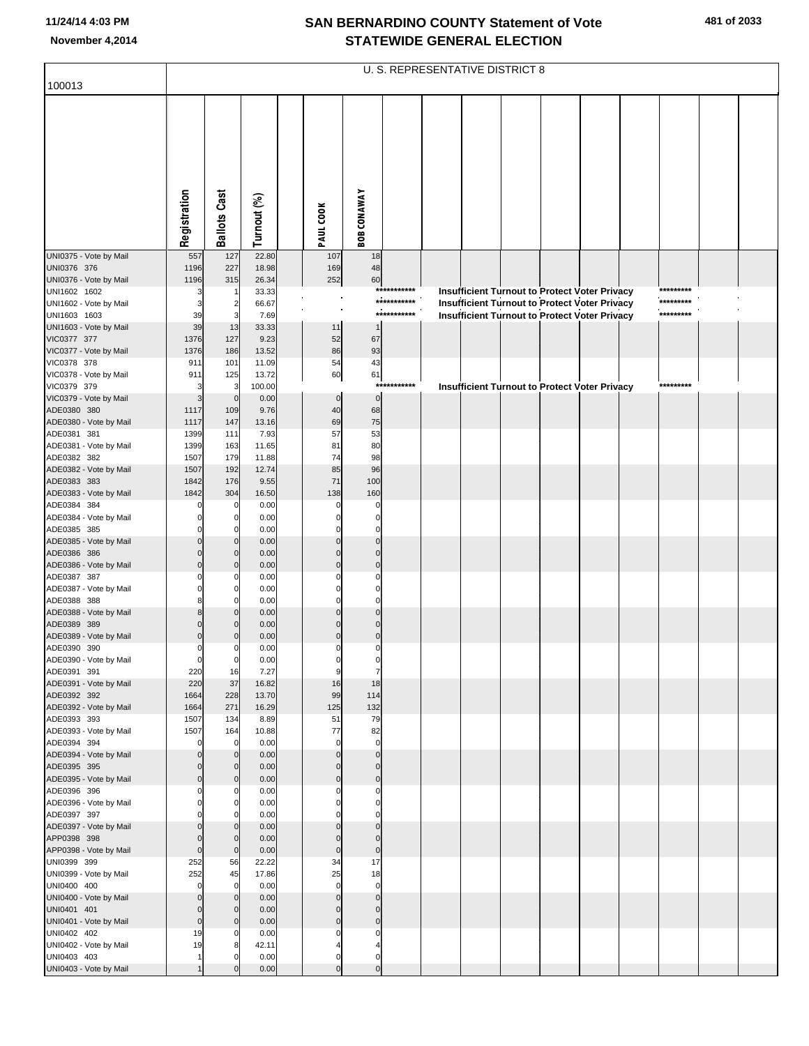| 100013                                 |                      |                               |                 |                            |                               |             | U. S. REPRESENTATIVE DISTRICT 8 |  |                                                      |           |  |
|----------------------------------------|----------------------|-------------------------------|-----------------|----------------------------|-------------------------------|-------------|---------------------------------|--|------------------------------------------------------|-----------|--|
|                                        |                      |                               |                 |                            |                               |             |                                 |  |                                                      |           |  |
|                                        |                      |                               |                 |                            |                               |             |                                 |  |                                                      |           |  |
|                                        | Registration         | <b>Ballots Cast</b>           | Turnout (%)     | PAUL COOK                  | <b>BOB CONAWAY</b>            |             |                                 |  |                                                      |           |  |
| UNI0375 - Vote by Mail                 | 557                  | 127                           | 22.80           | 107                        | 18                            |             |                                 |  |                                                      |           |  |
| UNI0376 376<br>UNI0376 - Vote by Mail  | 1196<br>1196         | 227<br>315                    | 18.98<br>26.34  | 169<br>252                 | 48<br>60                      |             |                                 |  |                                                      |           |  |
| UNI1602 1602                           | Э                    |                               | 33.33           |                            |                               | *********** |                                 |  | Insufficient Turnout to Protect Voter Privacy        | ********* |  |
| UNI1602 - Vote by Mail                 | 3                    | $\overline{\mathbf{c}}$       | 66.67           |                            |                               | *********** |                                 |  | <b>Insufficient Turnout to Protect Voter Privacy</b> | ********* |  |
| UNI1603 1603<br>UNI1603 - Vote by Mail | 39<br>39             | 3<br>13                       | 7.69<br>33.33   | 11                         |                               | *********** |                                 |  | <b>Insufficient Turnout to Protect Voter Privacy</b> | ********* |  |
| VIC0377 377                            | 1376                 | 127                           | 9.23            | 52                         | 67                            |             |                                 |  |                                                      |           |  |
| VIC0377 - Vote by Mail                 | 1376                 | 186                           | 13.52           | 86                         | 93                            |             |                                 |  |                                                      |           |  |
| VIC0378 378                            | 911                  | 101                           | 11.09           | 54                         | 43                            |             |                                 |  |                                                      |           |  |
| VIC0378 - Vote by Mail<br>VIC0379 379  | 911<br>3             | 125<br>3                      | 13.72<br>100.00 | 60                         | 61<br>***                     | *******     |                                 |  | <b>Insufficient Turnout to Protect Voter Privacy</b> | ********* |  |
| VIC0379 - Vote by Mail                 | 3                    | $\mathbf 0$                   | 0.00            | $\mathbf 0$                | $\mathbf 0$                   |             |                                 |  |                                                      |           |  |
| ADE0380 380                            | 1117                 | 109                           | 9.76            | 40                         | 68                            |             |                                 |  |                                                      |           |  |
| ADE0380 - Vote by Mail                 | 1117                 | 147                           | 13.16<br>7.93   | 69<br>57                   | 75<br>53                      |             |                                 |  |                                                      |           |  |
| ADE0381 381<br>ADE0381 - Vote by Mail  | 1399<br>1399         | 111<br>163                    | 11.65           | 81                         | 80                            |             |                                 |  |                                                      |           |  |
| ADE0382 382                            | 1507                 | 179                           | 11.88           | 74                         | 98                            |             |                                 |  |                                                      |           |  |
| ADE0382 - Vote by Mail                 | 1507                 | 192                           | 12.74           | 85                         | 96                            |             |                                 |  |                                                      |           |  |
| ADE0383 383<br>ADE0383 - Vote by Mail  | 1842<br>1842         | 176<br>304                    | 9.55<br>16.50   | 71<br>138                  | 100<br>160                    |             |                                 |  |                                                      |           |  |
| ADE0384 384                            |                      | 0                             | 0.00            | $\Omega$                   | $\mathsf{C}$                  |             |                                 |  |                                                      |           |  |
| ADE0384 - Vote by Mail                 |                      | 0                             | 0.00            | $\mathbf 0$                | $\mathbf 0$                   |             |                                 |  |                                                      |           |  |
| ADE0385 385                            |                      | $\Omega$                      | 0.00            | C                          | $\mathcal{C}$                 |             |                                 |  |                                                      |           |  |
| ADE0385 - Vote by Mail<br>ADE0386 386  |                      | $\mathbf 0$<br>$\overline{0}$ | 0.00<br>0.00    | $\Omega$<br>$\Omega$       | $\Omega$<br>$\mathcal{C}$     |             |                                 |  |                                                      |           |  |
| ADE0386 - Vote by Mail                 | C                    | $\mathbf{0}$                  | 0.00            | $\Omega$                   | $\mathcal{C}$                 |             |                                 |  |                                                      |           |  |
| ADE0387 387                            |                      | $\Omega$                      | 0.00            | 0                          | C                             |             |                                 |  |                                                      |           |  |
| ADE0387 - Vote by Mail<br>ADE0388 388  | ۶                    | $\mathbf 0$<br>$\Omega$       | 0.00<br>0.00    | 0<br>$\Omega$              | $\mathsf{C}$<br>$\mathcal{C}$ |             |                                 |  |                                                      |           |  |
| ADE0388 - Vote by Mail                 | ε                    | $\mathbf{0}$                  | 0.00            | $\Omega$                   | $\mathcal{C}$                 |             |                                 |  |                                                      |           |  |
| ADE0389 389                            |                      | $\mathbf{0}$                  | 0.00            | $\Omega$                   | $\mathcal{C}$                 |             |                                 |  |                                                      |           |  |
| ADE0389 - Vote by Mail<br>ADE0390 390  | $\Omega$<br>C        | $\mathbf{0}$<br>$\Omega$      | 0.00<br>0.00    | $\Omega$<br>$\Omega$       | $\Omega$<br>$\Omega$          |             |                                 |  |                                                      |           |  |
| ADE0390 - Vote by Mail                 | 0                    | $\mathbf 0$                   | 0.00            | 0                          | 0                             |             |                                 |  |                                                      |           |  |
| ADE0391 391                            | 220                  | 16                            | 7.27            | 9                          | $\overline{7}$                |             |                                 |  |                                                      |           |  |
| ADE0391 - Vote by Mail                 | 220                  | 37                            | 16.82           | 16                         | 18                            |             |                                 |  |                                                      |           |  |
| ADE0392 392<br>ADE0392 - Vote by Mail  | 1664<br>1664         | 228<br>271                    | 13.70<br>16.29  | 99<br>125                  | 114<br>132                    |             |                                 |  |                                                      |           |  |
| ADE0393 393                            | 1507                 | 134                           | 8.89            | 51                         | 79                            |             |                                 |  |                                                      |           |  |
| ADE0393 - Vote by Mail                 | 1507                 | 164                           | 10.88           | 77                         | 82                            |             |                                 |  |                                                      |           |  |
| ADE0394 394<br>ADE0394 - Vote by Mail  | $\Omega$<br>$\Omega$ | 0<br>$\mathbf 0$              | 0.00<br>0.00    | $\mathbf 0$<br>$\mathbf 0$ | $\mathbf 0$<br>$\mathbf 0$    |             |                                 |  |                                                      |           |  |
| ADE0395 395                            | C                    | $\mathbf 0$                   | 0.00            | $\Omega$                   | $\Omega$                      |             |                                 |  |                                                      |           |  |
| ADE0395 - Vote by Mail                 | $\Omega$             | $\mathbf{0}$                  | 0.00            | $\mathbf 0$                | $\mathbf 0$                   |             |                                 |  |                                                      |           |  |
| ADE0396 396<br>ADE0396 - Vote by Mail  | C<br>$\Omega$        | $\Omega$<br>$\mathbf 0$       | 0.00<br>0.00    | $\Omega$<br>$\mathbf 0$    | $\mathbf 0$<br>$\mathbf 0$    |             |                                 |  |                                                      |           |  |
| ADE0397 397                            |                      | $\Omega$                      | 0.00            | 0                          | $\Omega$                      |             |                                 |  |                                                      |           |  |
| ADE0397 - Vote by Mail                 | C                    | $\mathbf 0$                   | 0.00            | $\Omega$                   | $\Omega$                      |             |                                 |  |                                                      |           |  |
| APP0398 398                            | C                    | $\mathbf 0$                   | 0.00<br>0.00    | $\mathbf 0$                | $\mathbf 0$<br>$\mathbf 0$    |             |                                 |  |                                                      |           |  |
| APP0398 - Vote by Mail<br>UNI0399 399  | $\mathbf 0$<br>252   | $\mathbf 0$<br>56             | 22.22           | $\mathbf 0$<br>34          | 17                            |             |                                 |  |                                                      |           |  |
| UNI0399 - Vote by Mail                 | 252                  | 45                            | 17.86           | 25                         | 18                            |             |                                 |  |                                                      |           |  |
| UNI0400 400                            | $\Omega$             | 0                             | 0.00            | $\mathbf 0$                | $\mathbf 0$                   |             |                                 |  |                                                      |           |  |
| UNI0400 - Vote by Mail                 | $\Omega$<br>$\Omega$ | $\mathbf 0$<br>$\mathbf 0$    | 0.00<br>0.00    | $\mathbf 0$<br>$\Omega$    | $\mathbf 0$<br>$\Omega$       |             |                                 |  |                                                      |           |  |
| UNI0401 401<br>UNI0401 - Vote by Mail  | $\mathbf 0$          | $\overline{0}$                | 0.00            | $\mathbf 0$                | $\mathbf 0$                   |             |                                 |  |                                                      |           |  |
| UNI0402 402                            | 19                   | $\Omega$                      | 0.00            | $\Omega$                   | $\Omega$                      |             |                                 |  |                                                      |           |  |
| UNI0402 - Vote by Mail                 | 19                   | 8                             | 42.11           |                            | 4                             |             |                                 |  |                                                      |           |  |
| UNI0403 403<br>UNI0403 - Vote by Mail  | 1                    | $\Omega$                      | 0.00<br>0.00    | $\Omega$<br>$\Omega$       | $\Omega$<br>$\Omega$          |             |                                 |  |                                                      |           |  |
|                                        |                      |                               |                 |                            |                               |             |                                 |  |                                                      |           |  |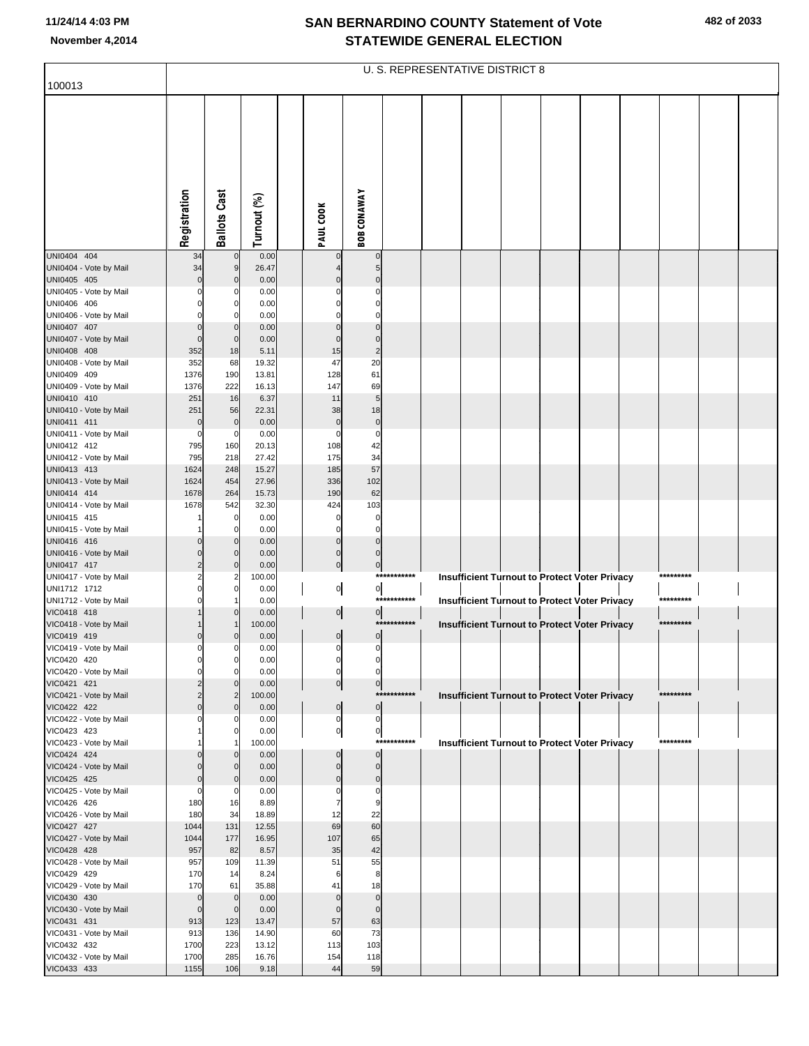| 100013                                |                                |                            |                |                                  |                                  |             | U. S. REPRESENTATIVE DISTRICT 8 |  |                                                      |           |  |
|---------------------------------------|--------------------------------|----------------------------|----------------|----------------------------------|----------------------------------|-------------|---------------------------------|--|------------------------------------------------------|-----------|--|
|                                       |                                |                            |                |                                  |                                  |             |                                 |  |                                                      |           |  |
|                                       | Registration                   | <b>Ballots Cast</b>        | Turnout (%)    | PAUL COOK                        | <b>BOB CONAWAY</b>               |             |                                 |  |                                                      |           |  |
|                                       |                                |                            |                |                                  |                                  |             |                                 |  |                                                      |           |  |
| UNI0404 404                           | 34                             | $\mathbf 0$                | 0.00           |                                  | $\mathbf 0$                      |             |                                 |  |                                                      |           |  |
| UNI0404 - Vote by Mail                | 34                             | 9                          | 26.47          |                                  | 5 <sub>5</sub>                   |             |                                 |  |                                                      |           |  |
| UNI0405 405<br>UNI0405 - Vote by Mail | $\Omega$<br>$\Omega$           | $\mathbf 0$<br>C           | 0.00           |                                  | $\Omega$<br>0                    |             |                                 |  |                                                      |           |  |
| UNI0406 406                           |                                | $\Omega$                   | 0.00<br>0.00   |                                  | $\Omega$                         |             |                                 |  |                                                      |           |  |
| UNI0406 - Vote by Mail                |                                | C                          | 0.00           |                                  | $\Omega$                         |             |                                 |  |                                                      |           |  |
| UNI0407 407                           | $\Omega$                       | 0                          | 0.00           | $\Omega$                         | $\Omega$                         |             |                                 |  |                                                      |           |  |
| UNI0407 - Vote by Mail                | $\Omega$                       | $\mathbf 0$                | 0.00           | $\Omega$                         | $\mathbf 0$                      |             |                                 |  |                                                      |           |  |
| UNI0408 408                           | 352                            | 18                         | 5.11           | 15                               | $\overline{2}$                   |             |                                 |  |                                                      |           |  |
| UNI0408 - Vote by Mail<br>UNI0409 409 | 352<br>1376                    | 68<br>190                  | 19.32<br>13.81 | 47<br>128                        | 20<br>61                         |             |                                 |  |                                                      |           |  |
| UNI0409 - Vote by Mail                | 1376                           | 222                        | 16.13          | 147                              | 69                               |             |                                 |  |                                                      |           |  |
| UNI0410 410                           | 251                            | 16                         | 6.37           | 11                               | 5                                |             |                                 |  |                                                      |           |  |
| UNI0410 - Vote by Mail                | 251                            | 56                         | 22.31          | 38                               | 18                               |             |                                 |  |                                                      |           |  |
| UNI0411 411                           | $\mathbf 0$                    | $\mathbf 0$                | 0.00           | $\mathbf 0$                      | $\pmb{0}$                        |             |                                 |  |                                                      |           |  |
| UNI0411 - Vote by Mail<br>UNI0412 412 | 0<br>795                       | 0<br>160                   | 0.00<br>20.13  | 0<br>108                         | $\mathbf 0$<br>42                |             |                                 |  |                                                      |           |  |
| UNI0412 - Vote by Mail                | 795                            | 218                        | 27.42          | 175                              | 34                               |             |                                 |  |                                                      |           |  |
| UNI0413 413                           | 1624                           | 248                        | 15.27          | 185                              | 57                               |             |                                 |  |                                                      |           |  |
| UNI0413 - Vote by Mail                | 1624                           | 454                        | 27.96          | 336                              | 102                              |             |                                 |  |                                                      |           |  |
| UNI0414 414                           | 1678                           | 264                        | 15.73          | 190                              | 62                               |             |                                 |  |                                                      |           |  |
| UNI0414 - Vote by Mail<br>UNI0415 415 | 1678                           | 542<br>0                   | 32.30<br>0.00  | 424<br>0                         | 103<br>0                         |             |                                 |  |                                                      |           |  |
| UNI0415 - Vote by Mail                |                                | $\Omega$                   | 0.00           | $\Omega$                         | $\mathbf 0$                      |             |                                 |  |                                                      |           |  |
| UNI0416 416                           | 0                              | $\mathbf 0$                | 0.00           | $\mathbf 0$                      | $\mathbf 0$                      |             |                                 |  |                                                      |           |  |
| UNI0416 - Vote by Mail                | $\Omega$                       | $\mathbf 0$                | 0.00           | $\mathbf{0}$                     | $\Omega$                         |             |                                 |  |                                                      |           |  |
| UNI0417 417<br>UNI0417 - Vote by Mail | 2<br>2                         | $\mathbf 0$<br>2           | 0.00<br>100.00 | $\overline{0}$                   | $\overline{0}$                   | *********** |                                 |  | Insufficient Turnout to Protect Voter Privacy        | ********* |  |
| UNI1712 1712                          | 0                              | $\Omega$                   | 0.00           | $\overline{0}$                   | 이                                |             |                                 |  |                                                      |           |  |
| UNI1712 - Vote by Mail                |                                |                            | 0.00           |                                  |                                  | *********** |                                 |  | <b>Insufficient Turnout to Protect Voter Privacy</b> | ********* |  |
| VIC0418 418                           |                                | $\Omega$                   | 0.00           | $\overline{0}$                   | $\mathbf{0}$                     |             |                                 |  |                                                      |           |  |
| VIC0418 - Vote by Mail                |                                |                            | 100.00         |                                  |                                  | *********** |                                 |  | Insufficient Turnout to Protect Voter Privacy        | ********* |  |
| VIC0419 419<br>VIC0419 - Vote by Mail | 0<br>$\mathbf{0}$              | $\mathcal{C}$<br>C         | 0.00<br>0.00   | $\overline{0}$<br>$\overline{0}$ | $\overline{0}$<br>$\overline{0}$ |             |                                 |  |                                                      |           |  |
| VIC0420 420                           |                                | 0                          | 0.00           | 0                                | 0                                |             |                                 |  |                                                      |           |  |
| VIC0420 - Vote by Mail                | 0                              | $\Omega$                   | 0.00           | $\mathbf{0}$                     | $\mathbf{0}$                     |             |                                 |  |                                                      |           |  |
| VIC0421 421                           |                                | $\Omega$                   | 0.00           | $\overline{0}$                   | $\overline{0}$                   |             |                                 |  |                                                      |           |  |
| VIC0421 - Vote by Mail<br>VIC0422 422 | 2<br>$\Omega$                  | $\overline{2}$<br>$\Omega$ | 100.00<br>0.00 | $\overline{0}$                   | $\overline{0}$                   | *********** |                                 |  | Insufficient Turnout to Protect Voter Privacy        | ********* |  |
| VIC0422 - Vote by Mail                |                                | C                          | 0.00           | $\overline{0}$                   | $\overline{0}$                   |             |                                 |  |                                                      |           |  |
| VIC0423 423                           |                                | 0                          | 0.00           | 이                                | 이                                |             |                                 |  |                                                      |           |  |
| VIC0423 - Vote by Mail                |                                |                            | 100.00         |                                  |                                  | *********** |                                 |  | Insufficient Turnout to Protect Voter Privacy        | ********* |  |
| VIC0424 424<br>VIC0424 - Vote by Mail |                                | $\Omega$<br>$\Omega$       | 0.00<br>0.00   | $\mathbf 0$<br>$\mathbf 0$       | $\overline{0}$<br>$\overline{0}$ |             |                                 |  |                                                      |           |  |
| VIC0425 425                           | 0                              | $\Omega$                   | 0.00           | $\Omega$                         | $\overline{0}$                   |             |                                 |  |                                                      |           |  |
| VIC0425 - Vote by Mail                | $\Omega$                       | 0                          | 0.00           | 0                                | $\overline{0}$                   |             |                                 |  |                                                      |           |  |
| VIC0426 426                           | 180                            | 16                         | 8.89           | 7                                | 9                                |             |                                 |  |                                                      |           |  |
| VIC0426 - Vote by Mail                | 180                            | 34                         | 18.89          | 12                               | 22                               |             |                                 |  |                                                      |           |  |
| VIC0427 427<br>VIC0427 - Vote by Mail | 1044<br>1044                   | 131<br>177                 | 12.55<br>16.95 | 69<br>107                        | 60<br>65                         |             |                                 |  |                                                      |           |  |
| VIC0428 428                           | 957                            | 82                         | 8.57           | 35                               | 42                               |             |                                 |  |                                                      |           |  |
| VIC0428 - Vote by Mail                | 957                            | 109                        | 11.39          | 51                               | 55                               |             |                                 |  |                                                      |           |  |
| VIC0429 429                           | 170                            | 14                         | 8.24           | 6                                | 8                                |             |                                 |  |                                                      |           |  |
| VIC0429 - Vote by Mail                | 170                            | 61                         | 35.88          | 41                               | 18                               |             |                                 |  |                                                      |           |  |
| VIC0430 430<br>VIC0430 - Vote by Mail | $\overline{0}$<br>$\mathbf{0}$ | $\mathbf 0$<br>$\mathbf 0$ | 0.00<br>0.00   | $\mathbf 0$<br>$\Omega$          | $\overline{0}$<br>$\overline{0}$ |             |                                 |  |                                                      |           |  |
| VIC0431 431                           | 913                            | 123                        | 13.47          | 57                               | 63                               |             |                                 |  |                                                      |           |  |
| VIC0431 - Vote by Mail                | 913                            | 136                        | 14.90          | 60                               | 73                               |             |                                 |  |                                                      |           |  |
| VIC0432 432                           | 1700                           | 223                        | 13.12          | 113                              | 103                              |             |                                 |  |                                                      |           |  |
| VIC0432 - Vote by Mail                | 1700                           | 285                        | 16.76          | 154                              | 118                              |             |                                 |  |                                                      |           |  |
| VIC0433 433                           | 1155                           | 106                        | 9.18           | 44                               | 59                               |             |                                 |  |                                                      |           |  |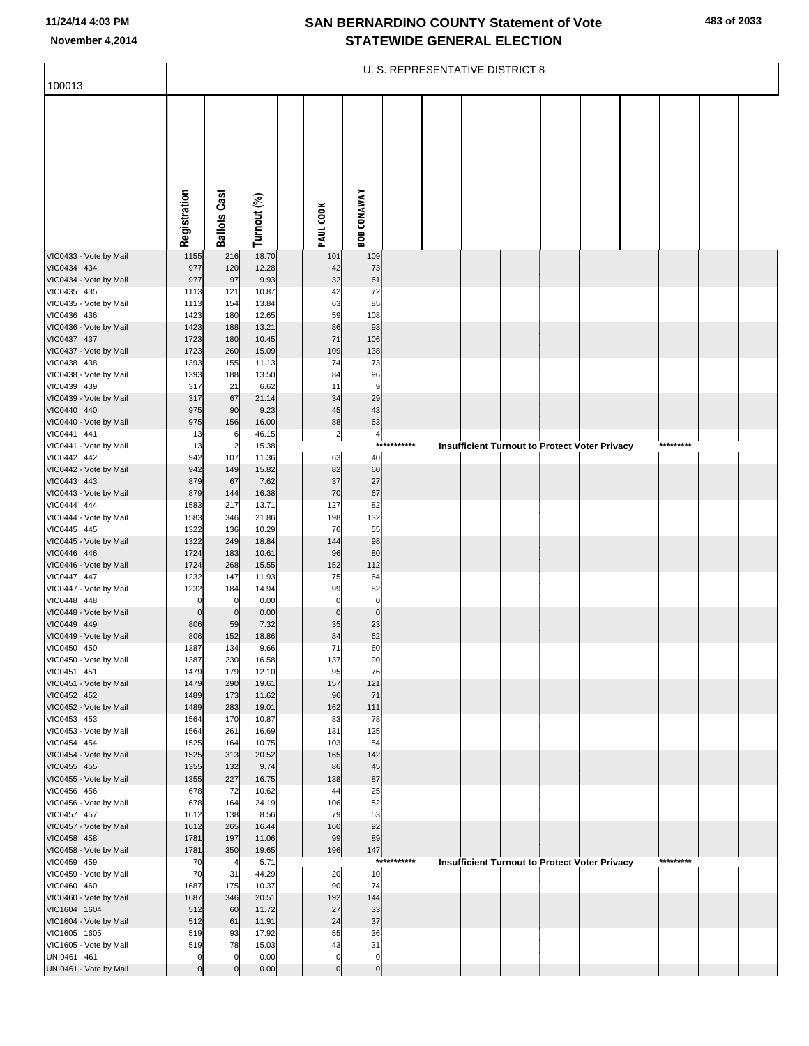|  |  | 483 of 2033 |
|--|--|-------------|
|--|--|-------------|

|                                        |                    |                       |                |                      |                      |             | U. S. REPRESENTATIVE DISTRICT 8 |  |                                                      |           |  |
|----------------------------------------|--------------------|-----------------------|----------------|----------------------|----------------------|-------------|---------------------------------|--|------------------------------------------------------|-----------|--|
| 100013                                 |                    |                       |                |                      |                      |             |                                 |  |                                                      |           |  |
|                                        |                    |                       |                |                      |                      |             |                                 |  |                                                      |           |  |
|                                        |                    |                       |                |                      |                      |             |                                 |  |                                                      |           |  |
|                                        |                    |                       |                |                      |                      |             |                                 |  |                                                      |           |  |
|                                        |                    |                       |                |                      |                      |             |                                 |  |                                                      |           |  |
|                                        |                    |                       |                |                      |                      |             |                                 |  |                                                      |           |  |
|                                        |                    |                       |                |                      |                      |             |                                 |  |                                                      |           |  |
|                                        |                    |                       |                |                      |                      |             |                                 |  |                                                      |           |  |
|                                        |                    | <b>Ballots Cast</b>   |                |                      | <b>BOB CONAWAY</b>   |             |                                 |  |                                                      |           |  |
|                                        | Registration       |                       | Turnout (%)    | PAUL COOK            |                      |             |                                 |  |                                                      |           |  |
| VIC0433 - Vote by Mail                 | 1155               | 216                   | 18.70          | 101                  | 109                  |             |                                 |  |                                                      |           |  |
| VIC0434 434<br>VIC0434 - Vote by Mail  | 977<br>977         | 120<br>97             | 12.28<br>9.93  | 42<br>32             | 73<br>61             |             |                                 |  |                                                      |           |  |
| VIC0435 435                            | 1113               | 121                   | 10.87          | 42                   | 72                   |             |                                 |  |                                                      |           |  |
| VIC0435 - Vote by Mail                 | 1113               | 154                   | 13.84          | 63                   | 85                   |             |                                 |  |                                                      |           |  |
| VIC0436 436<br>VIC0436 - Vote by Mail  | 1423<br>1423       | 180<br>188            | 12.65<br>13.21 | 59<br>86             | 108<br>93            |             |                                 |  |                                                      |           |  |
| VIC0437 437                            | 1723               | 180                   | 10.45          | 71                   | 106                  |             |                                 |  |                                                      |           |  |
| VIC0437 - Vote by Mail                 | 1723               | 260                   | 15.09          | 109                  | 138                  |             |                                 |  |                                                      |           |  |
| VIC0438 438<br>VIC0438 - Vote by Mail  | 1393<br>1393       | 155<br>188            | 11.13<br>13.50 | 74<br>84             | 73<br>96             |             |                                 |  |                                                      |           |  |
| VIC0439 439                            | 317                | 21                    | 6.62           | 11                   | 9                    |             |                                 |  |                                                      |           |  |
| VIC0439 - Vote by Mail                 | 317                | 67                    | 21.14          | 34                   | 29                   |             |                                 |  |                                                      |           |  |
| VIC0440 440                            | 975                | 90                    | 9.23<br>16.00  | 45<br>88             | 43                   |             |                                 |  |                                                      |           |  |
| VIC0440 - Vote by Mail<br>VIC0441 441  | 975<br>13          | 156<br>6              | 46.15          | $\mathbf{2}$         | 63<br>$\frac{4}{3}$  |             |                                 |  |                                                      |           |  |
| VIC0441 - Vote by Mail                 | 13                 | $\overline{2}$        | 15.38          |                      | ***                  | ******      |                                 |  | <b>Insufficient Turnout to Protect Voter Privacy</b> | ********* |  |
| VIC0442 442                            | 942                | 107                   | 11.36          | 63                   | 40                   |             |                                 |  |                                                      |           |  |
| VIC0442 - Vote by Mail<br>VIC0443 443  | 942<br>879         | 149<br>67             | 15.82<br>7.62  | 82<br>37             | 60<br>27             |             |                                 |  |                                                      |           |  |
| VIC0443 - Vote by Mail                 | 879                | 144                   | 16.38          | 70                   | 67                   |             |                                 |  |                                                      |           |  |
| VIC0444 444                            | 1583               | 217                   | 13.71          | 127                  | 82                   |             |                                 |  |                                                      |           |  |
| VIC0444 - Vote by Mail<br>VIC0445 445  | 1583<br>1322       | 346<br>136            | 21.86<br>10.29 | 198<br>76            | 132<br>55            |             |                                 |  |                                                      |           |  |
| VIC0445 - Vote by Mail                 | 1322               | 249                   | 18.84          | 144                  | 98                   |             |                                 |  |                                                      |           |  |
| VIC0446 446                            | 1724               | 183                   | 10.61          | 96                   | 80                   |             |                                 |  |                                                      |           |  |
| VIC0446 - Vote by Mail<br>VIC0447 447  | 1724<br>1232       | 268<br>147            | 15.55<br>11.93 | 152<br>75            | 112<br>64            |             |                                 |  |                                                      |           |  |
| VIC0447 - Vote by Mail                 | 1232               | 184                   | 14.94          | 99                   | 82                   |             |                                 |  |                                                      |           |  |
| VIC0448 448                            | 0                  | 0                     | 0.00           | $\overline{0}$       | $\pmb{0}$            |             |                                 |  |                                                      |           |  |
| VIC0448 - Vote by Mail<br>VIC0449 449  | $\mathbf 0$<br>806 | $\mathbf 0$<br>59     | 0.00<br>7.32   | $\overline{0}$<br>35 | $\bf 0$<br>23        |             |                                 |  |                                                      |           |  |
| VIC0449 - Vote by Mail                 | 806                | 152                   | 18.86          | 84                   | 62                   |             |                                 |  |                                                      |           |  |
| VIC0450 450                            | 1387               | 134                   | 9.66           | 71                   | 60                   |             |                                 |  |                                                      |           |  |
| VIC0450 - Vote by Mail<br>VIC0451 451  | 1387<br>1479       | 230<br>179            | 16.58<br>12.10 | 137<br>95            | 90<br>76             |             |                                 |  |                                                      |           |  |
| VIC0451 - Vote by Mail                 | 1479               | 290                   | 19.61          | 157                  | 121                  |             |                                 |  |                                                      |           |  |
| VIC0452 452                            | 1489               | 173                   | 11.62          | 96                   | 71                   |             |                                 |  |                                                      |           |  |
| VIC0452 - Vote by Mail<br>VIC0453 453  | 1489<br>1564       | 283<br>170            | 19.01<br>10.87 | 162<br>83            | 111<br>78            |             |                                 |  |                                                      |           |  |
| VIC0453 - Vote by Mail                 | 1564               | 261                   | 16.69          | 131                  | 125                  |             |                                 |  |                                                      |           |  |
| VIC0454 454                            | 1525               | 164                   | 10.75          | 103                  | 54                   |             |                                 |  |                                                      |           |  |
| VIC0454 - Vote by Mail<br>VIC0455 455  | 1525<br>1355       | 313<br>132            | 20.52<br>9.74  | 165<br>86            | 142<br>45            |             |                                 |  |                                                      |           |  |
| VIC0455 - Vote by Mail                 | 1355               | 227                   | 16.75          | 138                  | 87                   |             |                                 |  |                                                      |           |  |
| VIC0456 456                            | 678                | 72                    | 10.62          | 44                   | 25                   |             |                                 |  |                                                      |           |  |
| VIC0456 - Vote by Mail<br>VIC0457 457  | 678<br>1612        | 164<br>138            | 24.19<br>8.56  | 106<br>79            | 52<br>53             |             |                                 |  |                                                      |           |  |
| VIC0457 - Vote by Mail                 | 1612               | 265                   | 16.44          | 160                  | 92                   |             |                                 |  |                                                      |           |  |
| VIC0458 458                            | 1781               | 197                   | 11.06          | 99                   | 89                   |             |                                 |  |                                                      |           |  |
| VIC0458 - Vote by Mail<br>VIC0459 459  | 1781<br>70         | 350<br>$\overline{4}$ | 19.65<br>5.71  | 196                  | 147                  | *********** |                                 |  | Insufficient Turnout to Protect Voter Privacy        | ********* |  |
| VIC0459 - Vote by Mail                 | 70                 | 31                    | 44.29          | 20                   | 10                   |             |                                 |  |                                                      |           |  |
| VIC0460 460                            | 1687               | 175                   | 10.37          | 90                   | 74                   |             |                                 |  |                                                      |           |  |
| VIC0460 - Vote by Mail<br>VIC1604 1604 | 1687<br>512        | 346<br>60             | 20.51<br>11.72 | 192<br>27            | 144<br>33            |             |                                 |  |                                                      |           |  |
| VIC1604 - Vote by Mail                 | 512                | 61                    | 11.91          | 24                   | 37                   |             |                                 |  |                                                      |           |  |
| VIC1605 1605                           | 519                | 93                    | 17.92          | 55                   | 36                   |             |                                 |  |                                                      |           |  |
| VIC1605 - Vote by Mail<br>UNI0461 461  | 519<br>$\mathbf 0$ | 78<br>0               | 15.03<br>0.00  | 43<br>$\overline{0}$ | 31<br>$\overline{0}$ |             |                                 |  |                                                      |           |  |
| UNI0461 - Vote by Mail                 | $\mathbf 0$        | $\mathbf{0}$          | 0.00           | $\overline{0}$       | $\overline{0}$       |             |                                 |  |                                                      |           |  |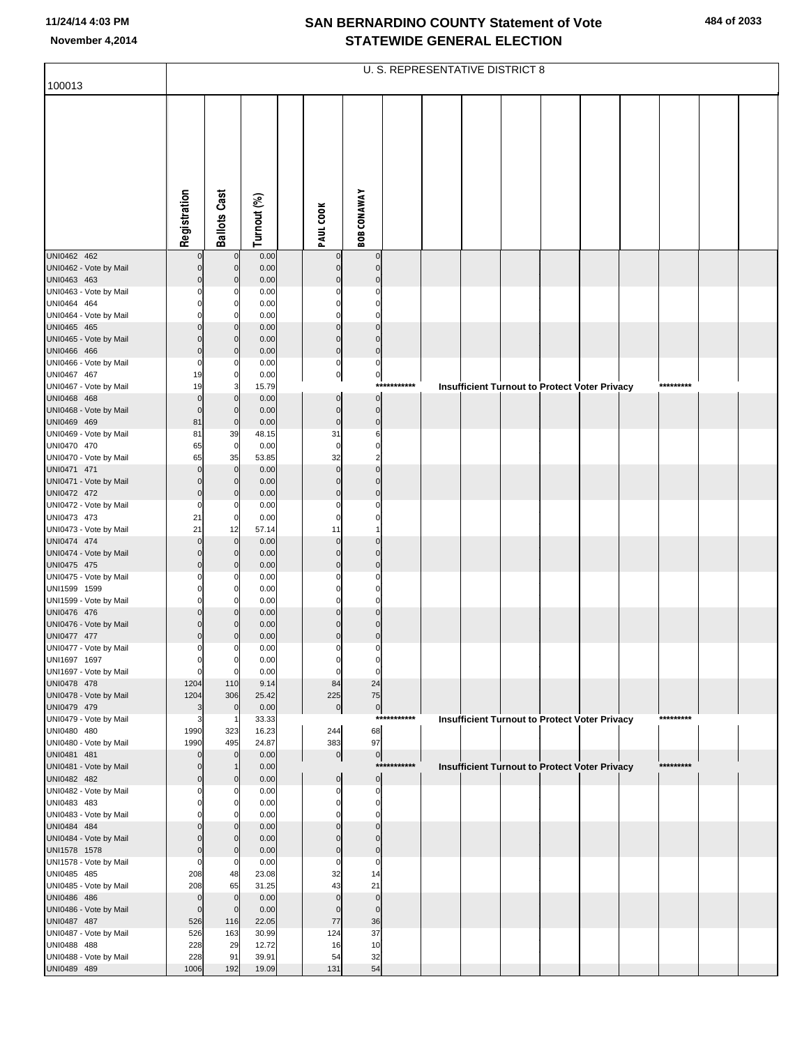|                                       |                            |                            |               |                               |                             |             | U. S. REPRESENTATIVE DISTRICT 8                      |  |  |           |  |
|---------------------------------------|----------------------------|----------------------------|---------------|-------------------------------|-----------------------------|-------------|------------------------------------------------------|--|--|-----------|--|
| 100013                                |                            |                            |               |                               |                             |             |                                                      |  |  |           |  |
|                                       | Registration               | <b>Ballots Cast</b>        | Turnout (%)   | PAUL COOK                     | <b>BOB CONAWAY</b>          |             |                                                      |  |  |           |  |
| UNI0462 462                           |                            | $\mathbf 0$                | 0.00          | $\mathbf 0$                   | $\mathbf 0$                 |             |                                                      |  |  |           |  |
| UNI0462 - Vote by Mail                | $\mathbf 0$                | $\mathbf 0$                | 0.00          | $\pmb{0}$                     | $\mathbf 0$                 |             |                                                      |  |  |           |  |
| UNI0463 463                           | $\mathbf 0$                | $\Omega$                   | 0.00          | $\mathbf 0$                   | $\mathbf 0$                 |             |                                                      |  |  |           |  |
| UNI0463 - Vote by Mail<br>UNI0464 464 | $\Omega$<br>$\Omega$       | 0<br>$\Omega$              | 0.00<br>0.00  | $\mathbf 0$<br>$\mathbf 0$    | $\mathbf 0$<br>$\mathbf 0$  |             |                                                      |  |  |           |  |
| UNI0464 - Vote by Mail                | 0                          | 0                          | 0.00          | $\mathbf 0$                   | $\mathbf 0$                 |             |                                                      |  |  |           |  |
| UNI0465 465                           | $\Omega$                   | $\Omega$                   | 0.00          | $\mathbf 0$                   | $\mathbf 0$                 |             |                                                      |  |  |           |  |
| UNI0465 - Vote by Mail                | $\Omega$                   | $\mathbf 0$                | 0.00          | $\mathbf 0$                   | $\mathbf 0$                 |             |                                                      |  |  |           |  |
| UNI0466 466                           | $\mathbf 0$                | $\Omega$                   | 0.00          | $\circ$                       | $\mathbf 0$                 |             |                                                      |  |  |           |  |
| UNI0466 - Vote by Mail<br>UNI0467 467 | $\mathbf 0$<br>19          | 0<br>$\mathbf 0$           | 0.00<br>0.00  | $\mathbf 0$<br>$\overline{0}$ | $\pmb{0}$<br>$\overline{0}$ |             |                                                      |  |  |           |  |
| UNI0467 - Vote by Mail                | 19                         | 3                          | 15.79         |                               |                             | *********** | <b>Insufficient Turnout to Protect Voter Privacy</b> |  |  | ********* |  |
| UNI0468 468                           | $\mathbf 0$                | $\mathbf 0$                | 0.00          | $\pmb{0}$                     | $\mathbf 0$                 |             |                                                      |  |  |           |  |
| UNI0468 - Vote by Mail                | $\mathbf 0$                | $\mathbf 0$                | 0.00          | $\pmb{0}$                     | $\overline{0}$              |             |                                                      |  |  |           |  |
| UNI0469 469                           | 81                         | $\mathbf 0$                | 0.00          | $\mathbf 0$                   | $\mathbf{0}$                |             |                                                      |  |  |           |  |
| UNI0469 - Vote by Mail<br>UNI0470 470 | 81<br>65                   | 39<br>$\mathbf 0$          | 48.15<br>0.00 | 31<br>$\mathbf 0$             | 6<br>$\mathbf 0$            |             |                                                      |  |  |           |  |
| UNI0470 - Vote by Mail                | 65                         | 35                         | 53.85         | 32                            | $\overline{\mathbf{c}}$     |             |                                                      |  |  |           |  |
| UNI0471 471                           | $\Omega$                   | $\mathbf 0$                | 0.00          | $\mathbf 0$                   | $\overline{0}$              |             |                                                      |  |  |           |  |
| UNI0471 - Vote by Mail                | $\mathbf 0$                | $\mathbf 0$                | 0.00          | $\mathbf 0$                   | $\mathbf 0$                 |             |                                                      |  |  |           |  |
| UNI0472 472                           | $\mathbf 0$                | $\mathbf 0$                | 0.00          | $\mathbf 0$                   | $\mathbf 0$                 |             |                                                      |  |  |           |  |
| UNI0472 - Vote by Mail<br>UNI0473 473 | $\mathbf 0$<br>21          | 0<br>$\mathbf 0$           | 0.00<br>0.00  | $\mathbf 0$<br>$\mathbf 0$    | $\mathbf 0$<br>$\mathbf 0$  |             |                                                      |  |  |           |  |
| UNI0473 - Vote by Mail                | 21                         | 12                         | 57.14         | 11                            | 1                           |             |                                                      |  |  |           |  |
| UNI0474 474                           | $\Omega$                   | $\mathbf 0$                | 0.00          | $\mathbf 0$                   | $\mathbf 0$                 |             |                                                      |  |  |           |  |
| UNI0474 - Vote by Mail                | $\mathbf 0$                | $\mathbf 0$                | 0.00          | $\mathbf 0$                   | $\mathbf 0$                 |             |                                                      |  |  |           |  |
| UNI0475 475<br>UNI0475 - Vote by Mail | $\mathbf 0$<br>0           | $\mathbf 0$<br>0           | 0.00<br>0.00  | $\mathbf 0$<br>$\mathbf 0$    | $\mathbf 0$<br>$\mathbf 0$  |             |                                                      |  |  |           |  |
| UNI1599 1599                          | $\Omega$                   | $\Omega$                   | 0.00          | $\mathbf 0$                   | $\mathbf 0$                 |             |                                                      |  |  |           |  |
| UNI1599 - Vote by Mail                | $\mathbf 0$                | 0                          | 0.00          | $\mathbf 0$                   | $\mathbf 0$                 |             |                                                      |  |  |           |  |
| UNI0476 476                           | $\Omega$                   | $\Omega$                   | 0.00          | $\mathbf 0$                   | $\mathbf 0$                 |             |                                                      |  |  |           |  |
| UNI0476 - Vote by Mail                | $\mathbf 0$<br>$\mathbf 0$ |                            | 0.00          | $\mathbf 0$<br>$\mathbf 0$    | $\mathbf 0$<br>$\mathbf 0$  |             |                                                      |  |  |           |  |
| UNI0477 477<br>UNI0477 - Vote by Mail | $\overline{0}$             | 0                          | 0.00<br>0.00  | $\mathbf 0$                   | $\mathbf 0$                 |             |                                                      |  |  |           |  |
| UNI1697 1697                          | $\overline{0}$             | 0                          | 0.00          | $\overline{0}$                | 0                           |             |                                                      |  |  |           |  |
| UNI1697 - Vote by Mail                | $\mathbf 0$                | $\mathbf 0$                | 0.00          | $\mathbf 0$                   | $\mathbf 0$                 |             |                                                      |  |  |           |  |
| UNI0478 478                           | 1204                       | 110                        | 9.14          | 84                            | 24                          |             |                                                      |  |  |           |  |
| UNI0478 - Vote by Mail<br>UNI0479 479 | 1204<br>3                  | 306<br>$\mathbf 0$         | 25.42<br>0.00 | 225<br>$\overline{0}$         | 75<br>$\circ$               |             |                                                      |  |  |           |  |
| UNI0479 - Vote by Mail                | 3                          |                            | 33.33         |                               |                             | *********** | Insufficient Turnout to Protect Voter Privacy        |  |  | ********* |  |
| UNI0480 480                           | 1990                       | 323                        | 16.23         | 244                           | 68                          |             |                                                      |  |  |           |  |
| UNI0480 - Vote by Mail                | 1990                       | 495                        | 24.87         | 383                           | 97                          |             |                                                      |  |  |           |  |
| UNI0481 481<br>UNI0481 - Vote by Mail | $\mathbf 0$<br>$\mathbf 0$ | $\mathbf 0$                | 0.00<br>0.00  | $\overline{0}$                | $\overline{0}$              | *********** |                                                      |  |  | ********* |  |
| UNI0482 482                           | $\mathbf 0$                | $\mathbf 0$                | 0.00          | $\pmb{0}$                     | $\overline{0}$              |             | Insufficient Turnout to Protect Voter Privacy        |  |  |           |  |
| UNI0482 - Vote by Mail                | $\mathbf 0$                | 0                          | 0.00          | $\mathbf 0$                   | $\mathbf 0$                 |             |                                                      |  |  |           |  |
| UNI0483 483                           | $\Omega$                   | $\Omega$                   | 0.00          | $\mathbf 0$                   | $\mathbf 0$                 |             |                                                      |  |  |           |  |
| UNI0483 - Vote by Mail                | $\Omega$                   | $\Omega$                   | 0.00          | $\mathbf 0$                   | $\mathbf 0$                 |             |                                                      |  |  |           |  |
| UNI0484 484<br>UNI0484 - Vote by Mail | $\Omega$<br>$\Omega$       | $\Omega$<br>$\mathbf 0$    | 0.00<br>0.00  | $\mathbf 0$<br>$\pmb{0}$      | $\mathbf 0$<br>$\mathbf 0$  |             |                                                      |  |  |           |  |
| UNI1578 1578                          | $\mathbf 0$                | $\mathbf 0$                | 0.00          | $\mathbf 0$                   | $\mathbf 0$                 |             |                                                      |  |  |           |  |
| UNI1578 - Vote by Mail                | $\mathbf 0$                | 0                          | 0.00          | $\mathbf 0$                   | $\mathbf 0$                 |             |                                                      |  |  |           |  |
| UNI0485 485                           | 208                        | 48                         | 23.08         | 32                            | 14                          |             |                                                      |  |  |           |  |
| UNI0485 - Vote by Mail                | 208                        | 65                         | 31.25         | 43                            | 21                          |             |                                                      |  |  |           |  |
| UNI0486 486<br>UNI0486 - Vote by Mail | 0<br>$\mathbf 0$           | $\mathbf 0$<br>$\mathbf 0$ | 0.00<br>0.00  | $\mathbf 0$<br>$\mathbf 0$    | $\mathbf 0$<br>$\mathbf 0$  |             |                                                      |  |  |           |  |
| UNI0487 487                           | 526                        | 116                        | 22.05         | 77                            | 36                          |             |                                                      |  |  |           |  |
| UNI0487 - Vote by Mail                | 526                        | 163                        | 30.99         | 124                           | 37                          |             |                                                      |  |  |           |  |
| UNI0488 488                           | 228                        | 29                         | 12.72         | 16                            | 10                          |             |                                                      |  |  |           |  |
| UNI0488 - Vote by Mail                | 228                        | 91                         | 39.91         | 54                            | 32                          |             |                                                      |  |  |           |  |
| UNI0489 489                           | 1006                       | 192                        | 19.09         | 131                           | 54                          |             |                                                      |  |  |           |  |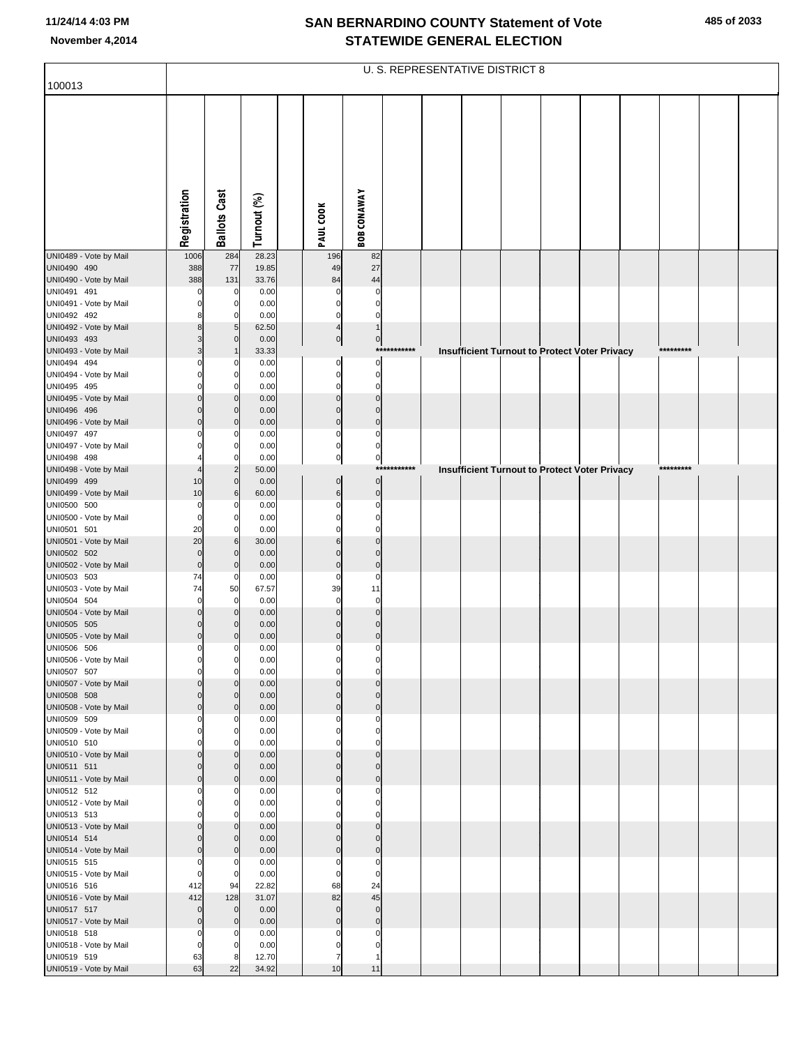|                                       |                            |                            |               |                            |                               |             | <b>U. S. REPRESENTATIVE DISTRICT 8</b> |  |                                                      |  |           |  |
|---------------------------------------|----------------------------|----------------------------|---------------|----------------------------|-------------------------------|-------------|----------------------------------------|--|------------------------------------------------------|--|-----------|--|
| 100013                                |                            |                            |               |                            |                               |             |                                        |  |                                                      |  |           |  |
|                                       | Registration               | <b>Ballots Cast</b>        | Turnout (%)   | PAUL COOK                  | <b>BOB CONAWAY</b>            |             |                                        |  |                                                      |  |           |  |
| UNI0489 - Vote by Mail                | 1006                       | 284                        | 28.23         | 196                        | 82                            |             |                                        |  |                                                      |  |           |  |
| UNI0490 490                           | 388                        | 77                         | 19.85         | 49                         | 27                            |             |                                        |  |                                                      |  |           |  |
| UNI0490 - Vote by Mail                | 388                        | 131                        | 33.76         | 84                         | 44                            |             |                                        |  |                                                      |  |           |  |
| UNI0491 491                           | 0                          | 0                          | 0.00          | $\Omega$                   | $\mathbf 0$                   |             |                                        |  |                                                      |  |           |  |
| UNI0491 - Vote by Mail<br>UNI0492 492 | $\Omega$<br>8              | 0<br>0                     | 0.00<br>0.00  | $\Omega$<br>$\Omega$       | $\mathbf 0$<br>$\mathbf 0$    |             |                                        |  |                                                      |  |           |  |
| UNI0492 - Vote by Mail                | 8                          | 5                          | 62.50         | $\overline{4}$             |                               |             |                                        |  |                                                      |  |           |  |
| UNI0493 493                           | 3                          | $\Omega$                   | 0.00          | $\overline{0}$             | $\overline{0}$                |             |                                        |  |                                                      |  |           |  |
| UNI0493 - Vote by Mail                | 3                          |                            | 33.33         |                            |                               | *********** |                                        |  | <b>Insufficient Turnout to Protect Voter Privacy</b> |  | ********* |  |
| UNI0494 494                           | $\Omega$                   | C                          | 0.00          | $\mathbf 0$                | $\mathbf 0$                   |             |                                        |  |                                                      |  |           |  |
| UNI0494 - Vote by Mail<br>UNI0495 495 | $\Omega$<br>$\Omega$       | $\Omega$<br>0              | 0.00<br>0.00  | $\mathbf 0$<br>$\Omega$    | $\mathbf 0$<br>0              |             |                                        |  |                                                      |  |           |  |
| UNI0495 - Vote by Mail                | $\mathbf 0$                | $\Omega$                   | 0.00          | $\mathbf{0}$               | $\overline{0}$                |             |                                        |  |                                                      |  |           |  |
| UNI0496 496                           | $\Omega$                   | $\Omega$                   | 0.00          | $\Omega$                   | $\Omega$                      |             |                                        |  |                                                      |  |           |  |
| UNI0496 - Vote by Mail                | $\mathbf 0$                | $\Omega$                   | 0.00          | $\mathbf 0$                | $\mathbf 0$                   |             |                                        |  |                                                      |  |           |  |
| UNI0497 497                           | $\Omega$                   |                            | 0.00          | $\Omega$                   | $\mathbf 0$                   |             |                                        |  |                                                      |  |           |  |
| UNI0497 - Vote by Mail<br>UNI0498 498 | $\Omega$                   |                            | 0.00<br>0.00  | $\Omega$<br>$\pmb{0}$      | $\mathbf 0$<br>$\overline{0}$ |             |                                        |  |                                                      |  |           |  |
| UNI0498 - Vote by Mail                | $\overline{4}$             |                            | 50.00         |                            |                               | *********** |                                        |  | <b>Insufficient Turnout to Protect Voter Privacy</b> |  | ********* |  |
| UNI0499 499                           | 10                         | $\Omega$                   | 0.00          | $\pmb{0}$                  | $\overline{0}$                |             |                                        |  |                                                      |  |           |  |
| UNI0499 - Vote by Mail                | 10                         | 6                          | 60.00         | $6\phantom{1}$             | $\mathbf 0$                   |             |                                        |  |                                                      |  |           |  |
| UNI0500 500                           | $\mathbf 0$<br>$\mathbf 0$ |                            | 0.00          | 0<br>$\Omega$              | 0<br>$\mathbf 0$              |             |                                        |  |                                                      |  |           |  |
| UNI0500 - Vote by Mail<br>UNI0501 501 | 20                         | 0                          | 0.00<br>0.00  |                            | $\Omega$                      |             |                                        |  |                                                      |  |           |  |
| UNI0501 - Vote by Mail                | 20                         | 6                          | 30.00         | 6                          | $\Omega$                      |             |                                        |  |                                                      |  |           |  |
| UNI0502 502                           | $\mathbf 0$                | $\Omega$                   | 0.00          | $\Omega$                   | $\Omega$                      |             |                                        |  |                                                      |  |           |  |
| UNI0502 - Vote by Mail                | $\mathbf 0$                | $\Omega$                   | 0.00          | $\mathbf 0$                | $\mathbf 0$                   |             |                                        |  |                                                      |  |           |  |
| UNI0503 503<br>UNI0503 - Vote by Mail | 74<br>74                   | $\Omega$<br>50             | 0.00<br>67.57 | $\Omega$<br>39             | $\mathbf 0$<br>11             |             |                                        |  |                                                      |  |           |  |
| UNI0504 504                           | $\mathbf 0$                | $\mathbf 0$                | 0.00          | $\mathbf 0$                | $\mathbf 0$                   |             |                                        |  |                                                      |  |           |  |
| UNI0504 - Vote by Mail                | $\mathbf 0$                | $\Omega$                   | 0.00          | $\Omega$                   | $\overline{0}$                |             |                                        |  |                                                      |  |           |  |
| UNI0505 505                           | $\overline{0}$             |                            | 0.00          | $\Omega$                   | $\mathbf 0$                   |             |                                        |  |                                                      |  |           |  |
| UNI0505 - Vote by Mail<br>UNI0506 506 | $\mathbf 0$<br>$\mathbf 0$ | 0                          | 0.00<br>0.00  | $\mathbf 0$<br>$\mathbf 0$ | $\mathbf 0$<br>$\mathbf 0$    |             |                                        |  |                                                      |  |           |  |
| UNI0506 - Vote by Mail                | $\mathbf{0}$               | $\overline{0}$             | 0.00          |                            | $\Omega$                      |             |                                        |  |                                                      |  |           |  |
| UNI0507 507                           | $\mathbf 0$                | 0                          | 0.00          | 0                          | $\mathbf 0$                   |             |                                        |  |                                                      |  |           |  |
| UNI0507 - Vote by Mail                | $\mathbf 0$                |                            | 0.00          | $\mathbf{0}$               | $\overline{0}$                |             |                                        |  |                                                      |  |           |  |
| UNI0508 508                           | $\mathbf 0$<br>$\mathbf 0$ | $\Omega$<br>$\Omega$       | 0.00<br>0.00  | $\Omega$<br>$\mathbf{0}$   | $\Omega$<br>$\overline{0}$    |             |                                        |  |                                                      |  |           |  |
| UNI0508 - Vote by Mail<br>UNI0509 509 | $\mathbf 0$                | 0                          | 0.00          | $\Omega$                   | $\Omega$                      |             |                                        |  |                                                      |  |           |  |
| UNI0509 - Vote by Mail                | $\mathbf 0$                | $\Omega$                   | 0.00          | $\Omega$                   | $\mathbf 0$                   |             |                                        |  |                                                      |  |           |  |
| UNI0510 510                           | $\Omega$                   |                            | 0.00          |                            | $\Omega$                      |             |                                        |  |                                                      |  |           |  |
| UNI0510 - Vote by Mail                | $\mathbf 0$                | $\Omega$                   | 0.00          | $\Omega$                   | $\Omega$<br>$\Omega$          |             |                                        |  |                                                      |  |           |  |
| UNI0511 511<br>UNI0511 - Vote by Mail | $\mathbf 0$<br>$\mathbf 0$ | $\mathbf 0$<br>$\mathbf 0$ | 0.00<br>0.00  | $\Omega$<br>$\mathbf{0}$   | $\overline{0}$                |             |                                        |  |                                                      |  |           |  |
| UNI0512 512                           | $\mathbf 0$                | 0                          | 0.00          | $\Omega$                   | $\mathbf 0$                   |             |                                        |  |                                                      |  |           |  |
| UNI0512 - Vote by Mail                | $\mathbf 0$                | 0                          | 0.00          | $\Omega$                   | $\mathbf 0$                   |             |                                        |  |                                                      |  |           |  |
| UNI0513 513                           | $\mathbf 0$                | 0                          | 0.00          | $\Omega$                   | $\mathbf 0$                   |             |                                        |  |                                                      |  |           |  |
| UNI0513 - Vote by Mail<br>UNI0514 514 | $\mathbf 0$<br>$\mathbf 0$ | $\Omega$<br>$\Omega$       | 0.00<br>0.00  | $\Omega$<br>$\Omega$       | $\overline{0}$<br>$\Omega$    |             |                                        |  |                                                      |  |           |  |
| UNI0514 - Vote by Mail                | $\mathbf 0$                | $\mathbf 0$                | 0.00          | $\mathbf{0}$               | $\mathbf 0$                   |             |                                        |  |                                                      |  |           |  |
| UNI0515 515                           | $\mathbf 0$                | $\Omega$                   | 0.00          | $\Omega$                   | $\mathbf 0$                   |             |                                        |  |                                                      |  |           |  |
| UNI0515 - Vote by Mail                | $\mathbf 0$                | $\mathbf 0$                | 0.00          | $\mathbf 0$                | $\mathbf 0$                   |             |                                        |  |                                                      |  |           |  |
| UNI0516 516                           | 412                        | 94                         | 22.82         | 68                         | 24                            |             |                                        |  |                                                      |  |           |  |
| UNI0516 - Vote by Mail<br>UNI0517 517 | 412<br>$\mathbf 0$         | 128<br>$\mathbf 0$         | 31.07<br>0.00 | 82<br>$\mathbf{0}$         | 45<br>$\mathbf 0$             |             |                                        |  |                                                      |  |           |  |
| UNI0517 - Vote by Mail                | $\mathbf 0$                | $\mathbf 0$                | 0.00          | $\mathbf{0}$               | $\mathbf 0$                   |             |                                        |  |                                                      |  |           |  |
| UNI0518 518                           | $\mathbf 0$                | 0                          | 0.00          | O                          | $\Omega$                      |             |                                        |  |                                                      |  |           |  |
| UNI0518 - Vote by Mail                | $\mathbf 0$                |                            | 0.00          | $\Omega$                   | $\Omega$                      |             |                                        |  |                                                      |  |           |  |
| UNI0519 519                           | 63                         |                            | 12.70         | 7                          |                               |             |                                        |  |                                                      |  |           |  |
| UNI0519 - Vote by Mail                | 63                         | 22                         | 34.92         | 10                         | 11                            |             |                                        |  |                                                      |  |           |  |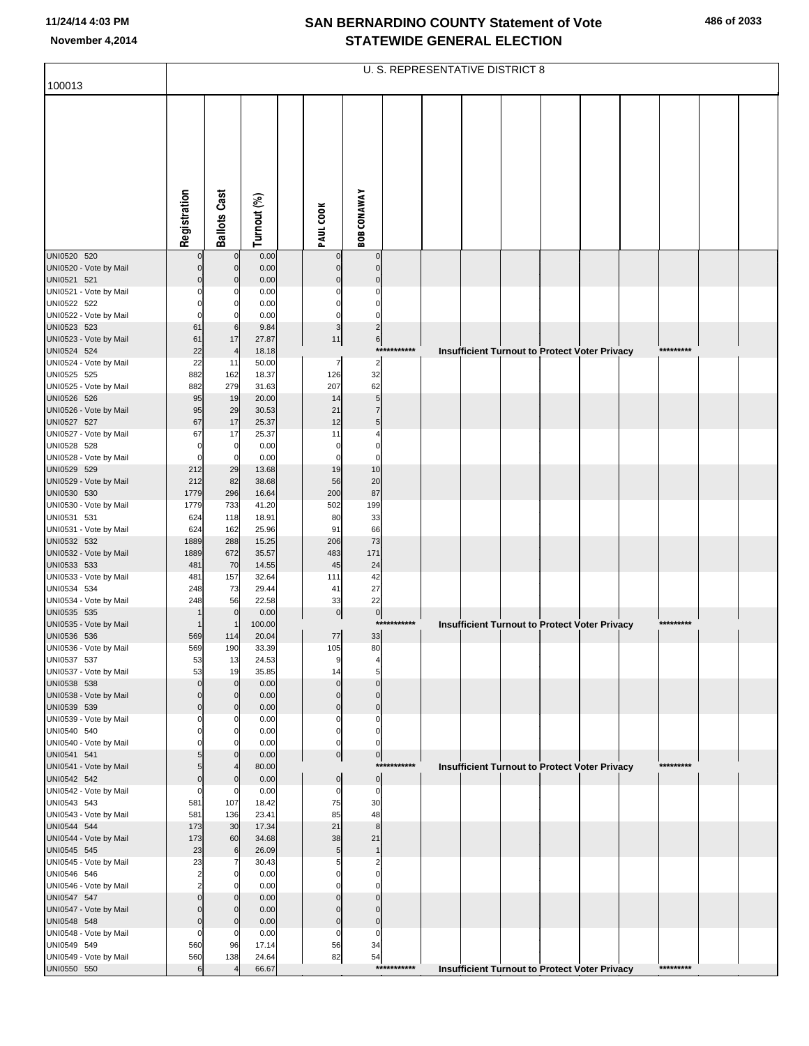|                                       |                 |                            |                |                            |                            |             | <b>U. S. REPRESENTATIVE DISTRICT 8</b>               |  |  |           |  |
|---------------------------------------|-----------------|----------------------------|----------------|----------------------------|----------------------------|-------------|------------------------------------------------------|--|--|-----------|--|
| 100013                                |                 |                            |                |                            |                            |             |                                                      |  |  |           |  |
|                                       | Registration    | <b>Ballots Cast</b>        | Turnout (%)    | PAUL COOK                  | <b>BOB CONAWAY</b>         |             |                                                      |  |  |           |  |
|                                       |                 |                            |                |                            |                            |             |                                                      |  |  |           |  |
| UNI0520 520<br>UNI0520 - Vote by Mail |                 | $\mathbf 0$<br>$\mathbf 0$ | 0.00<br>0.00   | 0<br>$\mathbf 0$           | $\mathbf 0$<br>$\mathbf 0$ |             |                                                      |  |  |           |  |
| UNI0521 521                           |                 | $\mathbf 0$                | 0.00           | $\mathbf 0$                | $\mathbf 0$                |             |                                                      |  |  |           |  |
| UNI0521 - Vote by Mail                |                 | 0                          | 0.00           | 0                          | 0                          |             |                                                      |  |  |           |  |
| UNI0522 522                           |                 | 0                          | 0.00           | $\Omega$                   | 0                          |             |                                                      |  |  |           |  |
| UNI0522 - Vote by Mail<br>UNI0523 523 | 0<br>61         | 0<br>6                     | 0.00<br>9.84   | 0<br>3                     | 0<br>$\overline{c}$        |             |                                                      |  |  |           |  |
| UNI0523 - Vote by Mail                | 61              | 17                         | 27.87          | 11                         | $6 \mid$                   |             |                                                      |  |  |           |  |
| UNI0524 524                           | 22              | $\overline{4}$             | 18.18          |                            |                            | *********** | Insufficient Turnout to Protect Voter Privacy        |  |  | ********* |  |
| UNI0524 - Vote by Mail                | 22              | 11                         | 50.00          | 7                          | $\overline{2}$             |             |                                                      |  |  |           |  |
| UNI0525 525                           | 882             | 162                        | 18.37          | 126                        | 32                         |             |                                                      |  |  |           |  |
| UNI0525 - Vote by Mail<br>UNI0526 526 | 882<br>95       | 279<br>19                  | 31.63<br>20.00 | 207<br>14                  | 62<br>5                    |             |                                                      |  |  |           |  |
| UNI0526 - Vote by Mail                | 95              | 29                         | 30.53          | 21                         | $\overline{7}$             |             |                                                      |  |  |           |  |
| UNI0527 527                           | 67              | 17                         | 25.37          | 12                         | 5                          |             |                                                      |  |  |           |  |
| UNI0527 - Vote by Mail                | 67              | 17                         | 25.37          | 11                         | 4                          |             |                                                      |  |  |           |  |
| UNI0528 528                           | 0               | $\overline{0}$             | 0.00           | 0                          | 0                          |             |                                                      |  |  |           |  |
| UNI0528 - Vote by Mail<br>UNI0529 529 | $\Omega$<br>212 | $\mathbf 0$<br>29          | 0.00<br>13.68  | 0<br>19                    | 0<br>10                    |             |                                                      |  |  |           |  |
| UNI0529 - Vote by Mail                | 212             | 82                         | 38.68          | 56                         | 20                         |             |                                                      |  |  |           |  |
| UNI0530 530                           | 1779            | 296                        | 16.64          | 200                        | 87                         |             |                                                      |  |  |           |  |
| UNI0530 - Vote by Mail                | 1779            | 733                        | 41.20          | 502                        | 199                        |             |                                                      |  |  |           |  |
| UNI0531 531<br>UNI0531 - Vote by Mail | 624<br>624      | 118<br>162                 | 18.91<br>25.96 | 80<br>91                   | 33<br>66                   |             |                                                      |  |  |           |  |
| UNI0532 532                           | 1889            | 288                        | 15.25          | 206                        | 73                         |             |                                                      |  |  |           |  |
| UNI0532 - Vote by Mail                | 1889            | 672                        | 35.57          | 483                        | 171                        |             |                                                      |  |  |           |  |
| UNI0533 533                           | 481             | 70                         | 14.55          | 45                         | 24                         |             |                                                      |  |  |           |  |
| UNI0533 - Vote by Mail                | 481             | 157                        | 32.64          | 111                        | 42<br>27                   |             |                                                      |  |  |           |  |
| UNI0534 534<br>UNI0534 - Vote by Mail | 248<br>248      | 73<br>56                   | 29.44<br>22.58 | 41<br>33                   | 22                         |             |                                                      |  |  |           |  |
| UNI0535 535                           |                 | $\mathbf 0$                | 0.00           | $\overline{0}$             | $\pmb{0}$                  |             |                                                      |  |  |           |  |
| UNI0535 - Vote by Mail                |                 | $\mathbf 1$                | 100.00         |                            | $***$                      | *******     | <b>Insufficient Turnout to Protect Voter Privacy</b> |  |  | ********* |  |
| UNI0536 536                           | 569             | 114                        | 20.04          | 77                         | 33                         |             |                                                      |  |  |           |  |
| UNI0536 - Vote by Mail<br>UNI0537 537 | 569<br>53       | 190<br>13                  | 33.39<br>24.53 | 105<br>9                   | 80                         |             |                                                      |  |  |           |  |
| UNI0537 - Vote by Mail                | 53              | 19                         | 35.85          | 14                         | 5                          |             |                                                      |  |  |           |  |
| UNI0538 538                           | $\Omega$        | $\mathbf 0$                | 0.00           | $\Omega$                   | $\mathbf 0$                |             |                                                      |  |  |           |  |
| UNI0538 - Vote by Mail                | $\Omega$        | $\mathbf 0$                | 0.00           | $\mathbf 0$                | $\mathbf 0$                |             |                                                      |  |  |           |  |
| UNI0539 539<br>UNI0539 - Vote by Mail | $\Omega$<br>O   | $\mathbf 0$<br>0           | 0.00<br>0.00   | $\overline{0}$<br>0        | $\pmb{0}$<br>0             |             |                                                      |  |  |           |  |
| UNI0540 540                           |                 | 0                          | 0.00           | 0                          | 0                          |             |                                                      |  |  |           |  |
| UNI0540 - Vote by Mail                |                 | 0                          | 0.00           | 0                          | 0                          |             |                                                      |  |  |           |  |
| UNI0541 541                           | 5               | $\mathbf 0$                | 0.00           | $\overline{0}$             | $\overline{0}$             | *********** |                                                      |  |  | ********* |  |
| UNI0541 - Vote by Mail<br>UNI0542 542 | 5<br>0          | 4<br>$\mathbf 0$           | 80.00<br>0.00  | $\overline{0}$             | $\overline{0}$             |             | <b>Insufficient Turnout to Protect Voter Privacy</b> |  |  |           |  |
| UNI0542 - Vote by Mail                | $\Omega$        | 0                          | 0.00           | 0                          | 0                          |             |                                                      |  |  |           |  |
| UNI0543 543                           | 581             | 107                        | 18.42          | 75                         | 30                         |             |                                                      |  |  |           |  |
| UNI0543 - Vote by Mail                | 581             | 136                        | 23.41          | 85                         | 48                         |             |                                                      |  |  |           |  |
| UNI0544 544                           | 173             | 30                         | 17.34          | 21                         | $\bf8$                     |             |                                                      |  |  |           |  |
| UNI0544 - Vote by Mail<br>UNI0545 545 | 173<br>23       | 60<br>6                    | 34.68<br>26.09 | 38<br>5 <sub>l</sub>       | 21<br>1                    |             |                                                      |  |  |           |  |
| UNI0545 - Vote by Mail                | 23              | 7                          | 30.43          | 5                          | 2                          |             |                                                      |  |  |           |  |
| UNI0546 546                           | $\overline{2}$  | 0                          | 0.00           | $\Omega$                   | 0                          |             |                                                      |  |  |           |  |
| UNI0546 - Vote by Mail                | $\overline{2}$  | 0                          | 0.00           | 0                          | 0                          |             |                                                      |  |  |           |  |
| UNI0547 547<br>UNI0547 - Vote by Mail | $\Omega$<br>0   | $\mathbf 0$<br>$\mathbf 0$ | 0.00<br>0.00   | $\mathbf 0$<br>$\mathbf 0$ | $\mathbf 0$<br>$\mathbf 0$ |             |                                                      |  |  |           |  |
| UNI0548 548                           | 0               | $\mathbf 0$                | 0.00           | $\overline{0}$             | $\pmb{0}$                  |             |                                                      |  |  |           |  |
| UNI0548 - Vote by Mail                | $\Omega$        | 0                          | 0.00           | 0                          | 0                          |             |                                                      |  |  |           |  |
| UNI0549 549                           | 560             | 96                         | 17.14          | 56                         | 34                         |             |                                                      |  |  |           |  |
| UNI0549 - Vote by Mail                | 560             | 138                        | 24.64          | 82                         | 54                         | *********** |                                                      |  |  | ********* |  |
| UNI0550 550                           | 6               |                            | 66.67          |                            |                            |             | <b>Insufficient Turnout to Protect Voter Privacy</b> |  |  |           |  |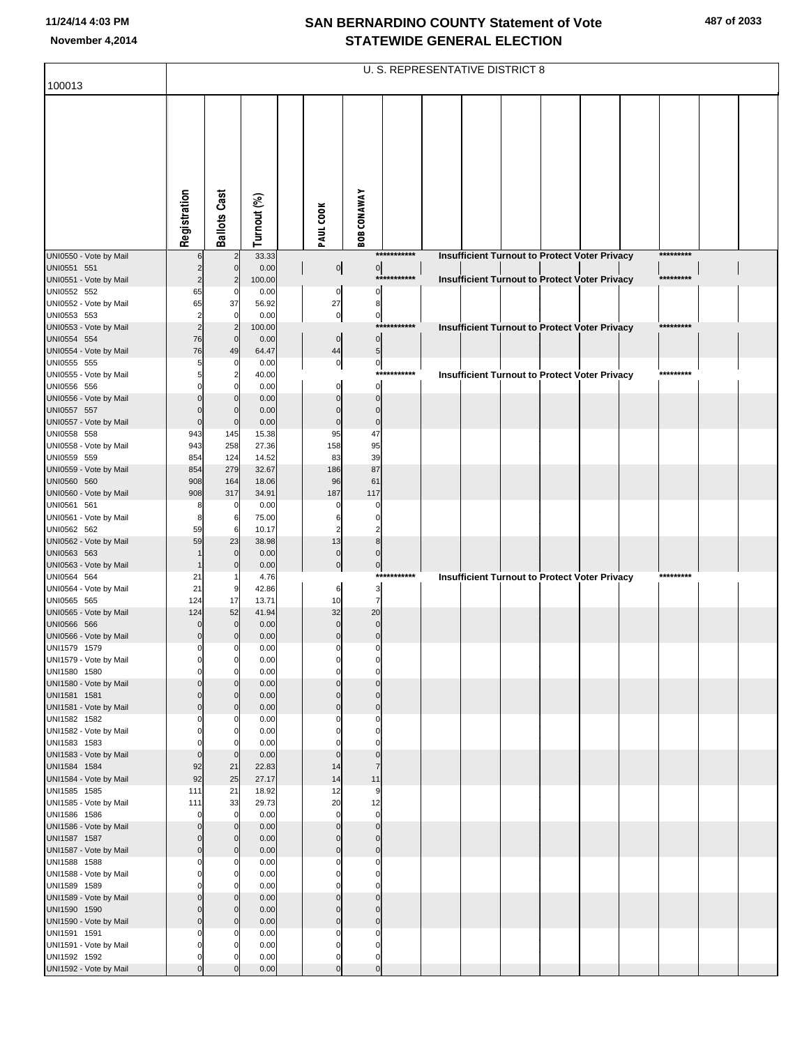|                                        |                         |                                |                |                         |                               |              | U. S. REPRESENTATIVE DISTRICT 8 |  |                                                      |           |  |
|----------------------------------------|-------------------------|--------------------------------|----------------|-------------------------|-------------------------------|--------------|---------------------------------|--|------------------------------------------------------|-----------|--|
| 100013                                 |                         |                                |                |                         |                               |              |                                 |  |                                                      |           |  |
|                                        | Registration            | <b>Ballots Cast</b>            | Turnout (%)    | PAUL COOK               | <b>BOB CONAWAY</b>            |              |                                 |  |                                                      |           |  |
| UNI0550 - Vote by Mail                 |                         | $\overline{2}$                 | 33.33          |                         |                               | ************ |                                 |  | <b>Insufficient Turnout to Protect Voter Privacy</b> | ********* |  |
| UNI0551 551                            |                         | $\mathbf 0$                    | 0.00           |                         | $\circ$<br>$\overline{0}$     | ***********  |                                 |  |                                                      | ********* |  |
| UNI0551 - Vote by Mail<br>UNI0552 552  | $\overline{2}$<br>65    | 2<br>C                         | 100.00<br>0.00 | $\pmb{0}$               | 0                             |              |                                 |  | <b>Insufficient Turnout to Protect Voter Privacy</b> |           |  |
| UNI0552 - Vote by Mail                 | 65                      | 37                             | 56.92          | 27                      | 8                             |              |                                 |  |                                                      |           |  |
| UNI0553 553                            | 2                       | $\mathbf 0$                    | 0.00           | $\pmb{0}$               | $\pmb{0}$                     |              |                                 |  |                                                      |           |  |
| UNI0553 - Vote by Mail<br>UNI0554 554  | $\overline{2}$<br>76    | $\overline{2}$<br>$\mathbf{0}$ | 100.00<br>0.00 | $\pmb{0}$               | $\pmb{0}$                     | ***********  |                                 |  | <b>Insufficient Turnout to Protect Voter Privacy</b> | ********* |  |
| UNI0554 - Vote by Mail                 | 76                      | 49                             | 64.47          | 44                      | 5                             |              |                                 |  |                                                      |           |  |
| UNI0555 555                            | 5                       | $\Omega$                       | 0.00           | $\bf{0}$                | $\pmb{\mathsf{O}}$            |              |                                 |  |                                                      |           |  |
| UNI0555 - Vote by Mail<br>UNI0556 556  | 5                       | $\overline{2}$<br>$\Omega$     | 40.00<br>0.00  | $\mathbf 0$             | $\mathbf 0$                   | ************ |                                 |  | <b>Insufficient Turnout to Protect Voter Privacy</b> | ********* |  |
| UNI0556 - Vote by Mail                 |                         | $\Omega$                       | 0.00           | $\Omega$                | $\Omega$                      |              |                                 |  |                                                      |           |  |
| UNI0557 557                            | $\Omega$                | $\Omega$                       | 0.00           | $\Omega$                | $\Omega$                      |              |                                 |  |                                                      |           |  |
| UNI0557 - Vote by Mail<br>UNI0558 558  | $\bf 0$                 | $\mathbf{0}$                   | 0.00           | $\mathbf 0$             | $\mathbf 0$                   |              |                                 |  |                                                      |           |  |
| UNI0558 - Vote by Mail                 | 943<br>943              | 145<br>258                     | 15.38<br>27.36 | 95<br>158               | 47<br>95                      |              |                                 |  |                                                      |           |  |
| UNI0559 559                            | 854                     | 124                            | 14.52          | 83                      | 39                            |              |                                 |  |                                                      |           |  |
| UNI0559 - Vote by Mail                 | 854                     | 279                            | 32.67          | 186                     | 87                            |              |                                 |  |                                                      |           |  |
| UNI0560 560<br>UNI0560 - Vote by Mail  | 908<br>908              | 164<br>317                     | 18.06<br>34.91 | 96<br>187               | 61<br>117                     |              |                                 |  |                                                      |           |  |
| UNI0561 561                            | 8                       | $\mathbf 0$                    | 0.00           | 0                       |                               |              |                                 |  |                                                      |           |  |
| UNI0561 - Vote by Mail                 | 8                       | 6                              | 75.00          | 6                       | $\Omega$                      |              |                                 |  |                                                      |           |  |
| UNI0562 562<br>UNI0562 - Vote by Mail  | 59<br>59                | 6<br>23                        | 10.17<br>38.98 | 2<br>13                 | 8                             |              |                                 |  |                                                      |           |  |
| UNI0563 563                            |                         | $\mathbf 0$                    | 0.00           | $\mathbf 0$             |                               |              |                                 |  |                                                      |           |  |
| UNI0563 - Vote by Mail                 |                         | $\mathbf 0$                    | 0.00           | $\pmb{0}$               | $\pmb{0}$                     | ***********  |                                 |  |                                                      | ********* |  |
| UNI0564 564<br>UNI0564 - Vote by Mail  | 21<br>21                | 9                              | 4.76<br>42.86  | 6                       | 3                             |              |                                 |  | <b>Insufficient Turnout to Protect Voter Privacy</b> |           |  |
| UNI0565 565                            | 124                     | 17                             | 13.71          | 10                      | $\overline{7}$                |              |                                 |  |                                                      |           |  |
| UNI0565 - Vote by Mail                 | 124                     | 52                             | 41.94          | 32                      | 20                            |              |                                 |  |                                                      |           |  |
| UNI0566 566<br>UNI0566 - Vote by Mail  | 0<br>$\mathbf 0$        | $\mathbf 0$<br>$\Omega$        | 0.00<br>0.00   | $\mathbf 0$<br>$\Omega$ | $\mathbf 0$<br>$\mathbf 0$    |              |                                 |  |                                                      |           |  |
| UNI1579 1579                           | 0                       | 0                              | 0.00           | 0                       | 0                             |              |                                 |  |                                                      |           |  |
| UNI1579 - Vote by Mail                 | 0                       | $\mathbf 0$<br>$\Omega$        | 0.00           |                         |                               |              |                                 |  |                                                      |           |  |
| UNI1580 1580<br>UNI1580 - Vote by Mail | $\Omega$                | n                              | 0.00<br>0.00   | $\mathbf 0$<br>$\Omega$ | $\Omega$<br>$\Omega$          |              |                                 |  |                                                      |           |  |
| UNI1581 1581                           | $\Omega$                | $\Omega$                       | 0.00           | $\Omega$                | $\Omega$                      |              |                                 |  |                                                      |           |  |
| UNI1581 - Vote by Mail<br>UNI1582 1582 | $\mathbf 0$             | $\Omega$<br>C                  | 0.00<br>0.00   | $\mathbf 0$             | $\mathbf 0$<br>0              |              |                                 |  |                                                      |           |  |
| UNI1582 - Vote by Mail                 | $\Omega$                | $\Omega$                       | 0.00           | O                       | $\Omega$                      |              |                                 |  |                                                      |           |  |
| UNI1583 1583                           |                         |                                | 0.00           |                         |                               |              |                                 |  |                                                      |           |  |
| UNI1583 - Vote by Mail<br>UNI1584 1584 | $\mathbf 0$<br>92       | $\mathbf 0$                    | 0.00<br>22.83  | $\mathbf 0$<br>14       | $\mathbf 0$<br>$\overline{7}$ |              |                                 |  |                                                      |           |  |
| UNI1584 - Vote by Mail                 | 92                      | 21<br>25                       | 27.17          | 14                      | 11                            |              |                                 |  |                                                      |           |  |
| UNI1585 1585                           | 111                     | 21                             | 18.92          | 12                      | 9                             |              |                                 |  |                                                      |           |  |
| UNI1585 - Vote by Mail                 | 111                     | 33<br>$\Omega$                 | 29.73          | 20<br>$\mathbf 0$       | 12                            |              |                                 |  |                                                      |           |  |
| UNI1586 1586<br>UNI1586 - Vote by Mail | $\Omega$<br>$\Omega$    | $\Omega$                       | 0.00<br>0.00   | $\Omega$                | $\mathbf 0$<br>$\mathbf 0$    |              |                                 |  |                                                      |           |  |
| UNI1587 1587                           | 0                       | $\Omega$                       | 0.00           | $\Omega$                | $\Omega$                      |              |                                 |  |                                                      |           |  |
| UNI1587 - Vote by Mail                 | $\mathbf 0$             | $\Omega$                       | 0.00           | $\mathbf 0$             | $\mathbf 0$                   |              |                                 |  |                                                      |           |  |
| UNI1588 1588<br>UNI1588 - Vote by Mail | $\Omega$                | C<br>$\Omega$                  | 0.00<br>0.00   | 0<br>$\Omega$           | 0<br>$\Omega$                 |              |                                 |  |                                                      |           |  |
| UNI1589 1589                           |                         |                                | 0.00           |                         |                               |              |                                 |  |                                                      |           |  |
| UNI1589 - Vote by Mail                 | 0                       | $\Omega$                       | 0.00           | $\Omega$                | $\Omega$                      |              |                                 |  |                                                      |           |  |
| UNI1590 1590<br>UNI1590 - Vote by Mail | $\Omega$<br>$\mathbf 0$ | $\Omega$<br>$\Omega$           | 0.00<br>0.00   | $\Omega$<br>$\mathbf 0$ | $\Omega$<br>$\mathbf{0}$      |              |                                 |  |                                                      |           |  |
| UNI1591 1591                           | 0                       | C                              | 0.00           | 0                       | 0                             |              |                                 |  |                                                      |           |  |
| UNI1591 - Vote by Mail                 | $\Omega$                | O                              | 0.00           | $\Omega$                | $\Omega$                      |              |                                 |  |                                                      |           |  |
| UNI1592 1592<br>UNI1592 - Vote by Mail | $\Omega$<br>$\Omega$    |                                | 0.00<br>0.00   | $\Omega$<br>$\Omega$    | $\Omega$<br>$\mathbf{0}$      |              |                                 |  |                                                      |           |  |
|                                        |                         |                                |                |                         |                               |              |                                 |  |                                                      |           |  |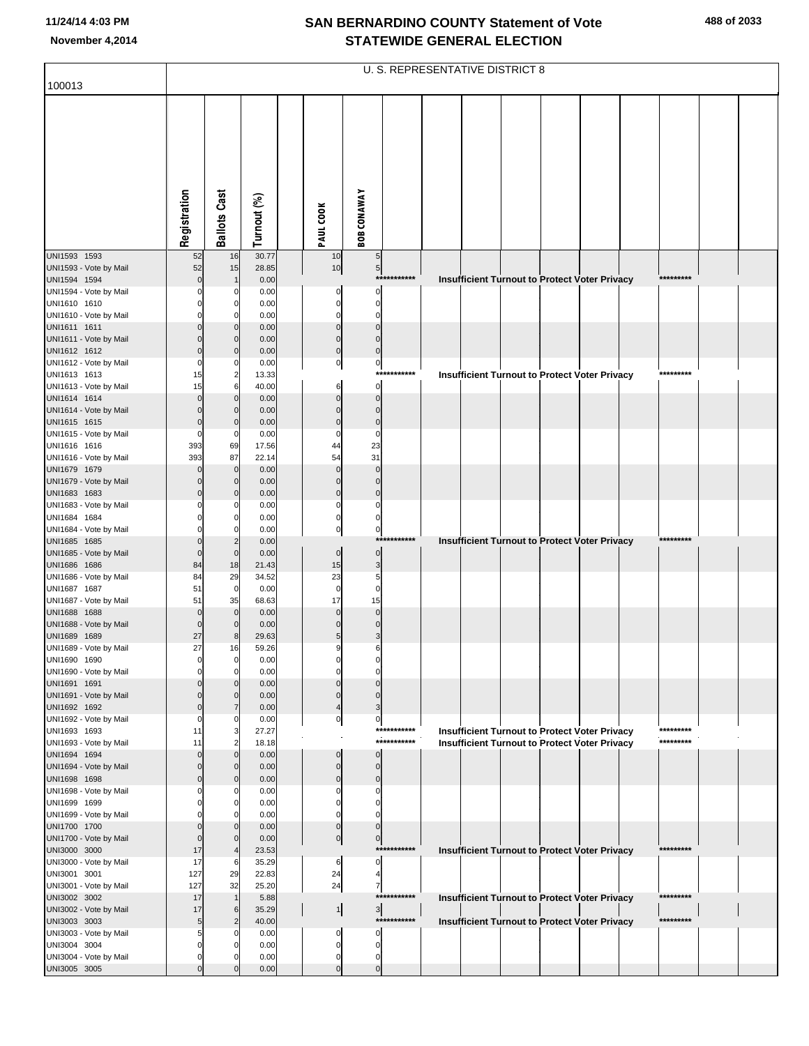| 100013                                 |                      |                              |                |                            |                          | U. S. REPRESENTATIVE DISTRICT 8 |  |  |                                                      |           |  |
|----------------------------------------|----------------------|------------------------------|----------------|----------------------------|--------------------------|---------------------------------|--|--|------------------------------------------------------|-----------|--|
|                                        |                      |                              |                |                            |                          |                                 |  |  |                                                      |           |  |
|                                        |                      |                              |                |                            |                          |                                 |  |  |                                                      |           |  |
|                                        | Registration         | <b>Ballots Cast</b>          | Turnout (%)    | PAUL COOK                  | <b>BOB CONAWAY</b>       |                                 |  |  |                                                      |           |  |
| UNI1593 1593                           | 52                   | 16                           | 30.77          | 10                         | 5                        |                                 |  |  |                                                      |           |  |
| UNI1593 - Vote by Mail                 | 52                   | 15                           | 28.85          | 10                         | $5\overline{)}$          |                                 |  |  |                                                      |           |  |
| UNI1594 1594                           | $\mathbf{0}$<br>O    | $\mathbf{1}$                 | 0.00           |                            | $\Omega$                 | ***********                     |  |  | Insufficient Turnout to Protect Voter Privacy        | ********* |  |
| UNI1594 - Vote by Mail<br>UNI1610 1610 |                      | 0<br>0                       | 0.00<br>0.00   | $\mathbf 0$<br>$\mathbf 0$ | $\mathbf 0$              |                                 |  |  |                                                      |           |  |
| UNI1610 - Vote by Mail                 |                      | $\Omega$                     | 0.00           | $\Omega$                   | $\Omega$                 |                                 |  |  |                                                      |           |  |
| UNI1611 1611                           | $\Omega$             | $\mathbf 0$                  | 0.00           | $\mathbf 0$                | $\mathbf{0}$             |                                 |  |  |                                                      |           |  |
| UNI1611 - Vote by Mail<br>UNI1612 1612 | C<br>$\Omega$        | $\mathbf{0}$<br>$\mathbf{0}$ | 0.00<br>0.00   | $\mathbf 0$<br>$\mathbf 0$ | $\Omega$<br>$\mathbf{0}$ |                                 |  |  |                                                      |           |  |
| UNI1612 - Vote by Mail                 | $\Omega$             | $\Omega$                     | 0.00           | $\overline{0}$             | $\pmb{0}$                |                                 |  |  |                                                      |           |  |
| UNI1613 1613                           | 15                   | 2                            | 13.33          |                            |                          | ***********                     |  |  | <b>Insufficient Turnout to Protect Voter Privacy</b> | ********* |  |
| UNI1613 - Vote by Mail<br>UNI1614 1614 | 15<br>$\Omega$       | 6<br>$\mathbf{0}$            | 40.00<br>0.00  | 6<br>$\mathbf 0$           | $\Omega$<br>$\mathbf{0}$ |                                 |  |  |                                                      |           |  |
| UNI1614 - Vote by Mail                 | $\Omega$             | 0                            | 0.00           | $\Omega$                   | $\Omega$                 |                                 |  |  |                                                      |           |  |
| UNI1615 1615                           | $\mathbf 0$          | $\mathbf{0}$                 | 0.00           | $\mathbf 0$                | $\mathbf 0$              |                                 |  |  |                                                      |           |  |
| UNI1615 - Vote by Mail<br>UNI1616 1616 | $\Omega$<br>393      | 0<br>69                      | 0.00<br>17.56  | $\Omega$<br>44             | $\Omega$<br>23           |                                 |  |  |                                                      |           |  |
| UNI1616 - Vote by Mail                 | 393                  | 87                           | 22.14          | 54                         | 31                       |                                 |  |  |                                                      |           |  |
| UNI1679 1679                           | $\Omega$             | $\mathbf 0$                  | 0.00           | $\mathbf 0$                | $\mathbf 0$              |                                 |  |  |                                                      |           |  |
| UNI1679 - Vote by Mail<br>UNI1683 1683 | $\Omega$<br>$\Omega$ | 0<br>$\mathbf{0}$            | 0.00<br>0.00   | $\Omega$<br>$\mathbf 0$    | $\Omega$<br>$\mathbf 0$  |                                 |  |  |                                                      |           |  |
| UNI1683 - Vote by Mail                 |                      | $\Omega$                     | 0.00           | $\Omega$                   | $\Omega$                 |                                 |  |  |                                                      |           |  |
| UNI1684 1684                           |                      | 0                            | 0.00           | $\mathbf 0$                | $\mathbf 0$              |                                 |  |  |                                                      |           |  |
| UNI1684 - Vote by Mail<br>UNI1685 1685 | $\Omega$             | $\overline{2}$               | 0.00<br>0.00   | $\mathbf 0$                | $\mathbf 0$              | ***********                     |  |  | <b>Insufficient Turnout to Protect Voter Privacy</b> | ********* |  |
| UNI1685 - Vote by Mail                 | $\mathbf{0}$         | $\mathbf{0}$                 | 0.00           | $\mathbf 0$                | $\mathbf 0$              |                                 |  |  |                                                      |           |  |
| UNI1686 1686                           | 84                   | 18                           | 21.43          | 15                         | 3                        |                                 |  |  |                                                      |           |  |
| UNI1686 - Vote by Mail<br>UNI1687 1687 | 84<br>51             | 29<br>$\mathbf 0$            | 34.52<br>0.00  | 23<br>$\mathbf 0$          | 5<br>$\Omega$            |                                 |  |  |                                                      |           |  |
| UNI1687 - Vote by Mail                 | 51                   | 35                           | 68.63          | 17                         | 15                       |                                 |  |  |                                                      |           |  |
| UNI1688 1688                           | $\mathbf 0$          | $\mathbf 0$                  | 0.00           | $\mathbf 0$                | $\Omega$                 |                                 |  |  |                                                      |           |  |
| UNI1688 - Vote by Mail<br>UNI1689 1689 | $\mathbf 0$<br>27    | 0<br>8                       | 0.00<br>29.63  | $\Omega$<br>5              | $\Omega$<br>3            |                                 |  |  |                                                      |           |  |
| UNI1689 - Vote by Mail                 | 27                   | 16                           | 59.26          | 9                          | 6                        |                                 |  |  |                                                      |           |  |
| UNI1690 1690                           |                      |                              | 0.00           |                            |                          |                                 |  |  |                                                      |           |  |
| UNI1690 - Vote by Mail<br>UNI1691 1691 |                      | 0                            | 0.00<br>0.00   | O<br>$\Omega$              |                          |                                 |  |  |                                                      |           |  |
| UNI1691 - Vote by Mail                 |                      | $\Omega$                     | 0.00           | $\Omega$                   | $\Omega$                 |                                 |  |  |                                                      |           |  |
| UNI1692 1692                           | $\Omega$             |                              | 0.00           |                            | З                        |                                 |  |  |                                                      |           |  |
| UNI1692 - Vote by Mail<br>UNI1693 1693 | 0<br>11              | 3                            | 0.00<br>27.27  | 0                          | 0                        | ***********                     |  |  | Insufficient Turnout to Protect Voter Privacy        | ********* |  |
| UNI1693 - Vote by Mail                 | 11                   |                              | 18.18          |                            |                          | ***********                     |  |  | <b>Insufficient Turnout to Protect Voter Privacy</b> | ********* |  |
| UNI1694 1694                           | $\Omega$             | 0                            | 0.00           | $\Omega$                   | $\Omega$                 |                                 |  |  |                                                      |           |  |
| UNI1694 - Vote by Mail<br>UNI1698 1698 | $\Omega$<br>$\Omega$ | $\Omega$<br>0                | 0.00<br>0.00   | $\Omega$<br>$\Omega$       | $\Omega$<br>$\Omega$     |                                 |  |  |                                                      |           |  |
| UNI1698 - Vote by Mail                 |                      |                              | 0.00           | 0                          | 0                        |                                 |  |  |                                                      |           |  |
| UNI1699 1699                           | O                    | 0                            | 0.00           | $\Omega$                   | C                        |                                 |  |  |                                                      |           |  |
| UNI1699 - Vote by Mail<br>UNI1700 1700 | $\Omega$             | 0                            | 0.00<br>0.00   | 0<br>$\mathbf 0$           | $\Omega$                 |                                 |  |  |                                                      |           |  |
| UNI1700 - Vote by Mail                 | $\Omega$             | 0                            | 0.00           | $\overline{0}$             | $\mathbf 0$              |                                 |  |  |                                                      |           |  |
| UNI3000 3000                           | 17                   | 4                            | 23.53          |                            |                          | ***********                     |  |  | Insufficient Turnout to Protect Voter Privacy        | ********* |  |
| UNI3000 - Vote by Mail<br>UNI3001 3001 | 17<br>127            | 6<br>29                      | 35.29<br>22.83 | 6<br>24                    | $\Omega$                 |                                 |  |  |                                                      |           |  |
| UNI3001 - Vote by Mail                 | 127                  | 32                           | 25.20          | 24                         | 7                        |                                 |  |  |                                                      |           |  |
| UNI3002 3002                           | 17                   |                              | 5.88           |                            |                          | ***********                     |  |  | Insufficient Turnout to Protect Voter Privacy        | ********* |  |
| UNI3002 - Vote by Mail<br>UNI3003 3003 | 17<br>5              | 6<br>$\overline{2}$          | 35.29<br>40.00 | $\frac{1}{2}$              | $\overline{3}$           | ***********                     |  |  | Insufficient Turnout to Protect Voter Privacy        | ********* |  |
| UNI3003 - Vote by Mail                 | 5                    |                              | 0.00           | $\mathbf 0$                | O                        |                                 |  |  |                                                      |           |  |
| UNI3004 3004                           | 0                    |                              | 0.00           | 0                          | $\Omega$                 |                                 |  |  |                                                      |           |  |
| UNI3004 - Vote by Mail<br>UNI3005 3005 | 0<br>$\Omega$        |                              | 0.00<br>0.00   | 0<br>$\Omega$              | 0<br>$\Omega$            |                                 |  |  |                                                      |           |  |
|                                        |                      |                              |                |                            |                          |                                 |  |  |                                                      |           |  |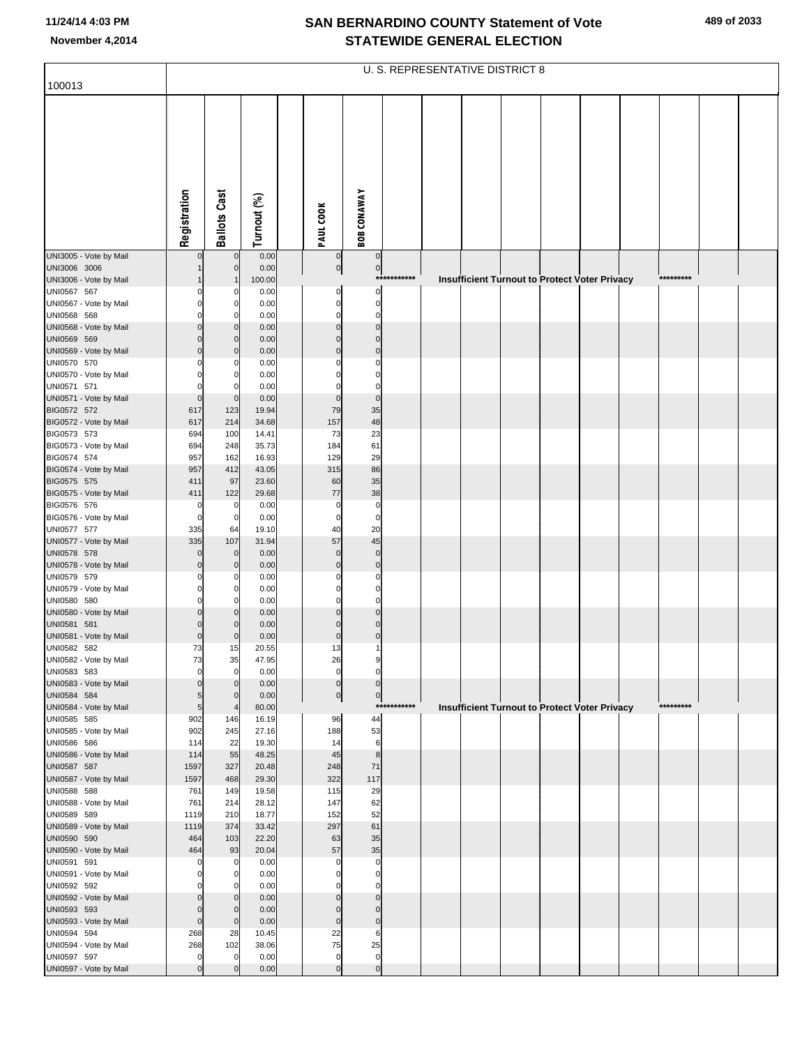|                                       |                    |                                |                |                            |                             |             | <b>U. S. REPRESENTATIVE DISTRICT 8</b> |  |                                               |           |  |
|---------------------------------------|--------------------|--------------------------------|----------------|----------------------------|-----------------------------|-------------|----------------------------------------|--|-----------------------------------------------|-----------|--|
| 100013                                |                    |                                |                |                            |                             |             |                                        |  |                                               |           |  |
|                                       | Registration       | <b>Ballots Cast</b>            | Turnout (%)    | PAUL COOK                  | <b>BOB CONAWAY</b>          |             |                                        |  |                                               |           |  |
|                                       |                    |                                |                |                            |                             |             |                                        |  |                                               |           |  |
| UNI3005 - Vote by Mail                |                    | $\mathbf 0$                    | 0.00           |                            | $\mathbf 0$                 |             |                                        |  |                                               |           |  |
| UNI3006 3006                          |                    | $\overline{0}$                 | 0.00           | $\pmb{0}$                  | $\overline{0}$              |             |                                        |  |                                               |           |  |
| UNI3006 - Vote by Mail                |                    |                                | 100.00         |                            |                             | *********** |                                        |  | Insufficient Turnout to Protect Voter Privacy | ********* |  |
| UNI0567 567                           |                    |                                | 0.00           |                            | $\Omega$<br>$\Omega$        |             |                                        |  |                                               |           |  |
| UNI0567 - Vote by Mail<br>UNI0568 568 |                    | $\mathbf 0$<br>0               | 0.00<br>0.00   |                            | O                           |             |                                        |  |                                               |           |  |
| UNI0568 - Vote by Mail                |                    | $\mathbf{0}$                   | 0.00           | C                          | $\Omega$                    |             |                                        |  |                                               |           |  |
| UNI0569 569                           |                    | $\mathbf{0}$                   | 0.00           | C                          | $\Omega$                    |             |                                        |  |                                               |           |  |
| UNI0569 - Vote by Mail                | ſ                  | $\overline{0}$                 | 0.00           | $\mathcal{C}$              | $\Omega$                    |             |                                        |  |                                               |           |  |
| UNI0570 570                           |                    | 0<br>$\mathbf 0$               | 0.00<br>0.00   |                            | C<br>$\Omega$               |             |                                        |  |                                               |           |  |
| UNI0570 - Vote by Mail<br>UNI0571 571 |                    | $\mathbf{0}$                   | 0.00           |                            | C                           |             |                                        |  |                                               |           |  |
| UNI0571 - Vote by Mail                | $\mathbf 0$        | $\mathbf 0$                    | 0.00           | C                          | $\mathbf 0$                 |             |                                        |  |                                               |           |  |
| BIG0572 572                           | 617                | 123                            | 19.94          | 79                         | 35                          |             |                                        |  |                                               |           |  |
| BIG0572 - Vote by Mail                | 617                | 214                            | 34.68          | 157                        | 48                          |             |                                        |  |                                               |           |  |
| BIG0573 573<br>BIG0573 - Vote by Mail | 694<br>694         | 100<br>248                     | 14.41<br>35.73 | 73<br>184                  | 23<br>61                    |             |                                        |  |                                               |           |  |
| BIG0574 574                           | 957                | 162                            | 16.93          | 129                        | 29                          |             |                                        |  |                                               |           |  |
| BIG0574 - Vote by Mail                | 957                | 412                            | 43.05          | 315                        | 86                          |             |                                        |  |                                               |           |  |
| BIG0575 575                           | 411                | 97                             | 23.60          | 60                         | 35                          |             |                                        |  |                                               |           |  |
| BIG0575 - Vote by Mail<br>BIG0576 576 | 411<br>C           | 122<br>0                       | 29.68<br>0.00  | 77<br>C                    | 38<br>$\mathbf 0$           |             |                                        |  |                                               |           |  |
| BIG0576 - Vote by Mail                | $\epsilon$         | $\mathbf 0$                    | 0.00           | $\mathbf 0$                | $\mathbf 0$                 |             |                                        |  |                                               |           |  |
| UNI0577 577                           | 335                | 64                             | 19.10          | 40                         | 20                          |             |                                        |  |                                               |           |  |
| UNI0577 - Vote by Mail                | 335                | 107                            | 31.94          | 57                         | 45                          |             |                                        |  |                                               |           |  |
| UNI0578 578<br>UNI0578 - Vote by Mail | C                  | $\mathbf 0$<br>$\mathbf 0$     | 0.00<br>0.00   | $\mathcal{C}$<br>C         | $\mathbf{0}$<br>$\mathbf 0$ |             |                                        |  |                                               |           |  |
| UNI0579 579                           |                    | 0                              | 0.00           |                            | C                           |             |                                        |  |                                               |           |  |
| UNI0579 - Vote by Mail                |                    | $\mathbf{0}$                   | 0.00           |                            | C                           |             |                                        |  |                                               |           |  |
| UNI0580 580                           |                    | 0                              | 0.00           |                            | $\Omega$                    |             |                                        |  |                                               |           |  |
| UNI0580 - Vote by Mail<br>UNI0581 581 |                    | $\Omega$<br>0                  | 0.00<br>0.00   |                            | $\Omega$<br>C               |             |                                        |  |                                               |           |  |
| UNI0581 - Vote by Mail                | $\mathbf 0$        | $\mathbf{0}$                   | 0.00           | C                          | $\Omega$                    |             |                                        |  |                                               |           |  |
| UNI0582 582                           | 73                 | 15                             | 20.55          | 13                         | 1                           |             |                                        |  |                                               |           |  |
| UNI0582 - Vote by Mail                | 73                 | 35                             | 47.95          | 26                         | 9                           |             |                                        |  |                                               |           |  |
| UNI0583 583<br>UNI0583 - Vote by Mail | $\mathbf 0$<br>0   | $\overline{0}$<br>$\mathbf{0}$ | 0.00<br>0.00   | $\mathbf 0$<br>$\mathbf 0$ | $\Omega$<br>$\Omega$        |             |                                        |  |                                               |           |  |
| UNI0584 584                           | 5                  | $\mathbf 0$                    | 0.00           | $\pmb{0}$                  | $\pmb{0}$                   |             |                                        |  |                                               |           |  |
| UNI0584 - Vote by Mail                | 5                  | $\overline{4}$                 | 80.00          |                            |                             | *********** |                                        |  | Insufficient Turnout to Protect Voter Privacy | ********* |  |
| UNI0585 585                           | 902                | 146                            | 16.19          | 96                         | 44                          |             |                                        |  |                                               |           |  |
| UNI0585 - Vote by Mail<br>UNI0586 586 | 902<br>114         | 245<br>22                      | 27.16<br>19.30 | 188<br>14                  | 53<br>6                     |             |                                        |  |                                               |           |  |
| UNI0586 - Vote by Mail                | 114                | 55                             | 48.25          | 45                         | $\bf8$                      |             |                                        |  |                                               |           |  |
| UNI0587 587                           | 1597               | 327                            | 20.48          | 248                        | 71                          |             |                                        |  |                                               |           |  |
| UNI0587 - Vote by Mail                | 1597               | 468                            | 29.30          | 322                        | 117                         |             |                                        |  |                                               |           |  |
| UNI0588 588<br>UNI0588 - Vote by Mail | 761<br>761         | 149<br>214                     | 19.58<br>28.12 | 115<br>147                 | 29<br>62                    |             |                                        |  |                                               |           |  |
| UNI0589 589                           | 1119               | 210                            | 18.77          | 152                        | 52                          |             |                                        |  |                                               |           |  |
| UNI0589 - Vote by Mail                | 1119               | 374                            | 33.42          | 297                        | 61                          |             |                                        |  |                                               |           |  |
| UNI0590 590                           | 464                | 103                            | 22.20          | 63                         | 35                          |             |                                        |  |                                               |           |  |
| UNI0590 - Vote by Mail<br>UNI0591 591 | 464<br>C           | 93<br>0                        | 20.04<br>0.00  | 57<br>$\mathsf{C}$         | 35<br>$\Omega$              |             |                                        |  |                                               |           |  |
| UNI0591 - Vote by Mail                | C                  | 0                              | 0.00           | C                          | $\Omega$                    |             |                                        |  |                                               |           |  |
| UNI0592 592                           |                    | $\mathbf 0$                    | 0.00           |                            | C                           |             |                                        |  |                                               |           |  |
| UNI0592 - Vote by Mail                | 0                  | $\mathbf 0$                    | 0.00           |                            | $\Omega$                    |             |                                        |  |                                               |           |  |
| UNI0593 593                           | $\epsilon$         | $\mathbf 0$                    | 0.00           | C                          | $\Omega$<br>$\Omega$        |             |                                        |  |                                               |           |  |
| UNI0593 - Vote by Mail<br>UNI0594 594 | $\mathbf 0$<br>268 | $\mathbf 0$<br>28              | 0.00<br>10.45  | $\mathsf{C}$<br>22         | 6                           |             |                                        |  |                                               |           |  |
| UNI0594 - Vote by Mail                | 268                | 102                            | 38.06          | 75                         | 25                          |             |                                        |  |                                               |           |  |
| UNI0597 597                           | 0                  | 0                              | 0.00           | $\mathbf 0$                | $\mathbf 0$                 |             |                                        |  |                                               |           |  |
| UNI0597 - Vote by Mail                | $\Omega$           |                                | 0.00           | $\mathcal{C}$              | $\mathbf 0$                 |             |                                        |  |                                               |           |  |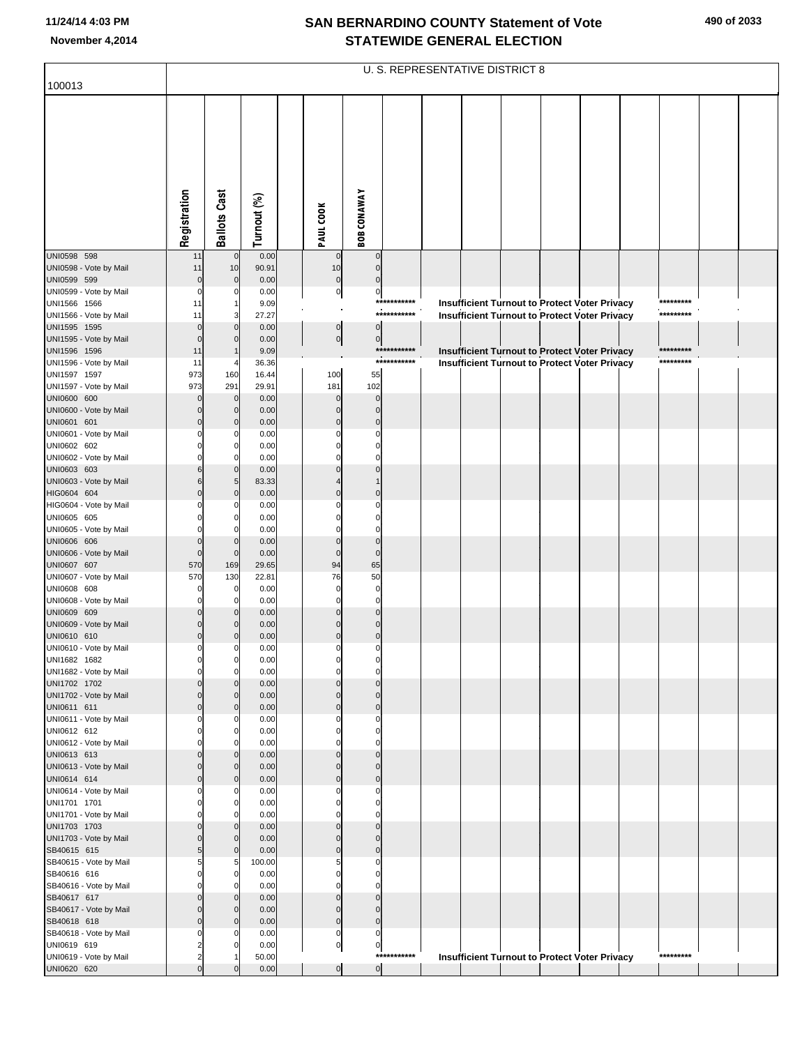|                                        | U. S. REPRESENTATIVE DISTRICT 8        |                                  |                |                             |                               |             |  |  |  |  |                                                      |  |           |  |
|----------------------------------------|----------------------------------------|----------------------------------|----------------|-----------------------------|-------------------------------|-------------|--|--|--|--|------------------------------------------------------|--|-----------|--|
| 100013                                 |                                        |                                  |                |                             |                               |             |  |  |  |  |                                                      |  |           |  |
|                                        |                                        |                                  |                |                             |                               |             |  |  |  |  |                                                      |  |           |  |
|                                        |                                        |                                  |                |                             |                               |             |  |  |  |  |                                                      |  |           |  |
|                                        |                                        |                                  |                |                             |                               |             |  |  |  |  |                                                      |  |           |  |
|                                        |                                        |                                  |                |                             |                               |             |  |  |  |  |                                                      |  |           |  |
|                                        | Registration                           | <b>Ballots Cast</b>              | Turnout (%)    | PAUL COOK                   | <b>BOB CONAWAY</b>            |             |  |  |  |  |                                                      |  |           |  |
|                                        |                                        |                                  |                |                             |                               |             |  |  |  |  |                                                      |  |           |  |
| UNI0598 598                            | 11                                     | $\overline{0}$                   | 0.00           | $\mathbf 0$                 | $\mathbf 0$                   |             |  |  |  |  |                                                      |  |           |  |
| UNI0598 - Vote by Mail                 | 11                                     | 10                               | 90.91          | 10                          | $\mathbf 0$                   |             |  |  |  |  |                                                      |  |           |  |
| UNI0599 599<br>UNI0599 - Vote by Mail  | $\mathbf 0$<br>0                       | $\mathbf 0$<br>0                 | 0.00<br>0.00   | $\pmb{0}$<br>$\overline{0}$ | $\overline{0}$                |             |  |  |  |  |                                                      |  |           |  |
| UNI1566 1566                           | 11                                     |                                  | 9.09           |                             |                               | *********** |  |  |  |  | <b>Insufficient Turnout to Protect Voter Privacy</b> |  | ********* |  |
| UNI1566 - Vote by Mail                 | 11                                     |                                  | 27.27          |                             |                               | *********** |  |  |  |  | <b>Insufficient Turnout to Protect Voter Privacy</b> |  | ********* |  |
| UNI1595 1595<br>UNI1595 - Vote by Mail | $\Omega$<br>0                          |                                  | 0.00<br>0.00   | $\pmb{0}$                   | $\pmb{0}$                     |             |  |  |  |  |                                                      |  |           |  |
| UNI1596 1596                           | 11                                     |                                  | 9.09           | $\overline{0}$              | 0                             | *********** |  |  |  |  | Insufficient Turnout to Protect Voter Privacy        |  | ********* |  |
| UNI1596 - Vote by Mail                 | 11                                     |                                  | 36.36          |                             |                               | *********** |  |  |  |  | <b>Insufficient Turnout to Protect Voter Privacy</b> |  | ********* |  |
| UNI1597 1597                           | 973                                    | 160                              | 16.44          | 100                         | 55                            |             |  |  |  |  |                                                      |  |           |  |
| UNI1597 - Vote by Mail<br>UNI0600 600  | 973<br>0                               | 291<br>$\mathbf 0$               | 29.91<br>0.00  | 181<br>$\Omega$             | 102<br>$\mathbf 0$            |             |  |  |  |  |                                                      |  |           |  |
| UNI0600 - Vote by Mail                 | 0                                      | $\mathbf{0}$                     | 0.00           | $\Omega$                    | $\mathbf 0$                   |             |  |  |  |  |                                                      |  |           |  |
| UNI0601 601                            | $\Omega$                               | $\mathbf 0$                      | 0.00           | $\Omega$                    | $\Omega$                      |             |  |  |  |  |                                                      |  |           |  |
| UNI0601 - Vote by Mail                 |                                        | 0                                | 0.00           |                             | $\Omega$                      |             |  |  |  |  |                                                      |  |           |  |
| UNI0602 602<br>UNI0602 - Vote by Mail  | 0                                      | $\Omega$<br>0                    | 0.00<br>0.00   |                             | $\Omega$                      |             |  |  |  |  |                                                      |  |           |  |
| UNI0603 603                            |                                        | $\mathbf{0}$                     | 0.00           |                             |                               |             |  |  |  |  |                                                      |  |           |  |
| UNI0603 - Vote by Mail                 | 6                                      | 5                                | 83.33          |                             |                               |             |  |  |  |  |                                                      |  |           |  |
| HIG0604 604<br>HIG0604 - Vote by Mail  | $\Omega$                               | $\Omega$<br>0                    | 0.00<br>0.00   |                             | $\Omega$<br>$\Omega$          |             |  |  |  |  |                                                      |  |           |  |
| UNI0605 605                            |                                        | O                                | 0.00           |                             | $\Omega$                      |             |  |  |  |  |                                                      |  |           |  |
| UNI0605 - Vote by Mail                 |                                        | 0                                | 0.00           |                             | $\Omega$                      |             |  |  |  |  |                                                      |  |           |  |
| UNI0606 606<br>UNI0606 - Vote by Mail  | 0                                      | $\Omega$<br>$\mathbf 0$          | 0.00<br>0.00   | $\Omega$<br>$\mathbf 0$     | $\Omega$<br>$\mathbf 0$       |             |  |  |  |  |                                                      |  |           |  |
| UNI0607 607                            | 570                                    | 169                              | 29.65          | 94                          | 65                            |             |  |  |  |  |                                                      |  |           |  |
| UNI0607 - Vote by Mail                 | 570                                    | 130                              | 22.81          | 76                          | 50                            |             |  |  |  |  |                                                      |  |           |  |
| UNI0608 608<br>UNI0608 - Vote by Mail  | 0                                      | 0<br>0                           | 0.00<br>0.00   | $\Omega$<br>$\Omega$        | $\mathbf 0$<br>$\mathbf 0$    |             |  |  |  |  |                                                      |  |           |  |
| UNI0609 609                            |                                        |                                  | 0.00           |                             | $\Omega$                      |             |  |  |  |  |                                                      |  |           |  |
| UNI0609 - Vote by Mail                 | 0                                      | $\mathbf 0$                      | 0.00           | 0                           | $\mathbf 0$                   |             |  |  |  |  |                                                      |  |           |  |
| UNI0610 610                            | $\overline{0}$                         | 0                                | 0.00           | $\Omega$                    | $\Omega$                      |             |  |  |  |  |                                                      |  |           |  |
| UNI0610 - Vote by Mail<br>UNI1682 1682 | 0<br>0                                 | $\overline{0}$<br>$\overline{0}$ | 0.00<br>0.00   | $\pmb{0}$<br>0              | $\mathbf 0$<br>0              |             |  |  |  |  |                                                      |  |           |  |
| UNI1682 - Vote by Mail                 | 0                                      | $\mathbf{0}$                     | 0.00           | $\mathbf 0$                 | $\mathbf 0$                   |             |  |  |  |  |                                                      |  |           |  |
| UNI1702 1702                           | $\Omega$                               | $\Omega$                         | 0.00           | $\Omega$                    | $\Omega$                      |             |  |  |  |  |                                                      |  |           |  |
| UNI1702 - Vote by Mail<br>UNI0611 611  | $\mathbf 0$<br>$\mathbf 0$             | $\overline{0}$<br>$\mathbf{0}$   | 0.00<br>0.00   | $\mathbf 0$<br>$\mathbf{0}$ | $\mathbf 0$<br>$\overline{0}$ |             |  |  |  |  |                                                      |  |           |  |
| UNI0611 - Vote by Mail                 | $\Omega$                               | $\mathbf{0}$                     | 0.00           | O                           | $\mathbf 0$                   |             |  |  |  |  |                                                      |  |           |  |
| UNI0612 612                            | $\Omega$                               | $\mathbf 0$                      | 0.00           | O                           | $\Omega$                      |             |  |  |  |  |                                                      |  |           |  |
| UNI0612 - Vote by Mail<br>UNI0613 613  | $\Omega$<br>$\Omega$                   | $\mathbf{0}$<br>$\Omega$         | 0.00<br>0.00   | O<br>$\Omega$               | $\mathbf 0$<br>$\Omega$       |             |  |  |  |  |                                                      |  |           |  |
| UNI0613 - Vote by Mail                 | $\mathbf 0$                            | $\overline{0}$                   | 0.00           | $\mathbf{0}$                | $\mathbf 0$                   |             |  |  |  |  |                                                      |  |           |  |
| UNI0614 614                            | $\Omega$                               | $\overline{0}$                   | 0.00           | $\Omega$                    | $\mathbf 0$                   |             |  |  |  |  |                                                      |  |           |  |
| UNI0614 - Vote by Mail                 | $\Omega$                               | $\mathbf{0}$                     | 0.00           | O                           | $\mathbf 0$                   |             |  |  |  |  |                                                      |  |           |  |
| UNI1701 1701<br>UNI1701 - Vote by Mail | $\Omega$<br>0                          | $\mathbf 0$<br>$\mathbf{0}$      | 0.00<br>0.00   | O<br>$\mathbf 0$            | $\Omega$<br>$\mathbf 0$       |             |  |  |  |  |                                                      |  |           |  |
| UNI1703 1703                           | $\Omega$                               | $\Omega$                         | 0.00           | $\Omega$                    | $\Omega$                      |             |  |  |  |  |                                                      |  |           |  |
| UNI1703 - Vote by Mail                 | $\mathbf 0$                            | $\overline{0}$                   | 0.00           | $\mathbf{0}$                | $\mathbf 0$                   |             |  |  |  |  |                                                      |  |           |  |
| SB40615 615<br>SB40615 - Vote by Mail  | 5<br>5                                 | $\Omega$<br>5                    | 0.00<br>100.00 | $\Omega$<br>5               | $\mathbf 0$<br>$\mathbf 0$    |             |  |  |  |  |                                                      |  |           |  |
| SB40616 616                            | $\Omega$                               | $\mathbf 0$                      | 0.00           | $\Omega$                    | $\Omega$                      |             |  |  |  |  |                                                      |  |           |  |
| SB40616 - Vote by Mail                 | 0                                      | $\mathbf{0}$                     | 0.00           | $\mathbf 0$                 | $\mathbf 0$                   |             |  |  |  |  |                                                      |  |           |  |
| SB40617 617                            | $\mathbf 0$                            | $\Omega$                         | 0.00           | $\mathbf{0}$                | $\Omega$                      |             |  |  |  |  |                                                      |  |           |  |
| SB40617 - Vote by Mail<br>SB40618 618  | $\mathbf 0$<br>$\mathbf 0$             | $\overline{0}$<br>$\Omega$       | 0.00<br>0.00   | $\mathbf 0$<br>$\mathbf 0$  | $\mathbf 0$<br>$\mathbf 0$    |             |  |  |  |  |                                                      |  |           |  |
| SB40618 - Vote by Mail                 | 0                                      | 0                                | 0.00           | $\mathbf 0$                 | $\mathbf 0$                   |             |  |  |  |  |                                                      |  |           |  |
| UNI0619 619                            | $\overline{2}$                         |                                  | 0.00           | $\pmb{0}$                   | $\overline{0}$                | *********** |  |  |  |  |                                                      |  | ********* |  |
| UNI0619 - Vote by Mail<br>UNI0620 620  | $\overline{\mathbf{c}}$<br>$\mathbf 0$ |                                  | 50.00<br>0.00  | $\overline{0}$              | $\overline{0}$                |             |  |  |  |  | <b>Insufficient Turnout to Protect Voter Privacy</b> |  |           |  |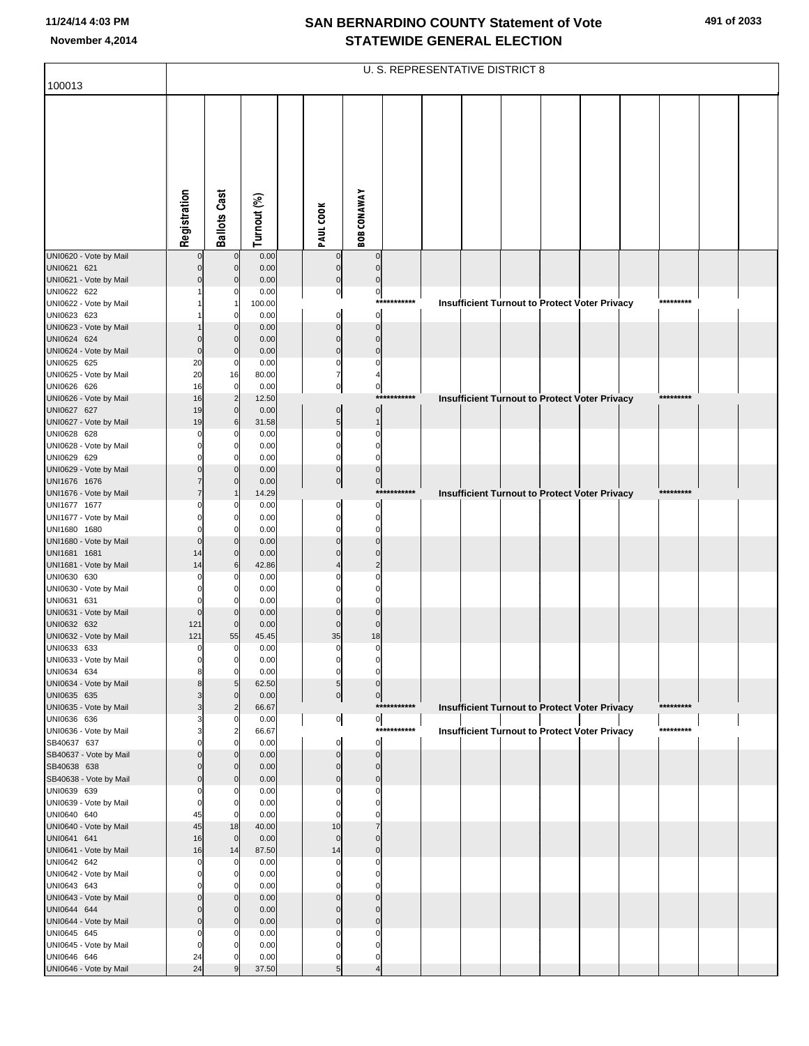|                                        | <b>U. S. REPRESENTATIVE DISTRICT 8</b> |                               |               |  |                               |                            |             |  |                                                      |  |  |  |  |           |  |  |
|----------------------------------------|----------------------------------------|-------------------------------|---------------|--|-------------------------------|----------------------------|-------------|--|------------------------------------------------------|--|--|--|--|-----------|--|--|
| 100013                                 |                                        |                               |               |  |                               |                            |             |  |                                                      |  |  |  |  |           |  |  |
|                                        | Registration                           | <b>Ballots Cast</b>           | Turnout (%)   |  | PAUL COOK                     | <b>BOB CONAWAY</b>         |             |  |                                                      |  |  |  |  |           |  |  |
|                                        |                                        |                               |               |  |                               |                            |             |  |                                                      |  |  |  |  |           |  |  |
| UNI0620 - Vote by Mail                 |                                        | $\mathcal{C}$                 | 0.00          |  | $\Omega$                      | $\Omega$                   |             |  |                                                      |  |  |  |  |           |  |  |
| UNI0621 621<br>UNI0621 - Vote by Mail  |                                        | C                             | 0.00<br>0.00  |  | $\pmb{0}$<br>$\pmb{0}$        | $\Omega$<br>$\mathbf 0$    |             |  |                                                      |  |  |  |  |           |  |  |
| UNI0622 622                            |                                        |                               | 0.00          |  | $\mathbf{0}$                  | $\mathbf 0$                |             |  |                                                      |  |  |  |  |           |  |  |
| UNI0622 - Vote by Mail                 |                                        |                               | 100.00        |  |                               |                            | *********** |  | <b>Insufficient Turnout to Protect Voter Privacy</b> |  |  |  |  | ********* |  |  |
| UNI0623 623<br>UNI0623 - Vote by Mail  |                                        |                               | 0.00<br>0.00  |  | $\mathbf 0$<br>$\mathbf 0$    | $\mathbf 0$<br>$\mathbf 0$ |             |  |                                                      |  |  |  |  |           |  |  |
| UNI0624 624                            |                                        |                               | 0.00          |  | $\mathbf 0$                   | $\mathbf 0$                |             |  |                                                      |  |  |  |  |           |  |  |
| UNI0624 - Vote by Mail                 | $\Omega$                               | $\mathcal{C}$                 | 0.00          |  | $\mathbf 0$                   | $\mathbf 0$                |             |  |                                                      |  |  |  |  |           |  |  |
| UNI0625 625                            | 20                                     | C                             | 0.00          |  | $\mathbf 0$                   | $\Omega$                   |             |  |                                                      |  |  |  |  |           |  |  |
| UNI0625 - Vote by Mail                 | 20                                     | 16                            | 80.00         |  | $\overline{7}$                |                            |             |  |                                                      |  |  |  |  |           |  |  |
| UNI0626 626<br>UNI0626 - Vote by Mail  | 16<br>16                               | $\mathbf 0$<br>$\overline{2}$ | 0.00<br>12.50 |  | $\overline{0}$                | 0<br>$***$                 | *******     |  | <b>Insufficient Turnout to Protect Voter Privacy</b> |  |  |  |  | ********* |  |  |
| UNI0627 627                            | 19                                     | $\Omega$                      | 0.00          |  | $\mathbf 0$                   | $\mathbf 0$                |             |  |                                                      |  |  |  |  |           |  |  |
| UNI0627 - Vote by Mail                 | 19                                     | 6                             | 31.58         |  | $\overline{5}$                | $\mathbf{1}$               |             |  |                                                      |  |  |  |  |           |  |  |
| UNI0628 628                            | $\Omega$                               |                               | 0.00          |  | $\mathbf 0$                   | $\Omega$                   |             |  |                                                      |  |  |  |  |           |  |  |
| UNI0628 - Vote by Mail<br>UNI0629 629  |                                        |                               | 0.00<br>0.00  |  | $\mathbf 0$<br>$\mathbf 0$    | $\Omega$<br>$\Omega$       |             |  |                                                      |  |  |  |  |           |  |  |
| UNI0629 - Vote by Mail                 |                                        |                               | 0.00          |  | $\mathbf 0$                   | $\Omega$                   |             |  |                                                      |  |  |  |  |           |  |  |
| UNI1676 1676                           |                                        |                               | 0.00          |  | $\overline{0}$                | $\mathbf 0$                |             |  |                                                      |  |  |  |  |           |  |  |
| UNI1676 - Vote by Mail                 |                                        |                               | 14.29         |  |                               |                            | *********** |  | Insufficient Turnout to Protect Voter Privacy        |  |  |  |  | ********* |  |  |
| UNI1677 1677<br>UNI1677 - Vote by Mail |                                        |                               | 0.00<br>0.00  |  | 0<br>$\mathbf 0$              | $\Omega$<br>$\Omega$       |             |  |                                                      |  |  |  |  |           |  |  |
| UNI1680 1680                           |                                        |                               | 0.00          |  | $\mathbf 0$                   | $\Omega$                   |             |  |                                                      |  |  |  |  |           |  |  |
| UNI1680 - Vote by Mail                 | $\Omega$                               |                               | 0.00          |  | $\Omega$                      | $\Omega$                   |             |  |                                                      |  |  |  |  |           |  |  |
| UNI1681 1681                           | 14                                     | C<br>6                        | 0.00          |  | $\Omega$<br>$\overline{4}$    | $\overline{2}$             |             |  |                                                      |  |  |  |  |           |  |  |
| UNI1681 - Vote by Mail<br>UNI0630 630  | 14                                     |                               | 42.86<br>0.00 |  | $\Omega$                      | $\Omega$                   |             |  |                                                      |  |  |  |  |           |  |  |
| UNI0630 - Vote by Mail                 |                                        |                               | 0.00          |  | $\Omega$                      | $\Omega$                   |             |  |                                                      |  |  |  |  |           |  |  |
| UNI0631 631                            | 0                                      |                               | 0.00          |  | $\Omega$                      | $\Omega$                   |             |  |                                                      |  |  |  |  |           |  |  |
| UNI0631 - Vote by Mail<br>UNI0632 632  | $\Omega$                               | $\mathcal{C}$                 | 0.00          |  | $\Omega$<br>$\mathbf 0$       | $\Omega$<br>$\mathbf 0$    |             |  |                                                      |  |  |  |  |           |  |  |
| UNI0632 - Vote by Mail                 | 121<br>121                             | 55                            | 0.00<br>45.45 |  | 35                            | 18                         |             |  |                                                      |  |  |  |  |           |  |  |
| UNI0633 633                            | 0                                      | $\mathbf 0$                   | 0.00          |  | $\mathbf 0$                   | 0                          |             |  |                                                      |  |  |  |  |           |  |  |
| UNI0633 - Vote by Mail                 | 0                                      | 0                             | 0.00          |  | $\mathbf{0}$                  | 0                          |             |  |                                                      |  |  |  |  |           |  |  |
| UNI0634 634<br>UNI0634 - Vote by Mail  | 8<br>8                                 | C<br>5                        | 0.00          |  | $\mathbf 0$<br>$\overline{5}$ | $\Omega$<br>$\Omega$       |             |  |                                                      |  |  |  |  |           |  |  |
| UNI0635 635                            |                                        | $\mathcal{C}$                 | 62.50<br>0.00 |  | 0                             | $\pmb{0}$                  |             |  |                                                      |  |  |  |  |           |  |  |
| UNI0635 - Vote by Mail                 | $\overline{\mathbf{3}}$                | 2                             | 66.67         |  |                               |                            | *********** |  | <b>Insufficient Turnout to Protect Voter Privacy</b> |  |  |  |  | ********* |  |  |
| UNI0636 636                            |                                        | C                             | 0.00          |  | $\circ$                       | $\overline{0}$             |             |  |                                                      |  |  |  |  |           |  |  |
| UNI0636 - Vote by Mail<br>SB40637 637  |                                        | $\overline{c}$                | 66.67<br>0.00 |  | $\mathbf 0$                   | $\mathbf 0$                | *********** |  | <b>Insufficient Turnout to Protect Voter Privacy</b> |  |  |  |  | ********* |  |  |
| SB40637 - Vote by Mail                 | $\Omega$                               |                               | 0.00          |  | $\mathbf 0$                   | $\mathbf 0$                |             |  |                                                      |  |  |  |  |           |  |  |
| SB40638 638                            | $\Omega$                               | C                             | 0.00          |  | $\mathbf 0$                   | $\mathbf 0$                |             |  |                                                      |  |  |  |  |           |  |  |
| SB40638 - Vote by Mail<br>UNI0639 639  | $\Omega$<br>$\Omega$                   |                               | 0.00          |  | $\mathbf 0$<br>$\mathbf 0$    | $\mathbf 0$<br>$\Omega$    |             |  |                                                      |  |  |  |  |           |  |  |
| UNI0639 - Vote by Mail                 | $\Omega$                               | C                             | 0.00<br>0.00  |  | $\mathbf 0$                   | $\Omega$                   |             |  |                                                      |  |  |  |  |           |  |  |
| UNI0640 640                            | 45                                     | $\mathcal{C}$                 | 0.00          |  | $\mathbf 0$                   | $\Omega$                   |             |  |                                                      |  |  |  |  |           |  |  |
| UNI0640 - Vote by Mail                 | 45                                     | 18                            | 40.00         |  | 10                            | $\overline{7}$             |             |  |                                                      |  |  |  |  |           |  |  |
| UNI0641 641                            | 16<br>16                               | $\mathbf 0$                   | 0.00          |  | $\mathbf 0$                   | $\Omega$<br>$\mathbf 0$    |             |  |                                                      |  |  |  |  |           |  |  |
| UNI0641 - Vote by Mail<br>UNI0642 642  | $\Omega$                               | 14<br>$\mathsf{C}$            | 87.50<br>0.00 |  | 14<br>$\mathbf 0$             | $\Omega$                   |             |  |                                                      |  |  |  |  |           |  |  |
| UNI0642 - Vote by Mail                 | $\Omega$                               |                               | 0.00          |  | $\mathbf 0$                   | $\Omega$                   |             |  |                                                      |  |  |  |  |           |  |  |
| UNI0643 643                            |                                        |                               | 0.00          |  | $\Omega$                      | $\Omega$                   |             |  |                                                      |  |  |  |  |           |  |  |
| UNI0643 - Vote by Mail                 | $\Omega$                               |                               | 0.00          |  | $\mathbf 0$                   | $\Omega$                   |             |  |                                                      |  |  |  |  |           |  |  |
| UNI0644 644<br>UNI0644 - Vote by Mail  | $\Omega$<br>$\Omega$                   | C                             | 0.00<br>0.00  |  | $\Omega$<br>$\mathbf 0$       | $\Omega$<br>$\Omega$       |             |  |                                                      |  |  |  |  |           |  |  |
| UNI0645 645                            | $\Omega$                               |                               | 0.00          |  | $\Omega$                      | $\Omega$                   |             |  |                                                      |  |  |  |  |           |  |  |
| UNI0645 - Vote by Mail                 | $\Omega$                               |                               | 0.00          |  | $\Omega$                      |                            |             |  |                                                      |  |  |  |  |           |  |  |
| UNI0646 646                            | 24                                     |                               | 0.00          |  | 0                             | $\Omega$                   |             |  |                                                      |  |  |  |  |           |  |  |
| UNI0646 - Vote by Mail                 | 24                                     |                               | 37.50         |  | 5                             |                            |             |  |                                                      |  |  |  |  |           |  |  |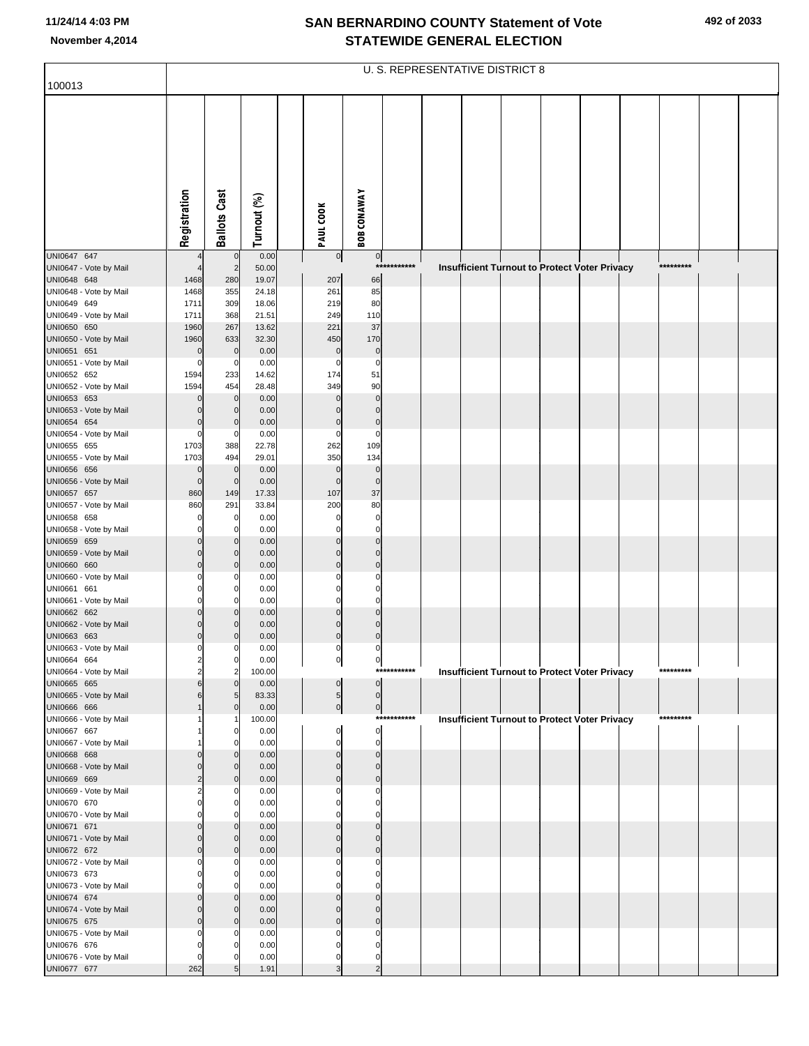| 100013                                | U. S. REPRESENTATIVE DISTRICT 8 |                               |                |  |                               |                            |             |  |  |  |  |                                               |  |           |  |  |
|---------------------------------------|---------------------------------|-------------------------------|----------------|--|-------------------------------|----------------------------|-------------|--|--|--|--|-----------------------------------------------|--|-----------|--|--|
|                                       |                                 |                               |                |  |                               |                            |             |  |  |  |  |                                               |  |           |  |  |
|                                       |                                 |                               |                |  |                               |                            |             |  |  |  |  |                                               |  |           |  |  |
|                                       |                                 |                               |                |  |                               |                            |             |  |  |  |  |                                               |  |           |  |  |
|                                       |                                 |                               |                |  |                               |                            |             |  |  |  |  |                                               |  |           |  |  |
|                                       |                                 |                               |                |  |                               |                            |             |  |  |  |  |                                               |  |           |  |  |
|                                       |                                 |                               |                |  |                               |                            |             |  |  |  |  |                                               |  |           |  |  |
|                                       |                                 |                               |                |  |                               |                            |             |  |  |  |  |                                               |  |           |  |  |
|                                       | Registration                    | <b>Ballots Cast</b>           | Turnout (%)    |  | PAUL COOK                     | <b>BOB CONAWAY</b>         |             |  |  |  |  |                                               |  |           |  |  |
|                                       |                                 |                               |                |  |                               |                            |             |  |  |  |  |                                               |  |           |  |  |
| UNI0647 647<br>UNI0647 - Vote by Mail |                                 | $\mathbf 0$<br>$\overline{2}$ | 0.00<br>50.00  |  | $\circ$                       | $\circ$                    | *********** |  |  |  |  | Insufficient Turnout to Protect Voter Privacy |  | ********* |  |  |
| UNI0648 648                           | 1468                            | 280                           | 19.07          |  | 207                           | 66                         |             |  |  |  |  |                                               |  |           |  |  |
| UNI0648 - Vote by Mail                | 1468                            | 355                           | 24.18          |  | 261                           | 85                         |             |  |  |  |  |                                               |  |           |  |  |
| UNI0649 649<br>UNI0649 - Vote by Mail | 1711<br>1711                    | 309<br>368                    | 18.06<br>21.51 |  | 219<br>249                    | 80<br>110                  |             |  |  |  |  |                                               |  |           |  |  |
| UNI0650 650                           | 1960                            | 267                           | 13.62          |  | 221                           | 37                         |             |  |  |  |  |                                               |  |           |  |  |
| UNI0650 - Vote by Mail<br>UNI0651 651 | 1960<br>$\mathbf 0$             | 633<br>$\mathbf 0$            | 32.30<br>0.00  |  | 450<br>$\mathbf 0$            | 170<br>$\pmb{0}$           |             |  |  |  |  |                                               |  |           |  |  |
| UNI0651 - Vote by Mail                | $\mathbf 0$                     | 0                             | 0.00           |  | $\mathbf 0$                   | $\mathbf 0$                |             |  |  |  |  |                                               |  |           |  |  |
| UNI0652 652                           | 1594                            | 233                           | 14.62          |  | 174                           | 51                         |             |  |  |  |  |                                               |  |           |  |  |
| UNI0652 - Vote by Mail<br>UNI0653 653 | 1594<br>$\mathbf 0$             | 454<br>$\mathbf 0$            | 28.48<br>0.00  |  | 349<br>$\Omega$               | 90<br>$\mathbf 0$          |             |  |  |  |  |                                               |  |           |  |  |
| UNI0653 - Vote by Mail                | $\mathbf 0$                     | $\mathbf 0$                   | 0.00           |  | $\Omega$                      | $\mathbf 0$                |             |  |  |  |  |                                               |  |           |  |  |
| UNI0654 654<br>UNI0654 - Vote by Mail | $\mathbf 0$<br>$\mathbf 0$      | $\mathbf 0$<br>0              | 0.00<br>0.00   |  | $\mathbf 0$<br>$\mathbf 0$    | $\pmb{0}$<br>$\mathbf 0$   |             |  |  |  |  |                                               |  |           |  |  |
| UNI0655 655                           | 1703                            | 388                           | 22.78          |  | 262                           | 109                        |             |  |  |  |  |                                               |  |           |  |  |
| UNI0655 - Vote by Mail                | 1703                            | 494                           | 29.01          |  | 350                           | 134                        |             |  |  |  |  |                                               |  |           |  |  |
| UNI0656 656<br>UNI0656 - Vote by Mail | $\mathbf 0$<br>$\mathbf 0$      | $\mathbf 0$<br>$\mathbf 0$    | 0.00<br>0.00   |  | $\mathbf 0$<br>$\overline{0}$ | $\mathbf 0$<br>$\mathbf 0$ |             |  |  |  |  |                                               |  |           |  |  |
| UNI0657 657                           | 860                             | 149                           | 17.33          |  | 107                           | 37                         |             |  |  |  |  |                                               |  |           |  |  |
| UNI0657 - Vote by Mail<br>UNI0658 658 | 860<br>$\mathbf 0$              | 291<br>0                      | 33.84<br>0.00  |  | 200<br>$\mathbf 0$            | 80<br>$\mathbf 0$          |             |  |  |  |  |                                               |  |           |  |  |
| UNI0658 - Vote by Mail                | $\mathbf 0$                     | $\Omega$                      | 0.00           |  | $\Omega$                      | $\mathbf 0$                |             |  |  |  |  |                                               |  |           |  |  |
| UNI0659 659                           | $\mathbf 0$                     | $\mathbf 0$                   | 0.00           |  | $\mathbf 0$                   | $\mathbf 0$                |             |  |  |  |  |                                               |  |           |  |  |
| UNI0659 - Vote by Mail<br>UNI0660 660 | $\Omega$<br>$\mathbf 0$         | $\mathbf 0$<br>$\mathbf 0$    | 0.00<br>0.00   |  | $\mathbf 0$<br>$\mathbf 0$    | $\mathbf 0$<br>$\mathbf 0$ |             |  |  |  |  |                                               |  |           |  |  |
| UNI0660 - Vote by Mail                | $\Omega$                        |                               | 0.00           |  | $\Omega$                      | $\Omega$                   |             |  |  |  |  |                                               |  |           |  |  |
| UNI0661 661<br>UNI0661 - Vote by Mail | $\Omega$<br>$\mathbf 0$         | 0<br>$\Omega$                 | 0.00<br>0.00   |  | $\Omega$<br>$\Omega$          | $\Omega$<br>$\Omega$       |             |  |  |  |  |                                               |  |           |  |  |
| UNI0662 662                           | $\mathbf 0$                     | $\mathbf 0$                   | 0.00           |  | $\mathbf 0$                   | $\mathbf 0$                |             |  |  |  |  |                                               |  |           |  |  |
| UNI0662 - Vote by Mail                | $\Omega$<br>$\mathbf 0$         |                               | 0.00           |  | $\Omega$                      | $\Omega$<br>$\mathbf 0$    |             |  |  |  |  |                                               |  |           |  |  |
| UNI0663 663<br>UNI0663 - Vote by Mail | $\Omega$                        |                               | 0.00<br>0.00   |  | $\mathbf 0$<br>0              | 0                          |             |  |  |  |  |                                               |  |           |  |  |
| UNI0664 664                           |                                 | 0                             | 0.00           |  | $^{\circ}$                    | $\mathbf{0}$               |             |  |  |  |  |                                               |  |           |  |  |
| UNI0664 - Vote by Mail<br>UNI0665 665 | 2<br>6                          | 2<br>$\mathbf 0$              | 100.00<br>0.00 |  | 0                             | $\overline{0}$             | *********** |  |  |  |  | Insufficient Turnout to Protect Voter Privacy |  | ********* |  |  |
| UNI0665 - Vote by Mail                |                                 | 5                             | 83.33          |  | 5                             | $\mathbf{0}$               |             |  |  |  |  |                                               |  |           |  |  |
| UNI0666 666<br>UNI0666 - Vote by Mail |                                 | $\mathbf 0$                   | 0.00<br>100.00 |  | $\overline{0}$                | $\circ$                    | *********** |  |  |  |  | Insufficient Turnout to Protect Voter Privacy |  | ********* |  |  |
| UNI0667 667                           |                                 | $\Omega$                      | 0.00           |  | 0                             | $\overline{0}$             |             |  |  |  |  |                                               |  |           |  |  |
| UNI0667 - Vote by Mail                |                                 |                               | 0.00           |  | $\Omega$                      | $\mathbf 0$                |             |  |  |  |  |                                               |  |           |  |  |
| UNI0668 668<br>UNI0668 - Vote by Mail | $\Omega$                        | $\Omega$                      | 0.00<br>0.00   |  | $\mathbf 0$<br>$\Omega$       | $\mathbf 0$<br>$\Omega$    |             |  |  |  |  |                                               |  |           |  |  |
| UNI0669 669                           | $\overline{2}$                  | $\Omega$                      | 0.00           |  | $\Omega$                      | $\Omega$                   |             |  |  |  |  |                                               |  |           |  |  |
| UNI0669 - Vote by Mail<br>UNI0670 670 | 2<br>$\Omega$                   | $\Omega$                      | 0.00<br>0.00   |  | 0<br>0                        | C<br>0                     |             |  |  |  |  |                                               |  |           |  |  |
| UNI0670 - Vote by Mail                | O                               |                               | 0.00           |  | C                             | C                          |             |  |  |  |  |                                               |  |           |  |  |
| UNI0671 671<br>UNI0671 - Vote by Mail | $\Omega$<br>$\Omega$            | $\Omega$<br>$\Omega$          | 0.00<br>0.00   |  | $\Omega$<br>$\Omega$          | $\Omega$<br>$\Omega$       |             |  |  |  |  |                                               |  |           |  |  |
| UNI0672 672                           | $\Omega$                        | $\Omega$                      | 0.00           |  | $\mathbf 0$                   | $\Omega$                   |             |  |  |  |  |                                               |  |           |  |  |
| UNI0672 - Vote by Mail                |                                 |                               | 0.00           |  | 0                             |                            |             |  |  |  |  |                                               |  |           |  |  |
| UNI0673 673<br>UNI0673 - Vote by Mail | 0                               | $\Omega$                      | 0.00<br>0.00   |  | 0<br>C                        | 0                          |             |  |  |  |  |                                               |  |           |  |  |
| UNI0674 674                           | $\Omega$                        |                               | 0.00           |  | $\Omega$                      | $\Omega$                   |             |  |  |  |  |                                               |  |           |  |  |
| UNI0674 - Vote by Mail<br>UNI0675 675 | $\Omega$<br>$\Omega$            |                               | 0.00<br>0.00   |  | $\Omega$<br>$\Omega$          | $\Omega$<br>$\Omega$       |             |  |  |  |  |                                               |  |           |  |  |
| UNI0675 - Vote by Mail                | O                               |                               | 0.00           |  | 0                             | C                          |             |  |  |  |  |                                               |  |           |  |  |
| UNI0676 676                           | 0                               |                               | 0.00           |  | 0                             | C                          |             |  |  |  |  |                                               |  |           |  |  |
| UNI0676 - Vote by Mail<br>UNI0677 677 | $\mathbf 0$<br>262              |                               | 0.00<br>1.91   |  | 0                             | 0<br>$\mathfrak{p}$        |             |  |  |  |  |                                               |  |           |  |  |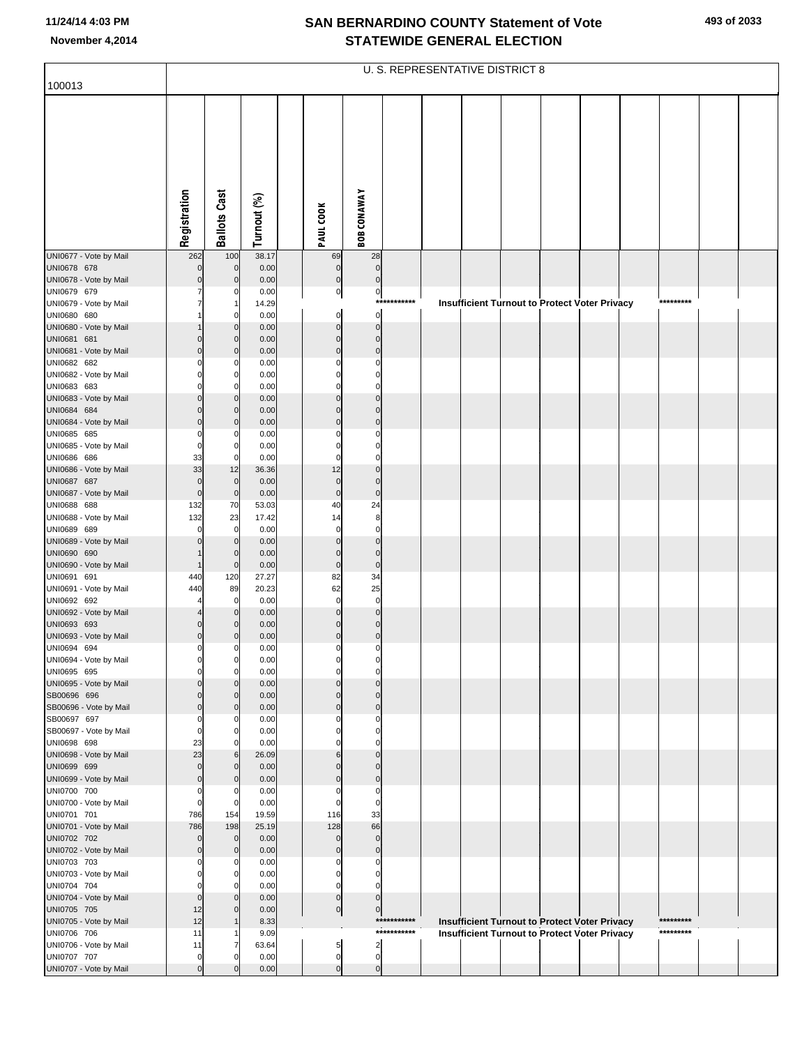|                                       | U. S. REPRESENTATIVE DISTRICT 8 |                            |               |  |                       |                         |                            |  |  |  |  |                                                                                                       |  |                        |  |  |
|---------------------------------------|---------------------------------|----------------------------|---------------|--|-----------------------|-------------------------|----------------------------|--|--|--|--|-------------------------------------------------------------------------------------------------------|--|------------------------|--|--|
| 100013                                |                                 |                            |               |  |                       |                         |                            |  |  |  |  |                                                                                                       |  |                        |  |  |
|                                       |                                 |                            |               |  |                       |                         |                            |  |  |  |  |                                                                                                       |  |                        |  |  |
|                                       |                                 |                            |               |  |                       |                         |                            |  |  |  |  |                                                                                                       |  |                        |  |  |
|                                       |                                 |                            |               |  |                       |                         |                            |  |  |  |  |                                                                                                       |  |                        |  |  |
|                                       |                                 |                            |               |  |                       |                         |                            |  |  |  |  |                                                                                                       |  |                        |  |  |
|                                       |                                 |                            |               |  |                       |                         |                            |  |  |  |  |                                                                                                       |  |                        |  |  |
|                                       |                                 |                            |               |  |                       |                         |                            |  |  |  |  |                                                                                                       |  |                        |  |  |
|                                       |                                 |                            |               |  |                       |                         |                            |  |  |  |  |                                                                                                       |  |                        |  |  |
|                                       |                                 |                            |               |  |                       |                         |                            |  |  |  |  |                                                                                                       |  |                        |  |  |
|                                       | Registration                    | <b>Ballots Cast</b>        | Turnout (%)   |  | PAUL COOK             | <b>BOB CONAWAY</b>      |                            |  |  |  |  |                                                                                                       |  |                        |  |  |
| UNI0677 - Vote by Mail                | 262                             | 100                        | 38.17         |  | 69                    | 28                      |                            |  |  |  |  |                                                                                                       |  |                        |  |  |
| UNI0678 678                           | $\mathbf 0$                     | $\mathbf{0}$               | 0.00          |  | $\pmb{0}$             | $\mathbf 0$             |                            |  |  |  |  |                                                                                                       |  |                        |  |  |
| UNI0678 - Vote by Mail                |                                 | $\mathbf{0}$               | 0.00          |  | $\pmb{0}$             | $\mathbf 0$             |                            |  |  |  |  |                                                                                                       |  |                        |  |  |
| UNI0679 679                           |                                 | 0                          | 0.00<br>14.29 |  | $\overline{0}$        | $\overline{0}$<br>$***$ | ********                   |  |  |  |  |                                                                                                       |  | *********              |  |  |
| UNI0679 - Vote by Mail<br>UNI0680 680 |                                 | 0                          | 0.00          |  | $\mathbf 0$           | $\overline{0}$          |                            |  |  |  |  | <b>Insufficient Turnout to Protect Voter Privacy</b>                                                  |  |                        |  |  |
| UNI0680 - Vote by Mail                |                                 | $\mathbf 0$                | 0.00          |  | $\Omega$              | $\Omega$                |                            |  |  |  |  |                                                                                                       |  |                        |  |  |
| UNI0681 681                           |                                 | $\mathbf{0}$               | 0.00          |  | $\mathbf 0$           | $\mathbf 0$<br>$\Omega$ |                            |  |  |  |  |                                                                                                       |  |                        |  |  |
| UNI0681 - Vote by Mail<br>UNI0682 682 | $\Omega$                        | $\Omega$<br>0              | 0.00<br>0.00  |  | $\mathbf{0}$          | $\Omega$                |                            |  |  |  |  |                                                                                                       |  |                        |  |  |
| UNI0682 - Vote by Mail                |                                 | 0                          | 0.00          |  |                       | $\Omega$                |                            |  |  |  |  |                                                                                                       |  |                        |  |  |
| UNI0683 683                           |                                 | $\mathbf{0}$               | 0.00          |  |                       | $\Omega$<br>$\Omega$    |                            |  |  |  |  |                                                                                                       |  |                        |  |  |
| UNI0683 - Vote by Mail<br>UNI0684 684 |                                 | $\Omega$<br>$\overline{0}$ | 0.00<br>0.00  |  | $\Omega$<br>$\Omega$  | $\Omega$                |                            |  |  |  |  |                                                                                                       |  |                        |  |  |
| UNI0684 - Vote by Mail                | $\Omega$                        | $\mathbf 0$                | 0.00          |  | $\Omega$              | $\Omega$                |                            |  |  |  |  |                                                                                                       |  |                        |  |  |
| UNI0685 685                           | $\Omega$                        | 0                          | 0.00          |  |                       | $\Omega$                |                            |  |  |  |  |                                                                                                       |  |                        |  |  |
| UNI0685 - Vote by Mail<br>UNI0686 686 | $\Omega$<br>33                  | $\Omega$<br>$\overline{0}$ | 0.00<br>0.00  |  | $\Omega$              | $\Omega$                |                            |  |  |  |  |                                                                                                       |  |                        |  |  |
| UNI0686 - Vote by Mail                | 33                              | 12                         | 36.36         |  | 12                    | $\Omega$                |                            |  |  |  |  |                                                                                                       |  |                        |  |  |
| UNI0687 687                           | $\mathsf{O}\xspace$             | $\overline{0}$             | 0.00          |  | $\mathbf 0$           | $\mathbf 0$             |                            |  |  |  |  |                                                                                                       |  |                        |  |  |
| UNI0687 - Vote by Mail<br>UNI0688 688 | $\mathbf 0$<br>132              | $\overline{0}$<br>70       | 0.00<br>53.03 |  | $\mathbf 0$<br>40     | $\overline{0}$<br>24    |                            |  |  |  |  |                                                                                                       |  |                        |  |  |
| UNI0688 - Vote by Mail                | 132                             | 23                         | 17.42         |  | 14                    | 8                       |                            |  |  |  |  |                                                                                                       |  |                        |  |  |
| UNI0689 689                           | 0                               | $\mathbf 0$                | 0.00          |  | $\mathbf 0$           | $\mathbf 0$             |                            |  |  |  |  |                                                                                                       |  |                        |  |  |
| UNI0689 - Vote by Mail<br>UNI0690 690 |                                 | $\Omega$<br>$\mathbf{0}$   | 0.00<br>0.00  |  | $\Omega$<br>$\Omega$  | $\Omega$<br>$\mathbf 0$ |                            |  |  |  |  |                                                                                                       |  |                        |  |  |
| UNI0690 - Vote by Mail                |                                 | $\mathbf 0$                | 0.00          |  | $\mathbf 0$           | $\mathbf 0$             |                            |  |  |  |  |                                                                                                       |  |                        |  |  |
| UNI0691 691                           | 440                             | 120                        | 27.27         |  | 82                    | 34                      |                            |  |  |  |  |                                                                                                       |  |                        |  |  |
| UNI0691 - Vote by Mail<br>UNI0692 692 | 440                             | 89<br>$\mathbf 0$          | 20.23<br>0.00 |  | 62<br>$\mathbf 0$     | 25<br>$\mathbf 0$       |                            |  |  |  |  |                                                                                                       |  |                        |  |  |
| UNI0692 - Vote by Mail                |                                 | $\mathbf 0$                | 0.00          |  | $\Omega$              | $\Omega$                |                            |  |  |  |  |                                                                                                       |  |                        |  |  |
| UNI0693 693                           | 0                               | $\mathbf 0$                | 0.00          |  | $\Omega$              | $\mathbf 0$             |                            |  |  |  |  |                                                                                                       |  |                        |  |  |
| UNI0693 - Vote by Mail<br>UNI0694 694 | $\mathsf{O}$<br>0               | 0<br>$\overline{0}$        | 0.00<br>0.00  |  | $\Omega$<br>$\pmb{0}$ | $\Omega$<br>$\mathbf 0$ |                            |  |  |  |  |                                                                                                       |  |                        |  |  |
| UNI0694 - Vote by Mail                | 0                               | $\overline{0}$             | 0.00          |  |                       |                         |                            |  |  |  |  |                                                                                                       |  |                        |  |  |
| UNI0695 695                           | $\Omega$                        | $\mathbf{0}$               | 0.00          |  | 0                     | $\mathbf 0$             |                            |  |  |  |  |                                                                                                       |  |                        |  |  |
| UNI0695 - Vote by Mail<br>SB00696 696 | 0                               | $\mathbf 0$                | 0.00<br>0.00  |  | $\Omega$              | $\Omega$<br>$\Omega$    |                            |  |  |  |  |                                                                                                       |  |                        |  |  |
| SB00696 - Vote by Mail                | $\mathbf 0$                     | $\Omega$                   | 0.00          |  | $\Omega$              | $\Omega$                |                            |  |  |  |  |                                                                                                       |  |                        |  |  |
| SB00697 697                           | 0                               | 0                          | 0.00          |  |                       | $\Omega$                |                            |  |  |  |  |                                                                                                       |  |                        |  |  |
| SB00697 - Vote by Mail<br>UNI0698 698 | 0<br>23                         | O<br>0                     | 0.00<br>0.00  |  |                       | $\Omega$<br>$\Omega$    |                            |  |  |  |  |                                                                                                       |  |                        |  |  |
| UNI0698 - Vote by Mail                | 23                              | 6                          | 26.09         |  | 6                     | $\Omega$                |                            |  |  |  |  |                                                                                                       |  |                        |  |  |
| UNI0699 699                           | 0                               | $\mathbf 0$                | 0.00          |  | $\Omega$              | $\Omega$                |                            |  |  |  |  |                                                                                                       |  |                        |  |  |
| UNI0699 - Vote by Mail<br>UNI0700 700 | $\Omega$<br>0                   | $\Omega$<br>0              | 0.00<br>0.00  |  | $\Omega$<br>0         | $\Omega$<br>$\mathbf 0$ |                            |  |  |  |  |                                                                                                       |  |                        |  |  |
| UNI0700 - Vote by Mail                | 0                               | $\Omega$                   | 0.00          |  | 0                     | $\mathbf 0$             |                            |  |  |  |  |                                                                                                       |  |                        |  |  |
| UNI0701 701                           | 786                             | 154                        | 19.59         |  | 116                   | 33                      |                            |  |  |  |  |                                                                                                       |  |                        |  |  |
| UNI0701 - Vote by Mail<br>UNI0702 702 | 786<br>0                        | 198<br>$\mathbf 0$         | 25.19<br>0.00 |  | 128<br>$\mathbf 0$    | 66<br>$\mathbf 0$       |                            |  |  |  |  |                                                                                                       |  |                        |  |  |
| UNI0702 - Vote by Mail                | $\Omega$                        | $\Omega$                   | 0.00          |  | $\Omega$              | $\mathbf 0$             |                            |  |  |  |  |                                                                                                       |  |                        |  |  |
| UNI0703 703                           |                                 | 0                          | 0.00          |  | 0                     | 0                       |                            |  |  |  |  |                                                                                                       |  |                        |  |  |
| UNI0703 - Vote by Mail<br>UNI0704 704 | 0                               | O<br>0                     | 0.00<br>0.00  |  | n<br>0                | $\Omega$<br>$\mathbf 0$ |                            |  |  |  |  |                                                                                                       |  |                        |  |  |
| UNI0704 - Vote by Mail                | $\overline{0}$                  |                            | 0.00          |  | $\mathbf 0$           | $\mathbf 0$             |                            |  |  |  |  |                                                                                                       |  |                        |  |  |
| UNI0705 705                           | 12                              | $\Omega$                   | 0.00          |  | $\overline{0}$        | $\pmb{0}$               |                            |  |  |  |  |                                                                                                       |  |                        |  |  |
| UNI0705 - Vote by Mail<br>UNI0706 706 | 12<br>11                        |                            | 8.33<br>9.09  |  |                       |                         | ***********<br>*********** |  |  |  |  | Insufficient Turnout to Protect Voter Privacy<br><b>Insufficient Turnout to Protect Voter Privacy</b> |  | *********<br>********* |  |  |
| UNI0706 - Vote by Mail                | 11                              |                            | 63.64         |  | 5                     | $\overline{c}$          |                            |  |  |  |  |                                                                                                       |  |                        |  |  |
| UNI0707 707                           | 0                               | 0                          | 0.00          |  | $\pmb{0}$             | $\pmb{0}$               |                            |  |  |  |  |                                                                                                       |  |                        |  |  |
| UNI0707 - Vote by Mail                | $\mathbf 0$                     | C                          | 0.00          |  | $\mathbf 0$           | $\overline{0}$          |                            |  |  |  |  |                                                                                                       |  |                        |  |  |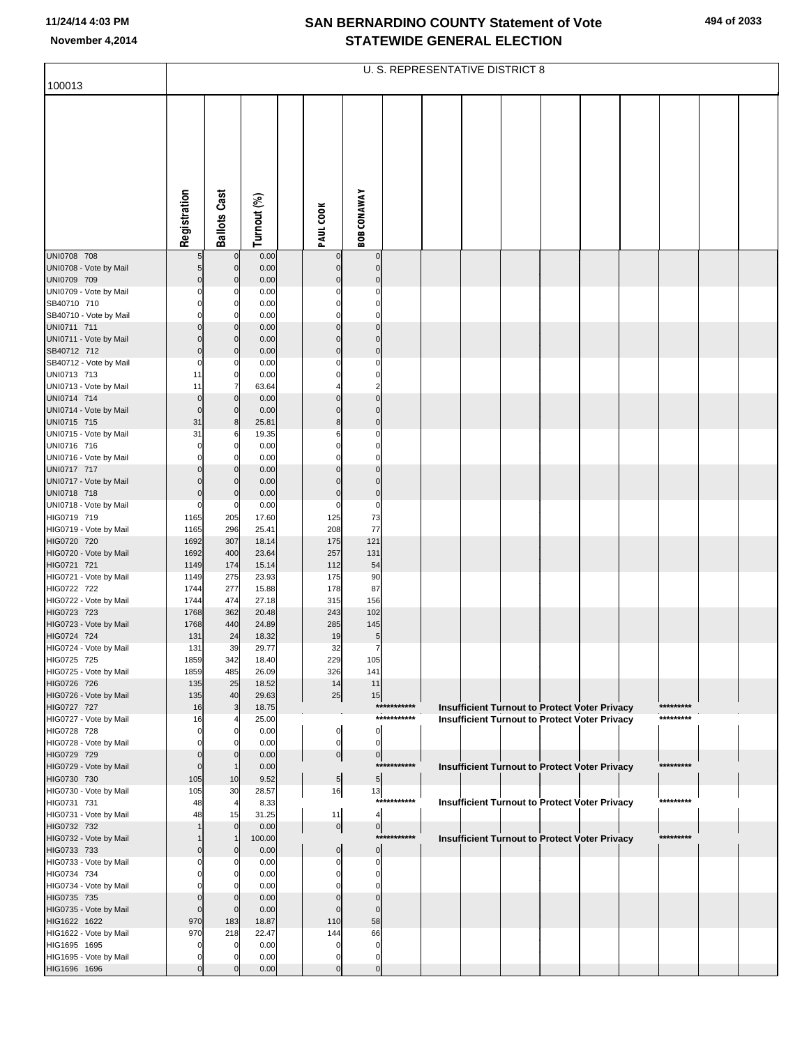|                                        | U. S. REPRESENTATIVE DISTRICT 8   |                            |                |  |                            |                                  |             |  |  |  |  |                                                      |  |           |  |  |
|----------------------------------------|-----------------------------------|----------------------------|----------------|--|----------------------------|----------------------------------|-------------|--|--|--|--|------------------------------------------------------|--|-----------|--|--|
| 100013                                 |                                   |                            |                |  |                            |                                  |             |  |  |  |  |                                                      |  |           |  |  |
|                                        | Registration                      | <b>Ballots Cast</b>        | Turnout (%)    |  | PAUL COOK                  | <b>BOB CONAWAY</b>               |             |  |  |  |  |                                                      |  |           |  |  |
| UNI0708 708                            | 5 <sub>5</sub>                    | $\mathbf 0$                | 0.00           |  | $\mathbf 0$                | $\mathbf 0$                      |             |  |  |  |  |                                                      |  |           |  |  |
| UNI0708 - Vote by Mail<br>UNI0709 709  | $5\overline{)}$<br>$\overline{0}$ | $\mathbf 0$<br>$\mathbf 0$ | 0.00<br>0.00   |  | $\mathbf 0$<br>$\mathbf 0$ | $\overline{0}$<br>$\overline{0}$ |             |  |  |  |  |                                                      |  |           |  |  |
| UNI0709 - Vote by Mail                 | 0                                 | C                          | 0.00           |  | 0                          | 0                                |             |  |  |  |  |                                                      |  |           |  |  |
| SB40710 710                            | $\Omega$                          | $\mathbf 0$                | 0.00           |  | $\Omega$                   | 0                                |             |  |  |  |  |                                                      |  |           |  |  |
| SB40710 - Vote by Mail                 | $\Omega$                          | $\Omega$                   | 0.00           |  | $\Omega$                   | $\overline{0}$                   |             |  |  |  |  |                                                      |  |           |  |  |
| UNI0711 711<br>UNI0711 - Vote by Mail  | $\Omega$<br>0                     | $\Omega$<br>$\mathbf 0$    | 0.00<br>0.00   |  | $\Omega$<br>$\mathbf 0$    | $\overline{0}$<br>$\overline{0}$ |             |  |  |  |  |                                                      |  |           |  |  |
| SB40712 712                            | $\overline{0}$                    | $\mathbf 0$                | 0.00           |  | $\pmb{0}$                  | $\overline{0}$                   |             |  |  |  |  |                                                      |  |           |  |  |
| SB40712 - Vote by Mail                 | 0                                 | C                          | 0.00           |  | $\Omega$                   | 0                                |             |  |  |  |  |                                                      |  |           |  |  |
| UNI0713 713                            | 11                                | $\mathbf 0$                | 0.00           |  | $\Omega$                   | 0                                |             |  |  |  |  |                                                      |  |           |  |  |
| UNI0713 - Vote by Mail                 | 11                                | 7<br>$\mathbf 0$           | 63.64          |  | $\Omega$                   | $\overline{c}$<br>$\mathbf 0$    |             |  |  |  |  |                                                      |  |           |  |  |
| UNI0714 714<br>UNI0714 - Vote by Mail  | $\mathbf 0$<br>$\mathbf 0$        | $\mathbf 0$                | 0.00<br>0.00   |  | $\Omega$                   | $\overline{0}$                   |             |  |  |  |  |                                                      |  |           |  |  |
| UNI0715 715                            | 31                                | 8                          | 25.81          |  | 8                          | $\overline{0}$                   |             |  |  |  |  |                                                      |  |           |  |  |
| UNI0715 - Vote by Mail                 | 31                                | 6                          | 19.35          |  | 6                          | 0                                |             |  |  |  |  |                                                      |  |           |  |  |
| UNI0716 716                            | $\Omega$                          | $\mathbf 0$                | 0.00           |  | $\Omega$                   | 0                                |             |  |  |  |  |                                                      |  |           |  |  |
| UNI0716 - Vote by Mail<br>UNI0717 717  | $\Omega$<br>$\Omega$              | $\Omega$<br>$\mathbf 0$    | 0.00<br>0.00   |  | $\Omega$<br>$\Omega$       | $\overline{0}$<br>$\overline{0}$ |             |  |  |  |  |                                                      |  |           |  |  |
| UNI0717 - Vote by Mail                 | $\Omega$                          | $\mathbf 0$                | 0.00           |  | $\Omega$                   | $\overline{0}$                   |             |  |  |  |  |                                                      |  |           |  |  |
| UNI0718 718                            | $\overline{0}$                    | $\mathbf 0$                | 0.00           |  | $\pmb{0}$                  | $\overline{0}$                   |             |  |  |  |  |                                                      |  |           |  |  |
| UNI0718 - Vote by Mail                 | $\Omega$                          | C                          | 0.00           |  | 0                          | 0                                |             |  |  |  |  |                                                      |  |           |  |  |
| HIG0719 719<br>HIG0719 - Vote by Mail  | 1165<br>1165                      | 205<br>296                 | 17.60<br>25.41 |  | 125<br>208                 | 73<br>77                         |             |  |  |  |  |                                                      |  |           |  |  |
| HIG0720 720                            | 1692                              | 307                        | 18.14          |  | 175                        | 121                              |             |  |  |  |  |                                                      |  |           |  |  |
| HIG0720 - Vote by Mail                 | 1692                              | 400                        | 23.64          |  | 257                        | 131                              |             |  |  |  |  |                                                      |  |           |  |  |
| HIG0721 721                            | 1149                              | 174                        | 15.14          |  | 112                        | 54                               |             |  |  |  |  |                                                      |  |           |  |  |
| HIG0721 - Vote by Mail<br>HIG0722 722  | 1149<br>1744                      | 275<br>277                 | 23.93<br>15.88 |  | 175<br>178                 | 90<br>87                         |             |  |  |  |  |                                                      |  |           |  |  |
| HIG0722 - Vote by Mail                 | 1744                              | 474                        | 27.18          |  | 315                        | 156                              |             |  |  |  |  |                                                      |  |           |  |  |
| HIG0723 723                            | 1768                              | 362                        | 20.48          |  | 243                        | 102                              |             |  |  |  |  |                                                      |  |           |  |  |
| HIG0723 - Vote by Mail                 | 1768                              | 440                        | 24.89          |  | 285                        | 145                              |             |  |  |  |  |                                                      |  |           |  |  |
| HIG0724 724<br>HIG0724 - Vote by Mail  | 131<br>131                        | 24<br>39                   | 18.32<br>29.77 |  | 19<br>32                   | $\overline{5}$<br>$\overline{7}$ |             |  |  |  |  |                                                      |  |           |  |  |
| HIG0725 725                            | 1859                              | 342                        | 18.40          |  | 229                        | 105                              |             |  |  |  |  |                                                      |  |           |  |  |
| HIG0725 - Vote by Mail                 | 1859                              | 485                        | 26.09          |  | 326                        | 141                              |             |  |  |  |  |                                                      |  |           |  |  |
| HIG0726 726                            | 135                               | 25                         | 18.52          |  | 14                         | 11                               |             |  |  |  |  |                                                      |  |           |  |  |
| HIG0726 - Vote by Mail<br>HIG0727 727  | 135<br>16                         | 40<br>3                    | 29.63<br>18.75 |  | 25                         | 15                               | *********** |  |  |  |  | Insufficient Turnout to Protect Voter Privacy        |  | ********* |  |  |
| HIG0727 - Vote by Mail                 | 16                                | 4                          | 25.00          |  |                            |                                  | *********** |  |  |  |  | <b>Insufficient Turnout to Protect Voter Privacy</b> |  | ********* |  |  |
| HIG0728 728                            | $\Omega$                          | $\mathbf 0$                | 0.00           |  | 0                          | $\overline{0}$                   |             |  |  |  |  |                                                      |  |           |  |  |
| HIG0728 - Vote by Mail                 | $\Omega$                          | C                          | 0.00           |  | 0                          | $\overline{0}$                   |             |  |  |  |  |                                                      |  |           |  |  |
| HIG0729 729<br>HIG0729 - Vote by Mail  | $\Omega$<br>$\mathbf 0$           | $\Omega$                   | 0.00<br>0.00   |  | $\overline{0}$             | $\overline{0}$                   | *********** |  |  |  |  | Insufficient Turnout to Protect Voter Privacy        |  | ********* |  |  |
| HIG0730 730                            | 105                               | 10                         | 9.52           |  | 5 <sub>5</sub>             | 5 <sub>1</sub>                   |             |  |  |  |  |                                                      |  |           |  |  |
| HIG0730 - Vote by Mail                 | 105                               | 30                         | 28.57          |  | 16                         | 13                               |             |  |  |  |  |                                                      |  |           |  |  |
| HIG0731 731                            | 48                                | $\overline{4}$             | 8.33           |  |                            |                                  | *********** |  |  |  |  | Insufficient Turnout to Protect Voter Privacy        |  | ********* |  |  |
| HIG0731 - Vote by Mail<br>HIG0732 732  | 48                                | 15<br>$\mathbf 0$          | 31.25<br>0.00  |  | 11<br>$\overline{0}$       | 4<br>$\overline{0}$              |             |  |  |  |  |                                                      |  |           |  |  |
| HIG0732 - Vote by Mail                 |                                   |                            | 100.00         |  |                            |                                  | *********** |  |  |  |  | Insufficient Turnout to Protect Voter Privacy        |  | ********* |  |  |
| HIG0733 733                            | $\mathbf 0$                       | $\mathbf 0$                | 0.00           |  | $\mathbf 0$                | $\overline{0}$                   |             |  |  |  |  |                                                      |  |           |  |  |
| HIG0733 - Vote by Mail                 | O                                 | $\mathsf{C}$               | 0.00           |  | 0                          | 0                                |             |  |  |  |  |                                                      |  |           |  |  |
| HIG0734 734<br>HIG0734 - Vote by Mail  |                                   | $\Omega$<br>C              | 0.00<br>0.00   |  |                            | $\mathbf{0}$<br>0                |             |  |  |  |  |                                                      |  |           |  |  |
| HIG0735 735                            | $\Omega$                          | $\Omega$                   | 0.00           |  | $\Omega$                   | $\mathbf 0$                      |             |  |  |  |  |                                                      |  |           |  |  |
| HIG0735 - Vote by Mail                 | $\Omega$                          | $\mathbf 0$                | 0.00           |  | $\mathbf 0$                | $\mathbf 0$                      |             |  |  |  |  |                                                      |  |           |  |  |
| HIG1622 1622                           | 970                               | 183                        | 18.87          |  | 110                        | 58                               |             |  |  |  |  |                                                      |  |           |  |  |
| HIG1622 - Vote by Mail<br>HIG1695 1695 | 970                               | 218<br>$\mathcal{C}$       | 22.47          |  | 144<br>C                   | 66                               |             |  |  |  |  |                                                      |  |           |  |  |
| HIG1695 - Vote by Mail                 | 0                                 | C                          | 0.00<br>0.00   |  | 0                          | 0<br>0                           |             |  |  |  |  |                                                      |  |           |  |  |
| HIG1696 1696                           |                                   | $\sqrt{ }$                 | 0.00           |  | $\Omega$                   | $\Omega$                         |             |  |  |  |  |                                                      |  |           |  |  |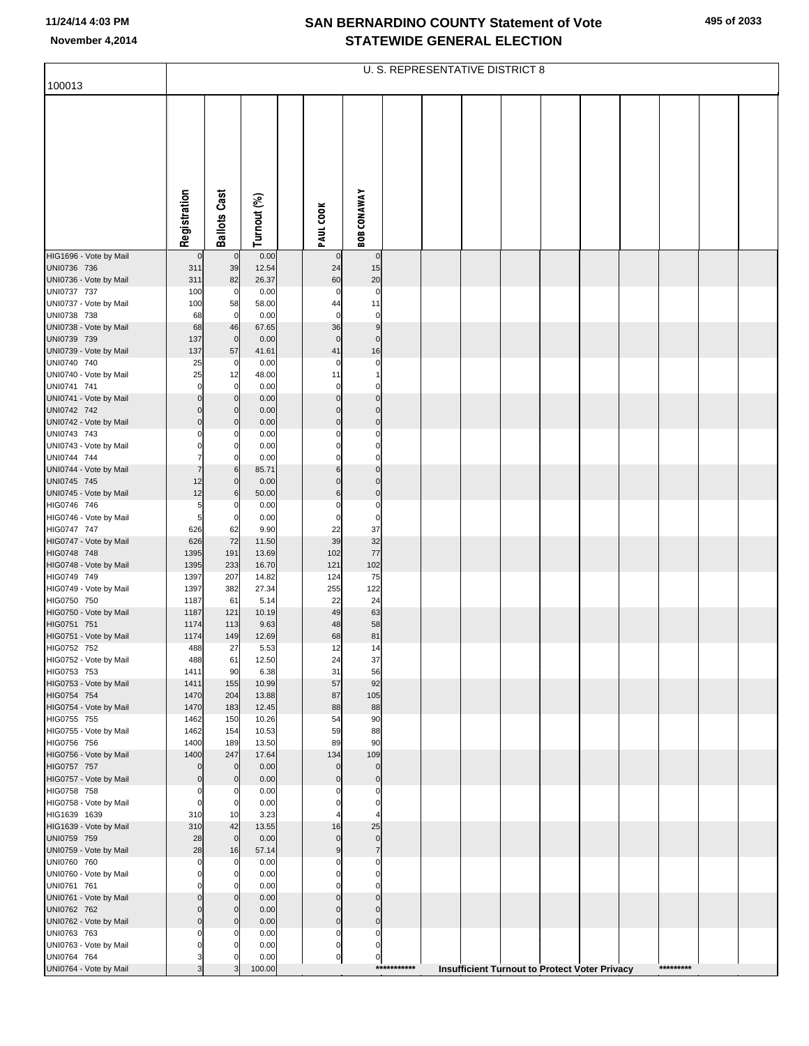|                                       | U. S. REPRESENTATIVE DISTRICT 8 |                            |                |  |                         |                            |             |  |  |  |                                                      |  |  |           |  |  |
|---------------------------------------|---------------------------------|----------------------------|----------------|--|-------------------------|----------------------------|-------------|--|--|--|------------------------------------------------------|--|--|-----------|--|--|
| 100013                                |                                 |                            |                |  |                         |                            |             |  |  |  |                                                      |  |  |           |  |  |
|                                       | Registration                    | <b>Ballots Cast</b>        | Turnout (%)    |  | PAUL COOK               | <b>BOB CONAWAY</b>         |             |  |  |  |                                                      |  |  |           |  |  |
|                                       |                                 |                            |                |  |                         |                            |             |  |  |  |                                                      |  |  |           |  |  |
| HIG1696 - Vote by Mail                | $\mathbf 0$                     | $\mathbf 0$                | 0.00           |  |                         | $\bf{0}$                   |             |  |  |  |                                                      |  |  |           |  |  |
| UNI0736 736                           | 311                             | 39                         | 12.54          |  | 24                      | 15                         |             |  |  |  |                                                      |  |  |           |  |  |
| UNI0736 - Vote by Mail                | 311                             | 82                         | 26.37          |  | 60                      | 20                         |             |  |  |  |                                                      |  |  |           |  |  |
| UNI0737 737<br>UNI0737 - Vote by Mail | 100<br>100                      | $\mathbf 0$<br>58          | 0.00<br>58.00  |  | $\mathbf 0$<br>44       | $\pmb{0}$<br>11            |             |  |  |  |                                                      |  |  |           |  |  |
| UNI0738 738                           | 68                              | $\overline{0}$             | 0.00           |  | $\mathbf 0$             | 0                          |             |  |  |  |                                                      |  |  |           |  |  |
| UNI0738 - Vote by Mail                | 68                              | 46                         | 67.65          |  | 36                      | 9                          |             |  |  |  |                                                      |  |  |           |  |  |
| UNI0739 739                           | 137                             | $\overline{0}$             | 0.00           |  | $\mathbf 0$             | $\pmb{0}$                  |             |  |  |  |                                                      |  |  |           |  |  |
| UNI0739 - Vote by Mail                | 137                             | 57                         | 41.61          |  | 41<br>$\Omega$          | 16                         |             |  |  |  |                                                      |  |  |           |  |  |
| UNI0740 740<br>UNI0740 - Vote by Mail | 25<br>25                        | $\mathbf 0$<br>12          | 0.00<br>48.00  |  | 11                      | 0<br>$\mathbf{1}$          |             |  |  |  |                                                      |  |  |           |  |  |
| UNI0741 741                           | $\Omega$                        | $\mathbf 0$                | 0.00           |  | 0                       | $\Omega$                   |             |  |  |  |                                                      |  |  |           |  |  |
| UNI0741 - Vote by Mail                | $\mathbf 0$                     | $\mathbf 0$                | 0.00           |  | $\mathbf 0$             | $\mathbf 0$                |             |  |  |  |                                                      |  |  |           |  |  |
| UNI0742 742                           | $\mathbf 0$                     | $\mathbf 0$                | 0.00           |  | $\Omega$                | $\mathbf 0$                |             |  |  |  |                                                      |  |  |           |  |  |
| UNI0742 - Vote by Mail<br>UNI0743 743 | $\mathbf 0$<br>0                | $\mathbf 0$<br>0           | 0.00<br>0.00   |  | $\mathbf 0$<br>$\Omega$ | $\pmb{0}$<br>0             |             |  |  |  |                                                      |  |  |           |  |  |
| UNI0743 - Vote by Mail                | $\Omega$                        | $\mathbf 0$                | 0.00           |  | $\Omega$                | $\mathbf 0$                |             |  |  |  |                                                      |  |  |           |  |  |
| UNI0744 744                           | 7                               | 0                          | 0.00           |  | $\Omega$                | 0                          |             |  |  |  |                                                      |  |  |           |  |  |
| UNI0744 - Vote by Mail                | 7                               | 6                          | 85.71          |  | 6                       | $\mathbf 0$                |             |  |  |  |                                                      |  |  |           |  |  |
| UNI0745 745                           | 12<br>12                        | $\mathbf 0$                | 0.00           |  | $\Omega$                | $\pmb{0}$                  |             |  |  |  |                                                      |  |  |           |  |  |
| UNI0745 - Vote by Mail<br>HIG0746 746 | 5                               | 6<br>0                     | 50.00<br>0.00  |  | 6<br>0                  | $\pmb{0}$<br>$\pmb{0}$     |             |  |  |  |                                                      |  |  |           |  |  |
| HIG0746 - Vote by Mail                | 5                               | $\mathbf 0$                | 0.00           |  | $\mathbf 0$             | $\pmb{0}$                  |             |  |  |  |                                                      |  |  |           |  |  |
| HIG0747 747                           | 626                             | 62                         | 9.90           |  | 22                      | 37                         |             |  |  |  |                                                      |  |  |           |  |  |
| HIG0747 - Vote by Mail                | 626                             | 72                         | 11.50          |  | 39                      | 32                         |             |  |  |  |                                                      |  |  |           |  |  |
| HIG0748 748<br>HIG0748 - Vote by Mail | 1395<br>1395                    | 191<br>233                 | 13.69<br>16.70 |  | 102<br>121              | 77<br>102                  |             |  |  |  |                                                      |  |  |           |  |  |
| HIG0749 749                           | 1397                            | 207                        | 14.82          |  | 124                     | 75                         |             |  |  |  |                                                      |  |  |           |  |  |
| HIG0749 - Vote by Mail                | 1397                            | 382                        | 27.34          |  | 255                     | 122                        |             |  |  |  |                                                      |  |  |           |  |  |
| HIG0750 750                           | 1187                            | 61                         | 5.14           |  | 22                      | 24                         |             |  |  |  |                                                      |  |  |           |  |  |
| HIG0750 - Vote by Mail<br>HIG0751 751 | 1187<br>1174                    | 121<br>113                 | 10.19<br>9.63  |  | 49<br>48                | 63<br>58                   |             |  |  |  |                                                      |  |  |           |  |  |
| HIG0751 - Vote by Mail                | 1174                            | 149                        | 12.69          |  | 68                      | 81                         |             |  |  |  |                                                      |  |  |           |  |  |
| HIG0752 752                           | 488                             | 27                         | 5.53           |  | 12                      | 14                         |             |  |  |  |                                                      |  |  |           |  |  |
| HIG0752 - Vote by Mail                | 488                             | 61                         | 12.50          |  | 24                      | 37                         |             |  |  |  |                                                      |  |  |           |  |  |
| HIG0753 753<br>HIG0753 - Vote by Mail | 1411<br>1411                    | 90<br>155                  | 6.38<br>10.99  |  | 31<br>57                | 56<br>92                   |             |  |  |  |                                                      |  |  |           |  |  |
| HIG0754 754                           | 1470                            | 204                        | 13.88          |  | 87                      | 105                        |             |  |  |  |                                                      |  |  |           |  |  |
| HIG0754 - Vote by Mail                | 1470                            | 183                        | 12.45          |  | 88                      | 88                         |             |  |  |  |                                                      |  |  |           |  |  |
| HIG0755 755                           | 1462                            | 150                        | 10.26          |  | 54                      | 90                         |             |  |  |  |                                                      |  |  |           |  |  |
| HIG0755 - Vote by Mail<br>HIG0756 756 | 1462<br>1400                    | 154<br>189                 | 10.53<br>13.50 |  | 59<br>89                | 88<br>90                   |             |  |  |  |                                                      |  |  |           |  |  |
| HIG0756 - Vote by Mail                | 1400                            | 247                        | 17.64          |  | 134                     | 109                        |             |  |  |  |                                                      |  |  |           |  |  |
| HIG0757 757                           | $\mathbf{0}$                    | $\overline{0}$             | 0.00           |  | $\Omega$                | $\mathbf 0$                |             |  |  |  |                                                      |  |  |           |  |  |
| HIG0757 - Vote by Mail                | $\mathbf 0$                     | $\overline{0}$             | 0.00           |  | $\mathbf 0$             | $\pmb{0}$                  |             |  |  |  |                                                      |  |  |           |  |  |
| HIG0758 758<br>HIG0758 - Vote by Mail | 0<br>0                          | 0<br>$\mathbf 0$           | 0.00<br>0.00   |  | O<br>O                  | 0<br>$\mathbf 0$           |             |  |  |  |                                                      |  |  |           |  |  |
| HIG1639 1639                          | 310                             | 10                         | 3.23           |  |                         |                            |             |  |  |  |                                                      |  |  |           |  |  |
| HIG1639 - Vote by Mail                | 310                             | 42                         | 13.55          |  | 16                      | 25                         |             |  |  |  |                                                      |  |  |           |  |  |
| UNI0759 759                           | 28                              | $\overline{0}$             | 0.00           |  | $\mathbf 0$             | $\mathbf 0$                |             |  |  |  |                                                      |  |  |           |  |  |
| UNI0759 - Vote by Mail<br>UNI0760 760 | 28<br>0                         | 16<br>$\mathbf 0$          | 57.14<br>0.00  |  | 9<br>$\Omega$           | $\overline{7}$<br>$\Omega$ |             |  |  |  |                                                      |  |  |           |  |  |
| UNI0760 - Vote by Mail                | $\Omega$                        | $\mathbf 0$                | 0.00           |  | $\Omega$                | $\mathbf 0$                |             |  |  |  |                                                      |  |  |           |  |  |
| UNI0761 761                           | O                               | O                          | 0.00           |  | O                       | $\Omega$                   |             |  |  |  |                                                      |  |  |           |  |  |
| UNI0761 - Vote by Mail                | $\mathbf 0$                     | $\mathbf 0$                | 0.00           |  | $\mathbf 0$             | $\mathbf 0$                |             |  |  |  |                                                      |  |  |           |  |  |
| UNI0762 762                           | $\mathbf 0$                     | $\mathbf 0$<br>$\mathbf 0$ | 0.00           |  | $\Omega$                | $\mathbf 0$<br>$\mathbf 0$ |             |  |  |  |                                                      |  |  |           |  |  |
| UNI0762 - Vote by Mail<br>UNI0763 763 | $\mathbf 0$<br>$\Omega$         | O                          | 0.00<br>0.00   |  | $\mathbf 0$<br>0        | 0                          |             |  |  |  |                                                      |  |  |           |  |  |
| UNI0763 - Vote by Mail                | $\Omega$                        | $\Omega$                   | 0.00           |  | $\pmb{0}$               | $\mathbf 0$                |             |  |  |  |                                                      |  |  |           |  |  |
| UNI0764 764                           | 3                               | $\Omega$                   | 0.00           |  | $\pmb{0}$               | $\mathbf 0$                |             |  |  |  |                                                      |  |  |           |  |  |
| UNI0764 - Vote by Mail                | 3                               | 3                          | 100.00         |  |                         |                            | *********** |  |  |  | <b>Insufficient Turnout to Protect Voter Privacy</b> |  |  | ********* |  |  |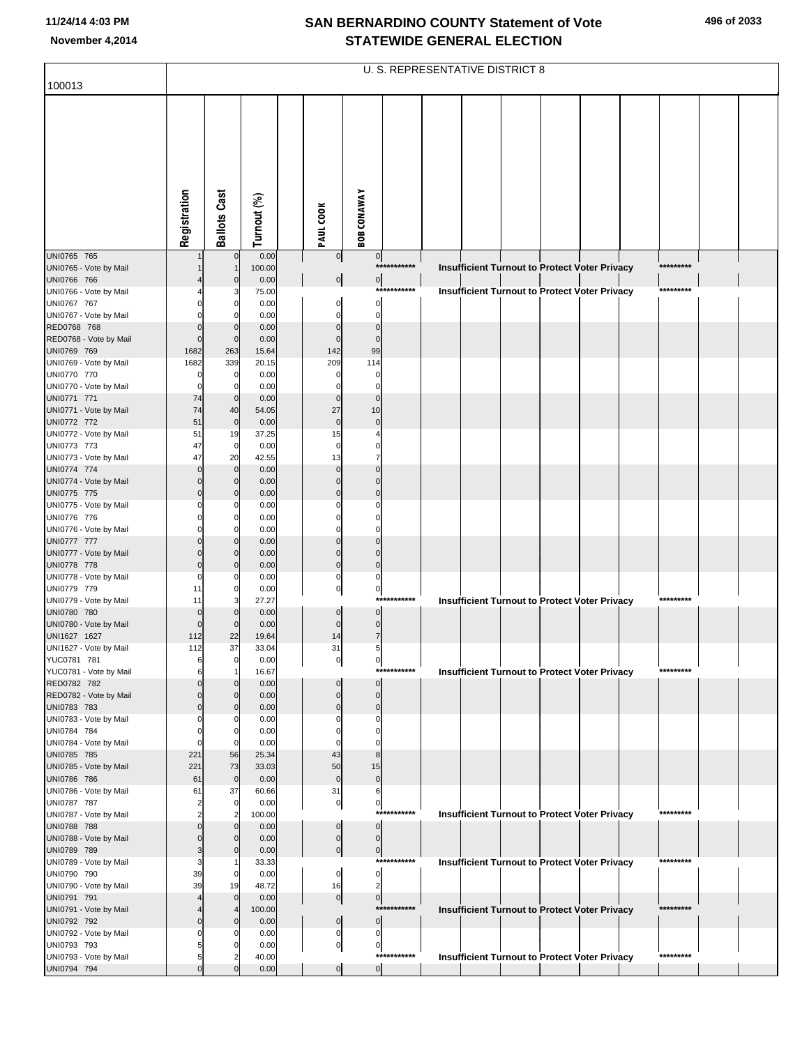| 496 of 2033 |  |
|-------------|--|
|-------------|--|

|                                        | U. S. REPRESENTATIVE DISTRICT 8 |                            |                |  |                            |                               |             |  |                                                      |  |  |  |  |           |  |
|----------------------------------------|---------------------------------|----------------------------|----------------|--|----------------------------|-------------------------------|-------------|--|------------------------------------------------------|--|--|--|--|-----------|--|
| 100013                                 |                                 |                            |                |  |                            |                               |             |  |                                                      |  |  |  |  |           |  |
|                                        | Registration                    | <b>Ballots Cast</b>        | Turnout (%)    |  | PAUL COOK                  | <b>BOB CONAWAY</b>            |             |  |                                                      |  |  |  |  |           |  |
|                                        |                                 |                            |                |  |                            |                               |             |  |                                                      |  |  |  |  |           |  |
| UNI0765 765<br>UNI0765 - Vote by Mail  |                                 | $\mathbf 0$                | 0.00<br>100.00 |  | $\overline{0}$             | $\overline{0}$                | *********** |  | Insufficient Turnout to Protect Voter Privacy        |  |  |  |  | ********* |  |
| UNI0766 766                            |                                 | $\Omega$                   | 0.00           |  | $\overline{0}$             | $\overline{0}$                |             |  |                                                      |  |  |  |  |           |  |
| UNI0766 - Vote by Mail                 |                                 |                            | 75.00          |  |                            |                               | *********** |  | <b>Insufficient Turnout to Protect Voter Privacy</b> |  |  |  |  | ********* |  |
| UNI0767 767<br>UNI0767 - Vote by Mail  |                                 | 0<br>0                     | 0.00<br>0.00   |  | 0<br>$\Omega$              | 0<br>$\mathbf 0$              |             |  |                                                      |  |  |  |  |           |  |
| RED0768 768                            |                                 | $\Omega$                   | 0.00           |  | $\Omega$                   | $\Omega$                      |             |  |                                                      |  |  |  |  |           |  |
| RED0768 - Vote by Mail                 |                                 | $\mathbf 0$                | 0.00           |  | $\mathbf{0}$               | $\mathbf 0$                   |             |  |                                                      |  |  |  |  |           |  |
| UNI0769 769<br>UNI0769 - Vote by Mail  | 1682<br>1682                    | 263<br>339                 | 15.64<br>20.15 |  | 142<br>209                 | 99<br>114                     |             |  |                                                      |  |  |  |  |           |  |
| UNI0770 770                            |                                 | $\mathbf 0$                | 0.00           |  | 0                          | 0                             |             |  |                                                      |  |  |  |  |           |  |
| UNI0770 - Vote by Mail                 |                                 | $\Omega$                   | 0.00           |  | 0                          | 0                             |             |  |                                                      |  |  |  |  |           |  |
| UNI0771 771<br>UNI0771 - Vote by Mail  | 74<br>74                        | $\mathbf 0$<br>40          | 0.00<br>54.05  |  | $\mathbf 0$<br>27          | $\Omega$<br>10                |             |  |                                                      |  |  |  |  |           |  |
| UNI0772 772                            | 51                              | $\mathbf 0$                | 0.00           |  | $\mathbf 0$                | $\mathbf 0$                   |             |  |                                                      |  |  |  |  |           |  |
| UNI0772 - Vote by Mail                 | 51                              | 19                         | 37.25          |  | 15                         |                               |             |  |                                                      |  |  |  |  |           |  |
| UNI0773 773<br>UNI0773 - Vote by Mail  | 47<br>47                        | $\mathbf 0$<br>20          | 0.00<br>42.55  |  | $\Omega$<br>13             | $\Omega$<br>7                 |             |  |                                                      |  |  |  |  |           |  |
| UNI0774 774                            |                                 | $\mathbf 0$                | 0.00           |  | $\Omega$                   | $\Omega$                      |             |  |                                                      |  |  |  |  |           |  |
| UNI0774 - Vote by Mail                 |                                 | $\mathbf 0$                | 0.00           |  | $\Omega$                   | $\mathbf 0$                   |             |  |                                                      |  |  |  |  |           |  |
| UNI0775 775                            |                                 | $\Omega$<br>0              | 0.00           |  | $\Omega$<br>0              | $\Omega$<br>0                 |             |  |                                                      |  |  |  |  |           |  |
| UNI0775 - Vote by Mail<br>UNI0776 776  |                                 | $\Omega$                   | 0.00<br>0.00   |  |                            | $\Omega$                      |             |  |                                                      |  |  |  |  |           |  |
| UNI0776 - Vote by Mail                 |                                 | 0                          | 0.00           |  | 0                          | 0                             |             |  |                                                      |  |  |  |  |           |  |
| UNI0777 777<br>UNI0777 - Vote by Mail  |                                 | $\mathbf 0$<br>$\mathbf 0$ | 0.00<br>0.00   |  | $\Omega$<br>$\Omega$       | $\Omega$<br>$\Omega$          |             |  |                                                      |  |  |  |  |           |  |
| UNI0778 778                            |                                 | $\Omega$                   | 0.00           |  | $\pmb{0}$                  | $\overline{0}$                |             |  |                                                      |  |  |  |  |           |  |
| UNI0778 - Vote by Mail                 |                                 | 0                          | 0.00           |  | 0                          | 0                             |             |  |                                                      |  |  |  |  |           |  |
| UNI0779 779<br>UNI0779 - Vote by Mail  | 11<br>11                        | 0<br>3                     | 0.00<br>27.27  |  | $\overline{0}$             | $\pmb{0}$                     | *********** |  | <b>Insufficient Turnout to Protect Voter Privacy</b> |  |  |  |  | ********* |  |
| UNI0780 780                            |                                 | $\Omega$                   | 0.00           |  | $\mathbf 0$                | $\mathbf 0$                   |             |  |                                                      |  |  |  |  |           |  |
| UNI0780 - Vote by Mail                 |                                 | $\Omega$                   | 0.00           |  | $\mathbf 0$                | $\pmb{0}$                     |             |  |                                                      |  |  |  |  |           |  |
| UNI1627 1627<br>UNI1627 - Vote by Mail | 112<br>112                      | 22<br>37                   | 19.64<br>33.04 |  | 14<br>31                   | $\overline{7}$<br>5           |             |  |                                                      |  |  |  |  |           |  |
| YUC0781 781                            | 6                               | 0                          | 0.00           |  | 이                          | $\overline{0}$                |             |  |                                                      |  |  |  |  |           |  |
| YUC0781 - Vote by Mail                 | 6                               | 1                          | 16.67          |  |                            |                               | *********** |  | <b>Insufficient Turnout to Protect Voter Privacy</b> |  |  |  |  | ********* |  |
| RED0782 782<br>RED0782 - Vote by Mail  |                                 | $\mathbf 0$<br>$\Omega$    | 0.00<br>0.00   |  | $\Omega$<br>$\Omega$       | $\mathbf 0$<br>$\mathbf 0$    |             |  |                                                      |  |  |  |  |           |  |
| UNI0783 783                            |                                 | $\Omega$                   | 0.00           |  | $\mathbf 0$                | $\mathbf 0$                   |             |  |                                                      |  |  |  |  |           |  |
| UNI0783 - Vote by Mail                 |                                 | 0                          | 0.00           |  | $\Omega$                   | 0                             |             |  |                                                      |  |  |  |  |           |  |
| UNI0784 784<br>UNI0784 - Vote by Mail  |                                 | $\mathbf 0$<br>$\Omega$    | 0.00<br>0.00   |  | O<br>O                     | $\Omega$<br>0                 |             |  |                                                      |  |  |  |  |           |  |
| UNI0785 785                            | 221                             | 56                         | 25.34          |  | 43                         | 8                             |             |  |                                                      |  |  |  |  |           |  |
| UNI0785 - Vote by Mail                 | 221                             | 73                         | 33.03          |  | 50                         | 15                            |             |  |                                                      |  |  |  |  |           |  |
| UNI0786 786<br>UNI0786 - Vote by Mail  | 61<br>61                        | $\mathbf 0$<br>37          | 0.00<br>60.66  |  | $\mathbf 0$<br>31          | $\mathbf{0}$<br>6             |             |  |                                                      |  |  |  |  |           |  |
| UNI0787 787                            |                                 | $\mathbf 0$                | 0.00           |  | $\overline{0}$             | $\pmb{0}$                     |             |  |                                                      |  |  |  |  |           |  |
| UNI0787 - Vote by Mail                 |                                 | $\overline{2}$             | 100.00         |  |                            |                               | *********** |  | Insufficient Turnout to Protect Voter Privacy        |  |  |  |  | ********* |  |
| UNI0788 788<br>UNI0788 - Vote by Mail  |                                 | $\overline{0}$<br>$\Omega$ | 0.00<br>0.00   |  | $\Omega$<br>$\overline{0}$ | $\mathbf 0$<br>$\pmb{0}$      |             |  |                                                      |  |  |  |  |           |  |
| UNI0789 789                            |                                 | $\Omega$                   | 0.00           |  | $\overline{0}$             | 0                             |             |  |                                                      |  |  |  |  |           |  |
| UNI0789 - Vote by Mail                 |                                 |                            | 33.33          |  |                            |                               | *********** |  | Insufficient Turnout to Protect Voter Privacy        |  |  |  |  | ********* |  |
| UNI0790 790<br>UNI0790 - Vote by Mail  | 39<br>39                        | $\mathbf 0$<br>19          | 0.00<br>48.72  |  | $\mathbf 0$<br>16          | $\mathbf 0$<br>$\overline{c}$ |             |  |                                                      |  |  |  |  |           |  |
| UNI0791 791                            |                                 | $\mathbf 0$                | 0.00           |  | $\overline{0}$             | 0                             |             |  |                                                      |  |  |  |  |           |  |
| UNI0791 - Vote by Mail                 |                                 | $\overline{4}$             | 100.00         |  |                            |                               | *********** |  | Insufficient Turnout to Protect Voter Privacy        |  |  |  |  | ********* |  |
| UNI0792 792<br>UNI0792 - Vote by Mail  |                                 | $\Omega$                   | 0.00<br>0.00   |  | $\mathbf 0$<br>0           | $\mathbf 0$<br>0              |             |  |                                                      |  |  |  |  |           |  |
| UNI0793 793                            |                                 |                            | 0.00           |  | $\overline{0}$             | 0                             |             |  |                                                      |  |  |  |  |           |  |
| UNI0793 - Vote by Mail                 |                                 |                            | 40.00          |  |                            |                               | *********** |  | Insufficient Turnout to Protect Voter Privacy        |  |  |  |  | ********* |  |
| UNI0794 794                            |                                 | $\Omega$                   | 0.00           |  | $\overline{0}$             | $\overline{0}$                |             |  |                                                      |  |  |  |  |           |  |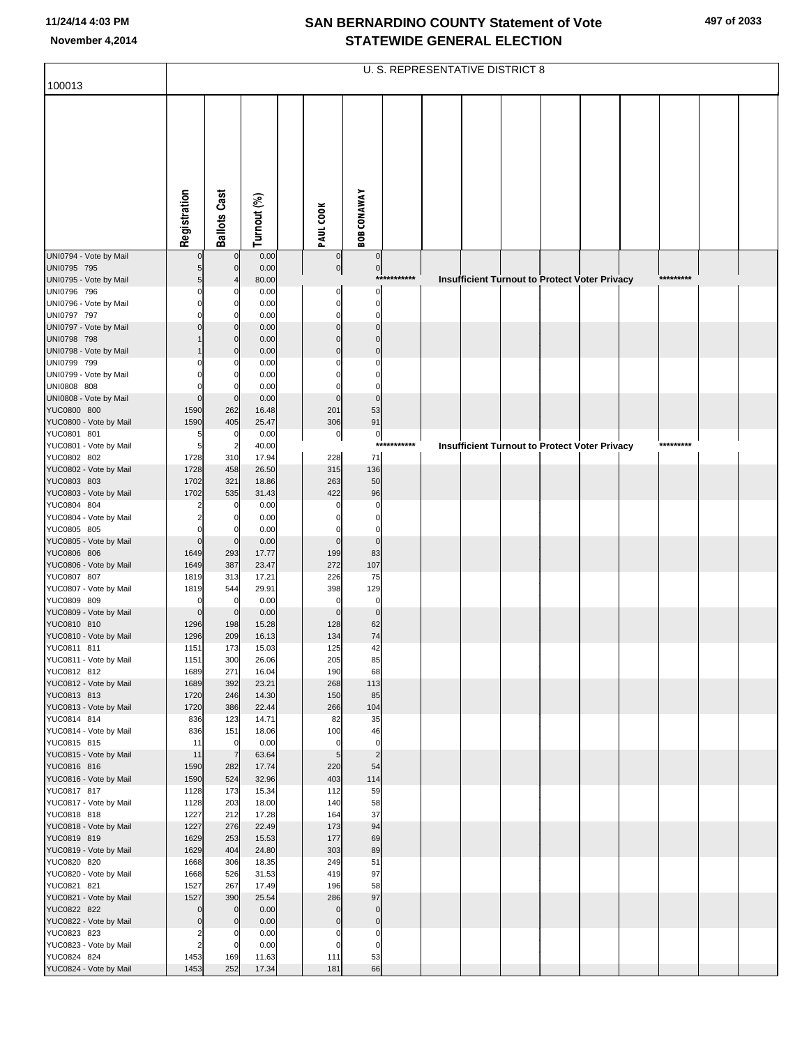| 100013                                | U. S. REPRESENTATIVE DISTRICT 8 |                       |                |  |                         |                               |             |  |  |  |                                                      |  |  |           |  |  |
|---------------------------------------|---------------------------------|-----------------------|----------------|--|-------------------------|-------------------------------|-------------|--|--|--|------------------------------------------------------|--|--|-----------|--|--|
|                                       |                                 |                       |                |  |                         |                               |             |  |  |  |                                                      |  |  |           |  |  |
|                                       |                                 |                       |                |  |                         |                               |             |  |  |  |                                                      |  |  |           |  |  |
|                                       |                                 |                       |                |  |                         |                               |             |  |  |  |                                                      |  |  |           |  |  |
|                                       |                                 |                       |                |  |                         |                               |             |  |  |  |                                                      |  |  |           |  |  |
|                                       |                                 |                       |                |  |                         |                               |             |  |  |  |                                                      |  |  |           |  |  |
|                                       |                                 |                       |                |  |                         |                               |             |  |  |  |                                                      |  |  |           |  |  |
|                                       |                                 |                       |                |  |                         |                               |             |  |  |  |                                                      |  |  |           |  |  |
|                                       |                                 |                       |                |  |                         |                               |             |  |  |  |                                                      |  |  |           |  |  |
|                                       |                                 |                       |                |  |                         |                               |             |  |  |  |                                                      |  |  |           |  |  |
|                                       | Registration                    | <b>Ballots Cast</b>   | Turnout (%)    |  | PAUL COOK               | <b>BOB CONAWAY</b>            |             |  |  |  |                                                      |  |  |           |  |  |
| UNI0794 - Vote by Mail                | $\mathbf 0$                     | $\mathbf 0$           | 0.00           |  | $\overline{0}$          | $\overline{0}$                |             |  |  |  |                                                      |  |  |           |  |  |
| UNI0795 795                           | 5                               | $\mathbf 0$           | 0.00           |  | 0                       | 0                             |             |  |  |  |                                                      |  |  |           |  |  |
| UNI0795 - Vote by Mail                | 5                               |                       | 80.00          |  |                         |                               | *********** |  |  |  | <b>Insufficient Turnout to Protect Voter Privacy</b> |  |  | ********* |  |  |
| UNI0796 796                           | $\mathbf 0$<br>$\mathbf 0$      | 0                     | 0.00           |  | $\Omega$<br>$\mathbf 0$ | $\Omega$                      |             |  |  |  |                                                      |  |  |           |  |  |
| UNI0796 - Vote by Mail<br>UNI0797 797 | $\Omega$                        | 0                     | 0.00<br>0.00   |  | $\Omega$                | $\mathbf 0$<br>$\mathbf 0$    |             |  |  |  |                                                      |  |  |           |  |  |
| UNI0797 - Vote by Mail                | $\Omega$                        | $\Omega$              | 0.00           |  | $\Omega$                | $\Omega$                      |             |  |  |  |                                                      |  |  |           |  |  |
| UNI0798 798                           |                                 | $\Omega$              | 0.00           |  | $\Omega$                | $\Omega$                      |             |  |  |  |                                                      |  |  |           |  |  |
| UNI0798 - Vote by Mail                |                                 | $\mathbf 0$           | 0.00           |  | $\Omega$                | $\mathbf 0$                   |             |  |  |  |                                                      |  |  |           |  |  |
| UNI0799 799<br>UNI0799 - Vote by Mail | $\Omega$                        | O<br>$\Omega$         | 0.00<br>0.00   |  |                         | $\Omega$<br>$\Omega$          |             |  |  |  |                                                      |  |  |           |  |  |
| UNI0808 808                           |                                 |                       | 0.00           |  |                         | $\Omega$                      |             |  |  |  |                                                      |  |  |           |  |  |
| UNI0808 - Vote by Mail                | $\mathbf 0$                     | $\mathbf 0$           | 0.00           |  | $\mathbf 0$             | $\mathbf 0$                   |             |  |  |  |                                                      |  |  |           |  |  |
| YUC0800 800<br>YUC0800 - Vote by Mail | 1590<br>1590                    | 262                   | 16.48<br>25.47 |  | 201                     | 53<br>91                      |             |  |  |  |                                                      |  |  |           |  |  |
| YUC0801 801                           | 5                               | 405<br>$\mathbf 0$    | 0.00           |  | 306<br>$\pmb{0}$        | $\pmb{0}$                     |             |  |  |  |                                                      |  |  |           |  |  |
| YUC0801 - Vote by Mail                | 5                               | $\overline{2}$        | 40.00          |  |                         |                               | *********** |  |  |  | Insufficient Turnout to Protect Voter Privacy        |  |  | ********* |  |  |
| YUC0802 802                           | 1728                            | 310                   | 17.94          |  | 228                     | 71                            |             |  |  |  |                                                      |  |  |           |  |  |
| YUC0802 - Vote by Mail<br>YUC0803 803 | 1728                            | 458                   | 26.50          |  | 315                     | 136                           |             |  |  |  |                                                      |  |  |           |  |  |
| YUC0803 - Vote by Mail                | 1702<br>1702                    | 321<br>535            | 18.86<br>31.43 |  | 263<br>422              | 50<br>96                      |             |  |  |  |                                                      |  |  |           |  |  |
| YUC0804 804                           |                                 | $\mathbf 0$           | 0.00           |  | $\Omega$                | $\Omega$                      |             |  |  |  |                                                      |  |  |           |  |  |
| YUC0804 - Vote by Mail                | $\overline{2}$                  | 0                     | 0.00           |  | 0                       | $\mathbf 0$                   |             |  |  |  |                                                      |  |  |           |  |  |
| YUC0805 805<br>YUC0805 - Vote by Mail | $\Omega$<br>$\mathbf 0$         | $\mathbf 0$           | 0.00<br>0.00   |  | $\mathbf 0$             | $\Omega$<br>$\mathbf 0$       |             |  |  |  |                                                      |  |  |           |  |  |
| YUC0806 806                           | 1649                            | 293                   | 17.77          |  | 199                     | 83                            |             |  |  |  |                                                      |  |  |           |  |  |
| YUC0806 - Vote by Mail                | 1649                            | 387                   | 23.47          |  | 272                     | 107                           |             |  |  |  |                                                      |  |  |           |  |  |
| YUC0807 807                           | 1819                            | 313                   | 17.21          |  | 226                     | 75                            |             |  |  |  |                                                      |  |  |           |  |  |
| YUC0807 - Vote by Mail<br>YUC0809 809 | 1819<br>$\mathbf 0$             | 544<br>$\mathbf 0$    | 29.91<br>0.00  |  | 398<br>$\mathbf 0$      | 129<br>$\mathbf 0$            |             |  |  |  |                                                      |  |  |           |  |  |
| YUC0809 - Vote by Mail                | $\mathbf 0$                     | $\overline{0}$        | 0.00           |  | $\mathbf 0$             | $\mathbf 0$                   |             |  |  |  |                                                      |  |  |           |  |  |
| YUC0810 810                           | 1296                            | 198                   | 15.28          |  | 128                     | 62                            |             |  |  |  |                                                      |  |  |           |  |  |
| YUC0810 - Vote by Mail                | 1296                            | 209                   | 16.13          |  | 134                     | 74                            |             |  |  |  |                                                      |  |  |           |  |  |
| YUC0811 811<br>YUC0811 - Vote by Mail | 1151<br>1151                    | 173<br>300            | 15.03<br>26.06 |  | 125<br>205              | 42<br>85                      |             |  |  |  |                                                      |  |  |           |  |  |
| YUC0812 812                           | 1689                            | 271                   | 16.04          |  | 190                     | 68                            |             |  |  |  |                                                      |  |  |           |  |  |
| YUC0812 - Vote by Mail                | 1689                            | 392                   | 23.21          |  | 268                     | 113                           |             |  |  |  |                                                      |  |  |           |  |  |
| YUC0813 813<br>YUC0813 - Vote by Mail | 1720<br>1720                    | 246<br>386            | 14.30<br>22.44 |  | 150<br>266              | 85<br>104                     |             |  |  |  |                                                      |  |  |           |  |  |
| YUC0814 814                           | 836                             | 123                   | 14.71          |  | 82                      | 35                            |             |  |  |  |                                                      |  |  |           |  |  |
| YUC0814 - Vote by Mail                | 836                             | 151                   | 18.06          |  | 100                     | 46                            |             |  |  |  |                                                      |  |  |           |  |  |
| YUC0815 815                           | 11                              | $\mathbf 0$           | 0.00           |  | $\mathbf 0$             | $\mathbf 0$<br>$\overline{c}$ |             |  |  |  |                                                      |  |  |           |  |  |
| YUC0815 - Vote by Mail<br>YUC0816 816 | 11<br>1590                      | $\overline{7}$<br>282 | 63.64<br>17.74 |  | $\sqrt{5}$<br>220       | 54                            |             |  |  |  |                                                      |  |  |           |  |  |
| YUC0816 - Vote by Mail                | 1590                            | 524                   | 32.96          |  | 403                     | 114                           |             |  |  |  |                                                      |  |  |           |  |  |
| YUC0817 817                           | 1128                            | 173                   | 15.34          |  | 112                     | 59                            |             |  |  |  |                                                      |  |  |           |  |  |
| YUC0817 - Vote by Mail<br>YUC0818 818 | 1128<br>1227                    | 203<br>212            | 18.00<br>17.28 |  | 140<br>164              | 58<br>37                      |             |  |  |  |                                                      |  |  |           |  |  |
| YUC0818 - Vote by Mail                | 1227                            | 276                   | 22.49          |  | 173                     | 94                            |             |  |  |  |                                                      |  |  |           |  |  |
| YUC0819 819                           | 1629                            | 253                   | 15.53          |  | 177                     | 69                            |             |  |  |  |                                                      |  |  |           |  |  |
| YUC0819 - Vote by Mail                | 1629                            | 404                   | 24.80          |  | 303                     | 89                            |             |  |  |  |                                                      |  |  |           |  |  |
| YUC0820 820<br>YUC0820 - Vote by Mail | 1668<br>1668                    | 306<br>526            | 18.35<br>31.53 |  | 249<br>419              | 51<br>97                      |             |  |  |  |                                                      |  |  |           |  |  |
| YUC0821 821                           | 1527                            | 267                   | 17.49          |  | 196                     | 58                            |             |  |  |  |                                                      |  |  |           |  |  |
| YUC0821 - Vote by Mail                | 1527                            | 390                   | 25.54          |  | 286                     | 97                            |             |  |  |  |                                                      |  |  |           |  |  |
| YUC0822 822                           | $\mathbf 0$                     | $\mathbf 0$           | 0.00           |  | $\mathbf 0$             | $\mathbf 0$                   |             |  |  |  |                                                      |  |  |           |  |  |
| YUC0822 - Vote by Mail<br>YUC0823 823 | $\mathbf 0$<br>$\overline{c}$   | $\mathbf 0$           | 0.00<br>0.00   |  | $\mathbf 0$             | $\pmb{0}$<br>$\mathbf 0$      |             |  |  |  |                                                      |  |  |           |  |  |
| YUC0823 - Vote by Mail                | $\overline{c}$                  | $\mathbf 0$           | 0.00           |  | $\Omega$                | $\mathbf 0$                   |             |  |  |  |                                                      |  |  |           |  |  |
| YUC0824 824                           | 1453                            | 169                   | 11.63          |  | 111                     | 53                            |             |  |  |  |                                                      |  |  |           |  |  |
| YUC0824 - Vote by Mail                | 1453                            | 252                   | 17.34          |  | 181                     | 66                            |             |  |  |  |                                                      |  |  |           |  |  |